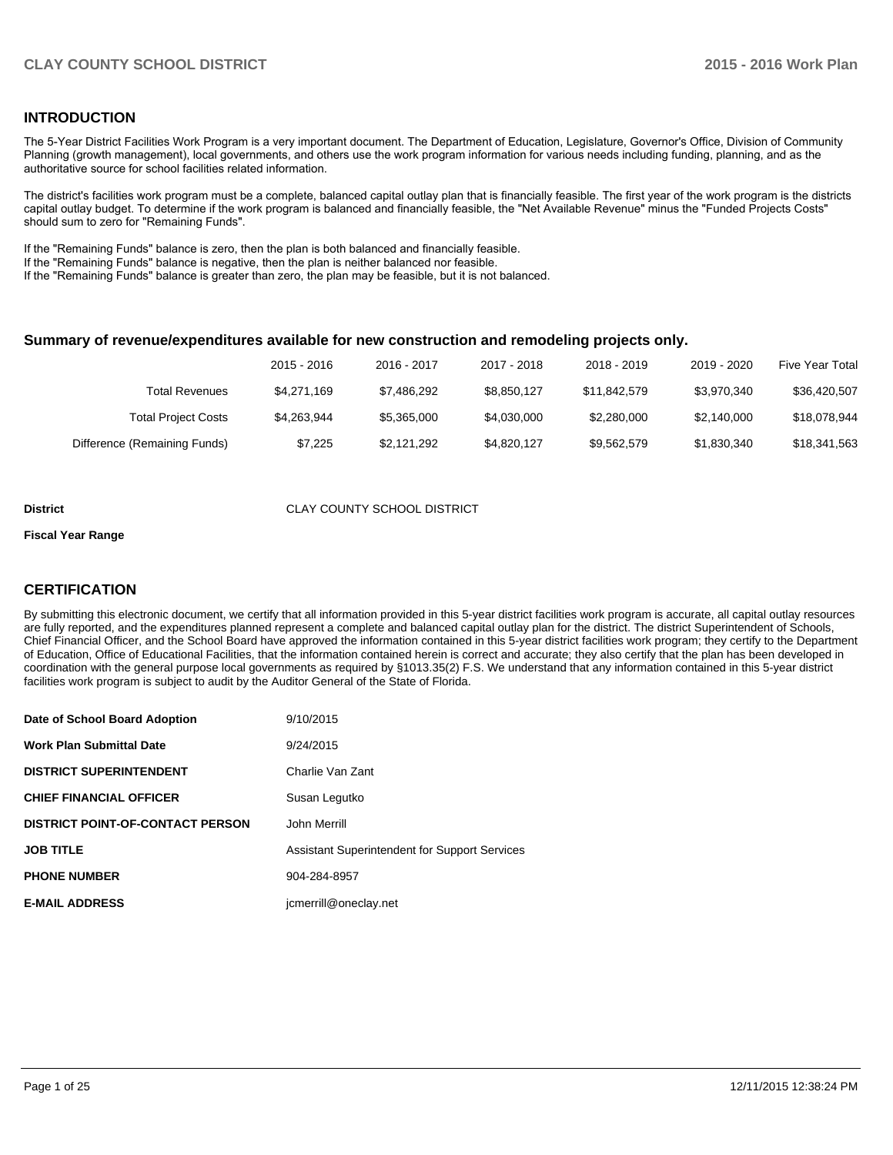### **INTRODUCTION**

The 5-Year District Facilities Work Program is a very important document. The Department of Education, Legislature, Governor's Office, Division of Community Planning (growth management), local governments, and others use the work program information for various needs including funding, planning, and as the authoritative source for school facilities related information.

The district's facilities work program must be a complete, balanced capital outlay plan that is financially feasible. The first year of the work program is the districts capital outlay budget. To determine if the work program is balanced and financially feasible, the "Net Available Revenue" minus the "Funded Projects Costs" should sum to zero for "Remaining Funds".

If the "Remaining Funds" balance is zero, then the plan is both balanced and financially feasible.

If the "Remaining Funds" balance is negative, then the plan is neither balanced nor feasible.

If the "Remaining Funds" balance is greater than zero, the plan may be feasible, but it is not balanced.

#### **Summary of revenue/expenditures available for new construction and remodeling projects only.**

|                              | 2015 - 2016 | 2016 - 2017 | 2017 - 2018 | 2018 - 2019  | 2019 - 2020 | Five Year Total |
|------------------------------|-------------|-------------|-------------|--------------|-------------|-----------------|
| <b>Total Revenues</b>        | \$4.271.169 | \$7.486.292 | \$8.850.127 | \$11.842.579 | \$3.970.340 | \$36,420,507    |
| <b>Total Project Costs</b>   | \$4.263.944 | \$5,365,000 | \$4.030.000 | \$2,280,000  | \$2,140,000 | \$18,078,944    |
| Difference (Remaining Funds) | \$7.225     | \$2.121.292 | \$4.820.127 | \$9.562.579  | \$1,830,340 | \$18,341,563    |

#### **District CLAY COUNTY SCHOOL DISTRICT**

#### **Fiscal Year Range**

### **CERTIFICATION**

By submitting this electronic document, we certify that all information provided in this 5-year district facilities work program is accurate, all capital outlay resources are fully reported, and the expenditures planned represent a complete and balanced capital outlay plan for the district. The district Superintendent of Schools, Chief Financial Officer, and the School Board have approved the information contained in this 5-year district facilities work program; they certify to the Department of Education, Office of Educational Facilities, that the information contained herein is correct and accurate; they also certify that the plan has been developed in coordination with the general purpose local governments as required by §1013.35(2) F.S. We understand that any information contained in this 5-year district facilities work program is subject to audit by the Auditor General of the State of Florida.

| Date of School Board Adoption           | 9/10/2015                                            |
|-----------------------------------------|------------------------------------------------------|
| <b>Work Plan Submittal Date</b>         | 9/24/2015                                            |
| <b>DISTRICT SUPERINTENDENT</b>          | Charlie Van Zant                                     |
| <b>CHIEF FINANCIAL OFFICER</b>          | Susan Legutko                                        |
| <b>DISTRICT POINT-OF-CONTACT PERSON</b> | John Merrill                                         |
| <b>JOB TITLE</b>                        | <b>Assistant Superintendent for Support Services</b> |
| <b>PHONE NUMBER</b>                     | 904-284-8957                                         |
| <b>E-MAIL ADDRESS</b>                   | jcmerrill@oneclay.net                                |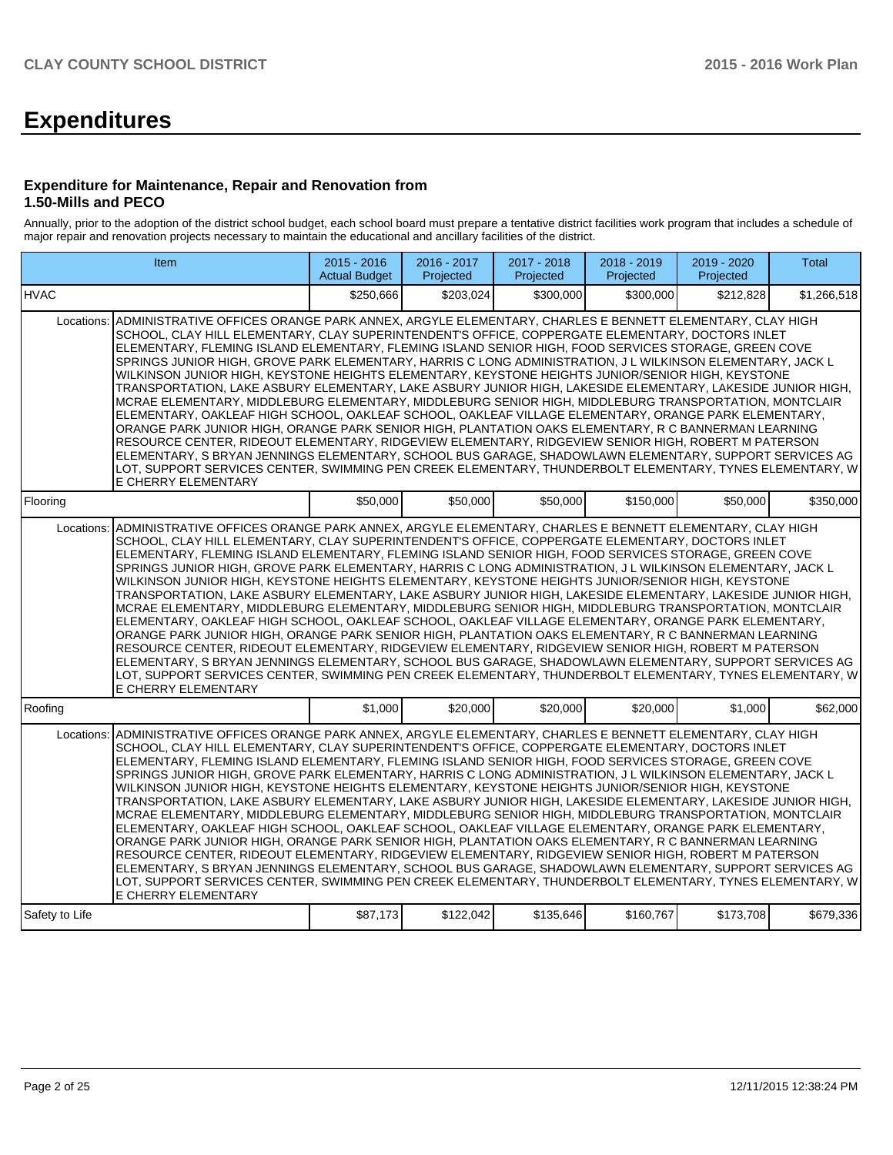# **Expenditures**

#### **Expenditure for Maintenance, Repair and Renovation from 1.50-Mills and PECO**

Annually, prior to the adoption of the district school budget, each school board must prepare a tentative district facilities work program that includes a schedule of major repair and renovation projects necessary to maintain the educational and ancillary facilities of the district.

|                | Item                                                                                                                                                                                                                                                                                                                                                                                                                                                                                                                                                                                                                                                                                                                                                                                                                                                                                                                                                                                                                                                                                                                                                                                                                                                                                                                            | $2015 - 2016$<br><b>Actual Budget</b> | 2016 - 2017<br>Projected | 2017 - 2018<br>Projected | 2018 - 2019<br>Projected | 2019 - 2020<br>Projected | <b>Total</b> |
|----------------|---------------------------------------------------------------------------------------------------------------------------------------------------------------------------------------------------------------------------------------------------------------------------------------------------------------------------------------------------------------------------------------------------------------------------------------------------------------------------------------------------------------------------------------------------------------------------------------------------------------------------------------------------------------------------------------------------------------------------------------------------------------------------------------------------------------------------------------------------------------------------------------------------------------------------------------------------------------------------------------------------------------------------------------------------------------------------------------------------------------------------------------------------------------------------------------------------------------------------------------------------------------------------------------------------------------------------------|---------------------------------------|--------------------------|--------------------------|--------------------------|--------------------------|--------------|
| <b>HVAC</b>    |                                                                                                                                                                                                                                                                                                                                                                                                                                                                                                                                                                                                                                                                                                                                                                                                                                                                                                                                                                                                                                                                                                                                                                                                                                                                                                                                 | \$250.666                             | \$203.024                | \$300,000                | \$300,000                | \$212,828                | \$1,266,518  |
| Locations:     | ADMINISTRATIVE OFFICES ORANGE PARK ANNEX, ARGYLE ELEMENTARY, CHARLES E BENNETT ELEMENTARY, CLAY HIGH<br>SCHOOL, CLAY HILL ELEMENTARY, CLAY SUPERINTENDENT'S OFFICE, COPPERGATE ELEMENTARY, DOCTORS INLET<br>ELEMENTARY, FLEMING ISLAND ELEMENTARY, FLEMING ISLAND SENIOR HIGH, FOOD SERVICES STORAGE, GREEN COVE<br>SPRINGS JUNIOR HIGH, GROVE PARK ELEMENTARY, HARRIS C LONG ADMINISTRATION, J L WILKINSON ELEMENTARY, JACK L<br>WILKINSON JUNIOR HIGH, KEYSTONE HEIGHTS ELEMENTARY, KEYSTONE HEIGHTS JUNIOR/SENIOR HIGH, KEYSTONE<br>TRANSPORTATION, LAKE ASBURY ELEMENTARY, LAKE ASBURY JUNIOR HIGH, LAKESIDE ELEMENTARY, LAKESIDE JUNIOR HIGH,<br>MCRAE ELEMENTARY, MIDDLEBURG ELEMENTARY, MIDDLEBURG SENIOR HIGH, MIDDLEBURG TRANSPORTATION, MONTCLAIR<br>ELEMENTARY, OAKLEAF HIGH SCHOOL, OAKLEAF SCHOOL, OAKLEAF VILLAGE ELEMENTARY, ORANGE PARK ELEMENTARY,<br>ORANGE PARK JUNIOR HIGH, ORANGE PARK SENIOR HIGH, PLANTATION OAKS ELEMENTARY, R C BANNERMAN LEARNING<br>RESOURCE CENTER, RIDEOUT ELEMENTARY, RIDGEVIEW ELEMENTARY, RIDGEVIEW SENIOR HIGH, ROBERT M PATERSON<br>ELEMENTARY, S BRYAN JENNINGS ELEMENTARY, SCHOOL BUS GARAGE, SHADOWLAWN ELEMENTARY, SUPPORT SERVICES AG<br>LOT, SUPPORT SERVICES CENTER, SWIMMING PEN CREEK ELEMENTARY, THUNDERBOLT ELEMENTARY, TYNES ELEMENTARY, W<br>E CHERRY ELEMENTARY |                                       |                          |                          |                          |                          |              |
| Flooring       |                                                                                                                                                                                                                                                                                                                                                                                                                                                                                                                                                                                                                                                                                                                                                                                                                                                                                                                                                                                                                                                                                                                                                                                                                                                                                                                                 | \$50,000                              | \$50,000                 | \$50,000                 | \$150,000                | \$50,000                 | \$350,000    |
| Locations:     | ADMINISTRATIVE OFFICES ORANGE PARK ANNEX, ARGYLE ELEMENTARY, CHARLES E BENNETT ELEMENTARY, CLAY HIGH<br>SCHOOL, CLAY HILL ELEMENTARY, CLAY SUPERINTENDENT'S OFFICE, COPPERGATE ELEMENTARY, DOCTORS INLET<br>ELEMENTARY, FLEMING ISLAND ELEMENTARY, FLEMING ISLAND SENIOR HIGH, FOOD SERVICES STORAGE, GREEN COVE<br>SPRINGS JUNIOR HIGH, GROVE PARK ELEMENTARY, HARRIS C LONG ADMINISTRATION, J L WILKINSON ELEMENTARY, JACK L<br>WILKINSON JUNIOR HIGH, KEYSTONE HEIGHTS ELEMENTARY, KEYSTONE HEIGHTS JUNIOR/SENIOR HIGH, KEYSTONE<br>TRANSPORTATION, LAKE ASBURY ELEMENTARY, LAKE ASBURY JUNIOR HIGH, LAKESIDE ELEMENTARY, LAKESIDE JUNIOR HIGH,<br>MCRAE ELEMENTARY, MIDDLEBURG ELEMENTARY, MIDDLEBURG SENIOR HIGH, MIDDLEBURG TRANSPORTATION, MONTCLAIR<br>ELEMENTARY, OAKLEAF HIGH SCHOOL, OAKLEAF SCHOOL, OAKLEAF VILLAGE ELEMENTARY, ORANGE PARK ELEMENTARY,<br>ORANGE PARK JUNIOR HIGH, ORANGE PARK SENIOR HIGH, PLANTATION OAKS ELEMENTARY, R C BANNERMAN LEARNING<br>RESOURCE CENTER, RIDEOUT ELEMENTARY, RIDGEVIEW ELEMENTARY, RIDGEVIEW SENIOR HIGH, ROBERT M PATERSON<br>ELEMENTARY, S BRYAN JENNINGS ELEMENTARY, SCHOOL BUS GARAGE, SHADOWLAWN ELEMENTARY, SUPPORT SERVICES AG<br>LOT, SUPPORT SERVICES CENTER, SWIMMING PEN CREEK ELEMENTARY, THUNDERBOLT ELEMENTARY, TYNES ELEMENTARY, W<br>E CHERRY ELEMENTARY |                                       |                          |                          |                          |                          |              |
| Roofing        |                                                                                                                                                                                                                                                                                                                                                                                                                                                                                                                                                                                                                                                                                                                                                                                                                                                                                                                                                                                                                                                                                                                                                                                                                                                                                                                                 | \$1,000                               | \$20,000                 | \$20,000                 | \$20,000                 | \$1,000                  | \$62,000     |
| Locations:     | ADMINISTRATIVE OFFICES ORANGE PARK ANNEX, ARGYLE ELEMENTARY, CHARLES E BENNETT ELEMENTARY, CLAY HIGH<br>SCHOOL, CLAY HILL ELEMENTARY, CLAY SUPERINTENDENT'S OFFICE, COPPERGATE ELEMENTARY, DOCTORS INLET<br>ELEMENTARY, FLEMING ISLAND ELEMENTARY, FLEMING ISLAND SENIOR HIGH, FOOD SERVICES STORAGE, GREEN COVE<br>SPRINGS JUNIOR HIGH, GROVE PARK ELEMENTARY, HARRIS C LONG ADMINISTRATION, J L WILKINSON ELEMENTARY, JACK L<br>WILKINSON JUNIOR HIGH, KEYSTONE HEIGHTS ELEMENTARY, KEYSTONE HEIGHTS JUNIOR/SENIOR HIGH, KEYSTONE<br>TRANSPORTATION, LAKE ASBURY ELEMENTARY, LAKE ASBURY JUNIOR HIGH, LAKESIDE ELEMENTARY, LAKESIDE JUNIOR HIGH,<br>MCRAE ELEMENTARY, MIDDLEBURG ELEMENTARY, MIDDLEBURG SENIOR HIGH, MIDDLEBURG TRANSPORTATION, MONTCLAIR<br>ELEMENTARY, OAKLEAF HIGH SCHOOL, OAKLEAF SCHOOL, OAKLEAF VILLAGE ELEMENTARY, ORANGE PARK ELEMENTARY,<br>ORANGE PARK JUNIOR HIGH, ORANGE PARK SENIOR HIGH, PLANTATION OAKS ELEMENTARY, R C BANNERMAN LEARNING<br>RESOURCE CENTER, RIDEOUT ELEMENTARY, RIDGEVIEW ELEMENTARY, RIDGEVIEW SENIOR HIGH, ROBERT M PATERSON<br>ELEMENTARY, S BRYAN JENNINGS ELEMENTARY, SCHOOL BUS GARAGE, SHADOWLAWN ELEMENTARY, SUPPORT SERVICES AG<br>LOT, SUPPORT SERVICES CENTER, SWIMMING PEN CREEK ELEMENTARY, THUNDERBOLT ELEMENTARY, TYNES ELEMENTARY, W<br>E CHERRY ELEMENTARY |                                       |                          |                          |                          |                          |              |
| Safety to Life |                                                                                                                                                                                                                                                                                                                                                                                                                                                                                                                                                                                                                                                                                                                                                                                                                                                                                                                                                                                                                                                                                                                                                                                                                                                                                                                                 | \$87,173                              | \$122,042                | \$135,646                | \$160,767                | \$173,708                | \$679,336    |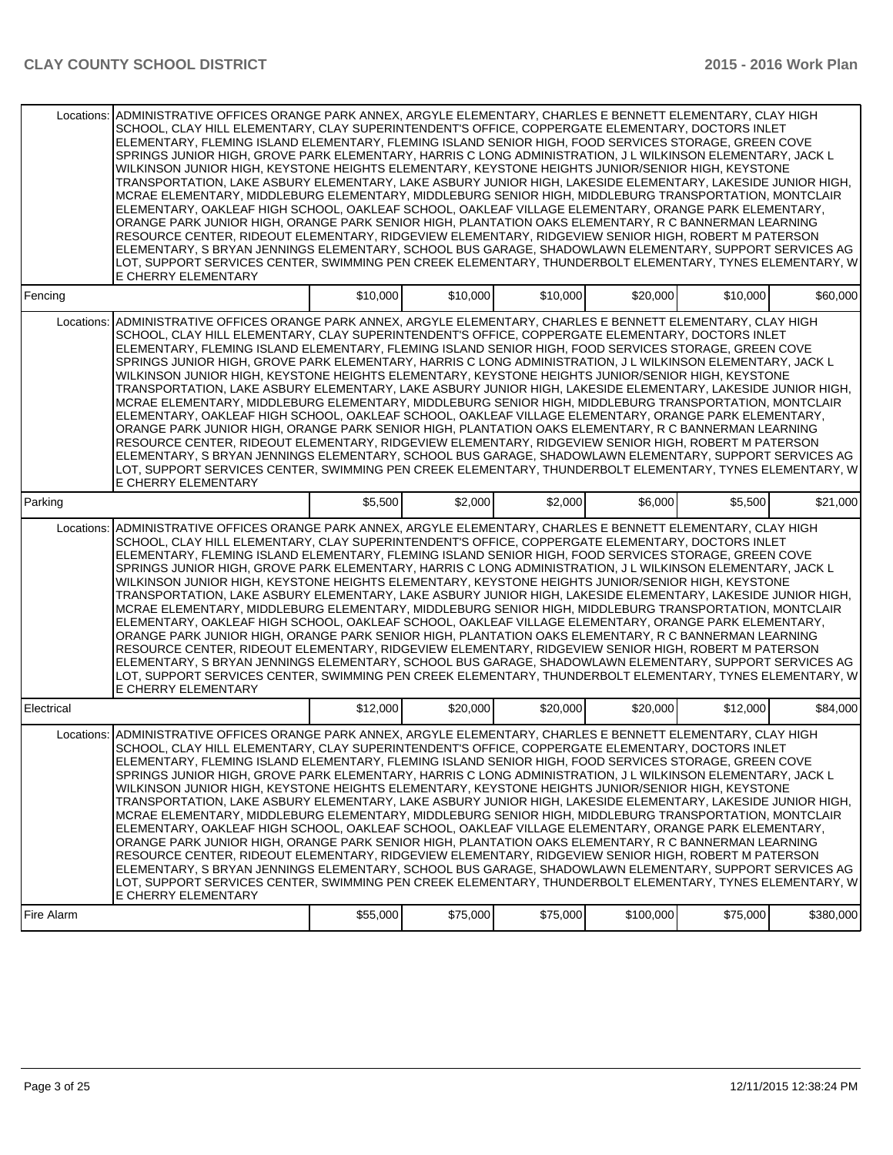| Locations: | ADMINISTRATIVE OFFICES ORANGE PARK ANNEX, ARGYLE ELEMENTARY, CHARLES E BENNETT ELEMENTARY, CLAY HIGH<br>SCHOOL, CLAY HILL ELEMENTARY, CLAY SUPERINTENDENT'S OFFICE, COPPERGATE ELEMENTARY, DOCTORS INLET<br>ELEMENTARY, FLEMING ISLAND ELEMENTARY, FLEMING ISLAND SENIOR HIGH, FOOD SERVICES STORAGE, GREEN COVE<br>SPRINGS JUNIOR HIGH, GROVE PARK ELEMENTARY, HARRIS C LONG ADMINISTRATION, J L WILKINSON ELEMENTARY, JACK L<br>WILKINSON JUNIOR HIGH, KEYSTONE HEIGHTS ELEMENTARY, KEYSTONE HEIGHTS JUNIOR/SENIOR HIGH, KEYSTONE<br>TRANSPORTATION, LAKE ASBURY ELEMENTARY, LAKE ASBURY JUNIOR HIGH, LAKESIDE ELEMENTARY, LAKESIDE JUNIOR HIGH,<br>MCRAE ELEMENTARY, MIDDLEBURG ELEMENTARY, MIDDLEBURG SENIOR HIGH, MIDDLEBURG TRANSPORTATION, MONTCLAIR<br>ELEMENTARY, OAKLEAF HIGH SCHOOL, OAKLEAF SCHOOL, OAKLEAF VILLAGE ELEMENTARY, ORANGE PARK ELEMENTARY,<br>ORANGE PARK JUNIOR HIGH, ORANGE PARK SENIOR HIGH, PLANTATION OAKS ELEMENTARY, R C BANNERMAN LEARNING<br>RESOURCE CENTER, RIDEOUT ELEMENTARY, RIDGEVIEW ELEMENTARY, RIDGEVIEW SENIOR HIGH, ROBERT M PATERSON<br>ELEMENTARY, S BRYAN JENNINGS ELEMENTARY, SCHOOL BUS GARAGE, SHADOWLAWN ELEMENTARY, SUPPORT SERVICES AG                                                                                                                                                |          |          |          |           |          |           |
|------------|---------------------------------------------------------------------------------------------------------------------------------------------------------------------------------------------------------------------------------------------------------------------------------------------------------------------------------------------------------------------------------------------------------------------------------------------------------------------------------------------------------------------------------------------------------------------------------------------------------------------------------------------------------------------------------------------------------------------------------------------------------------------------------------------------------------------------------------------------------------------------------------------------------------------------------------------------------------------------------------------------------------------------------------------------------------------------------------------------------------------------------------------------------------------------------------------------------------------------------------------------------------------------------------------------------------------------------------------|----------|----------|----------|-----------|----------|-----------|
|            | LOT. SUPPORT SERVICES CENTER. SWIMMING PEN CREEK ELEMENTARY. THUNDERBOLT ELEMENTARY. TYNES ELEMENTARY. W<br>E CHERRY ELEMENTARY                                                                                                                                                                                                                                                                                                                                                                                                                                                                                                                                                                                                                                                                                                                                                                                                                                                                                                                                                                                                                                                                                                                                                                                                             |          |          |          |           |          |           |
| Fencing    |                                                                                                                                                                                                                                                                                                                                                                                                                                                                                                                                                                                                                                                                                                                                                                                                                                                                                                                                                                                                                                                                                                                                                                                                                                                                                                                                             | \$10,000 | \$10,000 | \$10,000 | \$20,000  | \$10,000 | \$60,000  |
| Locations: | ADMINISTRATIVE OFFICES ORANGE PARK ANNEX, ARGYLE ELEMENTARY, CHARLES E BENNETT ELEMENTARY, CLAY HIGH<br>SCHOOL, CLAY HILL ELEMENTARY, CLAY SUPERINTENDENT'S OFFICE, COPPERGATE ELEMENTARY, DOCTORS INLET<br>ELEMENTARY, FLEMING ISLAND ELEMENTARY, FLEMING ISLAND SENIOR HIGH, FOOD SERVICES STORAGE, GREEN COVE<br>SPRINGS JUNIOR HIGH, GROVE PARK ELEMENTARY, HARRIS C LONG ADMINISTRATION, J L WILKINSON ELEMENTARY, JACK L<br>WILKINSON JUNIOR HIGH, KEYSTONE HEIGHTS ELEMENTARY, KEYSTONE HEIGHTS JUNIOR/SENIOR HIGH, KEYSTONE<br>TRANSPORTATION, LAKE ASBURY ELEMENTARY, LAKE ASBURY JUNIOR HIGH, LAKESIDE ELEMENTARY, LAKESIDE JUNIOR HIGH,<br>MCRAE ELEMENTARY, MIDDLEBURG ELEMENTARY, MIDDLEBURG SENIOR HIGH, MIDDLEBURG TRANSPORTATION, MONTCLAIR<br>ELEMENTARY, OAKLEAF HIGH SCHOOL, OAKLEAF SCHOOL, OAKLEAF VILLAGE ELEMENTARY, ORANGE PARK ELEMENTARY,<br>ORANGE PARK JUNIOR HIGH, ORANGE PARK SENIOR HIGH, PLANTATION OAKS ELEMENTARY, R C BANNERMAN LEARNING<br>RESOURCE CENTER, RIDEOUT ELEMENTARY, RIDGEVIEW ELEMENTARY, RIDGEVIEW SENIOR HIGH, ROBERT M PATERSON<br>ELEMENTARY, S BRYAN JENNINGS ELEMENTARY, SCHOOL BUS GARAGE, SHADOWLAWN ELEMENTARY, SUPPORT SERVICES AG<br>LOT, SUPPORT SERVICES CENTER, SWIMMING PEN CREEK ELEMENTARY, THUNDERBOLT ELEMENTARY, TYNES ELEMENTARY, W<br>E CHERRY ELEMENTARY             |          |          |          |           |          |           |
| Parking    |                                                                                                                                                                                                                                                                                                                                                                                                                                                                                                                                                                                                                                                                                                                                                                                                                                                                                                                                                                                                                                                                                                                                                                                                                                                                                                                                             | \$5,500  | \$2,000  | \$2,000  | \$6,000   | \$5,500  | \$21,000  |
| Locations: | ADMINISTRATIVE OFFICES ORANGE PARK ANNEX, ARGYLE ELEMENTARY, CHARLES E BENNETT ELEMENTARY, CLAY HIGH<br>SCHOOL, CLAY HILL ELEMENTARY, CLAY SUPERINTENDENT'S OFFICE, COPPERGATE ELEMENTARY, DOCTORS INLET<br>ELEMENTARY, FLEMING ISLAND ELEMENTARY, FLEMING ISLAND SENIOR HIGH, FOOD SERVICES STORAGE, GREEN COVE<br>SPRINGS JUNIOR HIGH, GROVE PARK ELEMENTARY, HARRIS C LONG ADMINISTRATION, J L WILKINSON ELEMENTARY, JACK L<br>WILKINSON JUNIOR HIGH, KEYSTONE HEIGHTS ELEMENTARY, KEYSTONE HEIGHTS JUNIOR/SENIOR HIGH, KEYSTONE<br>TRANSPORTATION, LAKE ASBURY ELEMENTARY, LAKE ASBURY JUNIOR HIGH, LAKESIDE ELEMENTARY, LAKESIDE JUNIOR HIGH,<br>MCRAE ELEMENTARY, MIDDLEBURG ELEMENTARY, MIDDLEBURG SENIOR HIGH, MIDDLEBURG TRANSPORTATION, MONTCLAIR<br>ELEMENTARY, OAKLEAF HIGH SCHOOL, OAKLEAF SCHOOL, OAKLEAF VILLAGE ELEMENTARY, ORANGE PARK ELEMENTARY,<br>ORANGE PARK JUNIOR HIGH, ORANGE PARK SENIOR HIGH, PLANTATION OAKS ELEMENTARY, R C BANNERMAN LEARNING<br>RESOURCE CENTER, RIDEOUT ELEMENTARY, RIDGEVIEW ELEMENTARY, RIDGEVIEW SENIOR HIGH, ROBERT M PATERSON<br>ELEMENTARY, S BRYAN JENNINGS ELEMENTARY, SCHOOL BUS GARAGE, SHADOWLAWN ELEMENTARY, SUPPORT SERVICES AG<br>LOT, SUPPORT SERVICES CENTER, SWIMMING PEN CREEK ELEMENTARY, THUNDERBOLT ELEMENTARY, TYNES ELEMENTARY, W<br>E CHERRY ELEMENTARY             |          |          |          |           |          |           |
| Electrical |                                                                                                                                                                                                                                                                                                                                                                                                                                                                                                                                                                                                                                                                                                                                                                                                                                                                                                                                                                                                                                                                                                                                                                                                                                                                                                                                             | \$12,000 | \$20,000 | \$20,000 | \$20,000  | \$12,000 | \$84,000  |
|            | Locations: ADMINISTRATIVE OFFICES ORANGE PARK ANNEX, ARGYLE ELEMENTARY, CHARLES E BENNETT ELEMENTARY, CLAY HIGH<br>SCHOOL, CLAY HILL ELEMENTARY, CLAY SUPERINTENDENT'S OFFICE, COPPERGATE ELEMENTARY, DOCTORS INLET<br>ELEMENTARY, FLEMING ISLAND ELEMENTARY, FLEMING ISLAND SENIOR HIGH, FOOD SERVICES STORAGE, GREEN COVE<br>SPRINGS JUNIOR HIGH. GROVE PARK ELEMENTARY. HARRIS C LONG ADMINISTRATION. J L WILKINSON ELEMENTARY. JACK L<br>WILKINSON JUNIOR HIGH, KEYSTONE HEIGHTS ELEMENTARY, KEYSTONE HEIGHTS JUNIOR/SENIOR HIGH, KEYSTONE<br>TRANSPORTATION, LAKE ASBURY ELEMENTARY, LAKE ASBURY JUNIOR HIGH, LAKESIDE ELEMENTARY, LAKESIDE JUNIOR HIGH,<br>MCRAE ELEMENTARY, MIDDLEBURG ELEMENTARY, MIDDLEBURG SENIOR HIGH, MIDDLEBURG TRANSPORTATION, MONTCLAIR<br>ELEMENTARY, OAKLEAF HIGH SCHOOL, OAKLEAF SCHOOL, OAKLEAF VILLAGE ELEMENTARY, ORANGE PARK ELEMENTARY,<br>ORANGE PARK JUNIOR HIGH, ORANGE PARK SENIOR HIGH, PLANTATION OAKS ELEMENTARY, R C BANNERMAN LEARNING<br>RESOURCE CENTER, RIDEOUT ELEMENTARY, RIDGEVIEW ELEMENTARY, RIDGEVIEW SENIOR HIGH, ROBERT M PATERSON<br>ELEMENTARY, S BRYAN JENNINGS ELEMENTARY, SCHOOL BUS GARAGE, SHADOWLAWN ELEMENTARY, SUPPORT SERVICES AG<br>LOT. SUPPORT SERVICES CENTER. SWIMMING PEN CREEK ELEMENTARY. THUNDERBOLT ELEMENTARY. TYNES ELEMENTARY. WI<br>E CHERRY ELEMENTARY |          |          |          |           |          |           |
| Fire Alarm |                                                                                                                                                                                                                                                                                                                                                                                                                                                                                                                                                                                                                                                                                                                                                                                                                                                                                                                                                                                                                                                                                                                                                                                                                                                                                                                                             | \$55,000 | \$75,000 | \$75,000 | \$100,000 | \$75,000 | \$380,000 |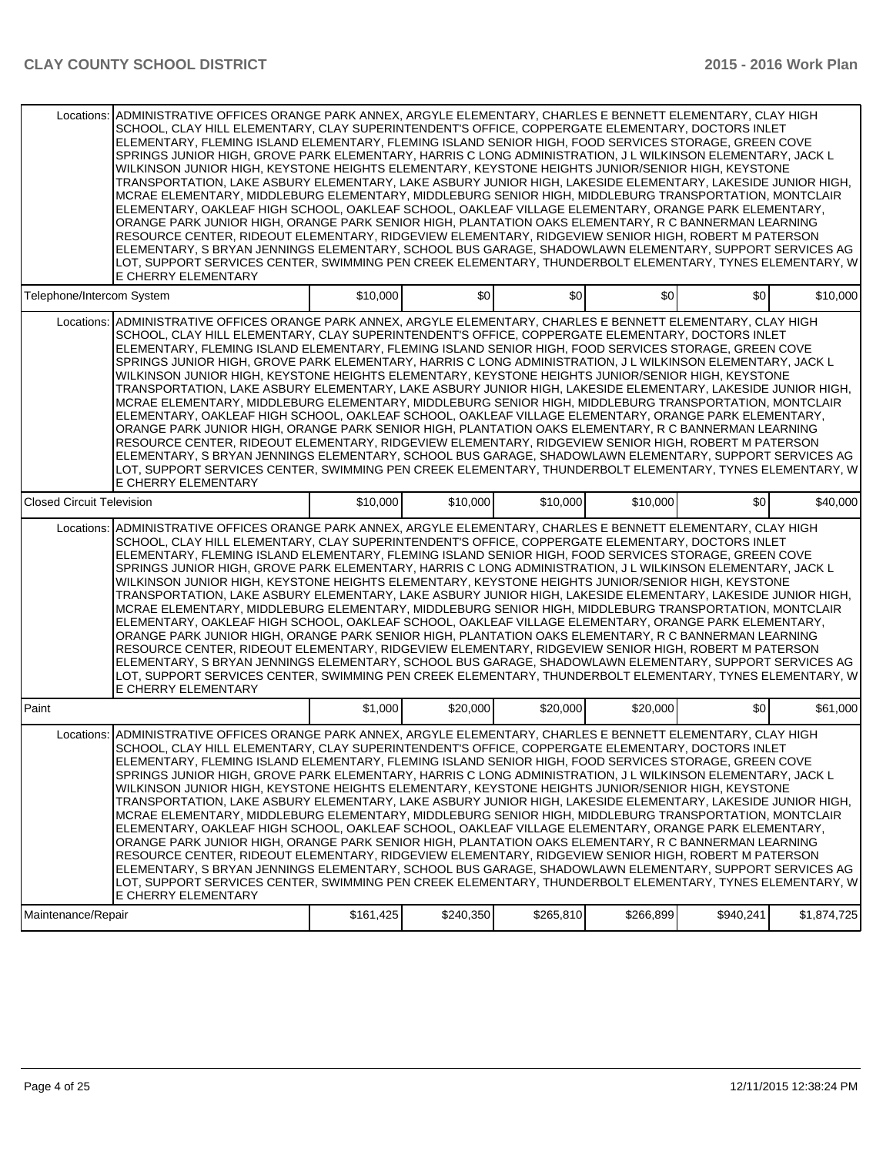|                                  | Locations: ADMINISTRATIVE OFFICES ORANGE PARK ANNEX, ARGYLE ELEMENTARY, CHARLES E BENNETT ELEMENTARY, CLAY HIGH<br>SCHOOL, CLAY HILL ELEMENTARY, CLAY SUPERINTENDENT'S OFFICE, COPPERGATE ELEMENTARY, DOCTORS INLET<br>ELEMENTARY, FLEMING ISLAND ELEMENTARY, FLEMING ISLAND SENIOR HIGH, FOOD SERVICES STORAGE, GREEN COVE<br>SPRINGS JUNIOR HIGH, GROVE PARK ELEMENTARY, HARRIS C LONG ADMINISTRATION, J L WILKINSON ELEMENTARY, JACK L<br>WILKINSON JUNIOR HIGH, KEYSTONE HEIGHTS ELEMENTARY, KEYSTONE HEIGHTS JUNIOR/SENIOR HIGH, KEYSTONE<br>TRANSPORTATION, LAKE ASBURY ELEMENTARY, LAKE ASBURY JUNIOR HIGH, LAKESIDE ELEMENTARY, LAKESIDE JUNIOR HIGH,<br>MCRAE ELEMENTARY, MIDDLEBURG ELEMENTARY, MIDDLEBURG SENIOR HIGH, MIDDLEBURG TRANSPORTATION, MONTCLAIR<br>ELEMENTARY, OAKLEAF HIGH SCHOOL, OAKLEAF SCHOOL, OAKLEAF VILLAGE ELEMENTARY, ORANGE PARK ELEMENTARY,<br>ORANGE PARK JUNIOR HIGH, ORANGE PARK SENIOR HIGH, PLANTATION OAKS ELEMENTARY, R C BANNERMAN LEARNING<br>RESOURCE CENTER, RIDEOUT ELEMENTARY, RIDGEVIEW ELEMENTARY, RIDGEVIEW SENIOR HIGH, ROBERT M PATERSON<br>ELEMENTARY, S BRYAN JENNINGS ELEMENTARY, SCHOOL BUS GARAGE, SHADOWLAWN ELEMENTARY, SUPPORT SERVICES AG<br>LOT, SUPPORT SERVICES CENTER, SWIMMING PEN CREEK ELEMENTARY, THUNDERBOLT ELEMENTARY, TYNES ELEMENTARY, W<br>E CHERRY ELEMENTARY  |           |           |           |           |           |             |
|----------------------------------|---------------------------------------------------------------------------------------------------------------------------------------------------------------------------------------------------------------------------------------------------------------------------------------------------------------------------------------------------------------------------------------------------------------------------------------------------------------------------------------------------------------------------------------------------------------------------------------------------------------------------------------------------------------------------------------------------------------------------------------------------------------------------------------------------------------------------------------------------------------------------------------------------------------------------------------------------------------------------------------------------------------------------------------------------------------------------------------------------------------------------------------------------------------------------------------------------------------------------------------------------------------------------------------------------------------------------------------------|-----------|-----------|-----------|-----------|-----------|-------------|
| Telephone/Intercom System        |                                                                                                                                                                                                                                                                                                                                                                                                                                                                                                                                                                                                                                                                                                                                                                                                                                                                                                                                                                                                                                                                                                                                                                                                                                                                                                                                             | \$10,000  | \$0       | \$0       | \$0       | \$0       | \$10,000    |
|                                  | Locations: ADMINISTRATIVE OFFICES ORANGE PARK ANNEX, ARGYLE ELEMENTARY, CHARLES E BENNETT ELEMENTARY, CLAY HIGH<br>SCHOOL, CLAY HILL ELEMENTARY, CLAY SUPERINTENDENT'S OFFICE, COPPERGATE ELEMENTARY, DOCTORS INLET<br>ELEMENTARY, FLEMING ISLAND ELEMENTARY, FLEMING ISLAND SENIOR HIGH, FOOD SERVICES STORAGE, GREEN COVE<br>SPRINGS JUNIOR HIGH, GROVE PARK ELEMENTARY, HARRIS C LONG ADMINISTRATION, J L WILKINSON ELEMENTARY, JACK L<br>WILKINSON JUNIOR HIGH, KEYSTONE HEIGHTS ELEMENTARY, KEYSTONE HEIGHTS JUNIOR/SENIOR HIGH, KEYSTONE<br>TRANSPORTATION, LAKE ASBURY ELEMENTARY, LAKE ASBURY JUNIOR HIGH, LAKESIDE ELEMENTARY, LAKESIDE JUNIOR HIGH,<br>MCRAE ELEMENTARY, MIDDLEBURG ELEMENTARY, MIDDLEBURG SENIOR HIGH, MIDDLEBURG TRANSPORTATION, MONTCLAIR<br>ELEMENTARY, OAKLEAF HIGH SCHOOL, OAKLEAF SCHOOL, OAKLEAF VILLAGE ELEMENTARY, ORANGE PARK ELEMENTARY,<br>ORANGE PARK JUNIOR HIGH, ORANGE PARK SENIOR HIGH, PLANTATION OAKS ELEMENTARY, R C BANNERMAN LEARNING<br>RESOURCE CENTER, RIDEOUT ELEMENTARY, RIDGEVIEW ELEMENTARY, RIDGEVIEW SENIOR HIGH, ROBERT M PATERSON<br>ELEMENTARY, S BRYAN JENNINGS ELEMENTARY, SCHOOL BUS GARAGE, SHADOWLAWN ELEMENTARY, SUPPORT SERVICES AG<br>LOT, SUPPORT SERVICES CENTER, SWIMMING PEN CREEK ELEMENTARY, THUNDERBOLT ELEMENTARY, TYNES ELEMENTARY, W<br>E CHERRY ELEMENTARY  |           |           |           |           |           |             |
| <b>Closed Circuit Television</b> |                                                                                                                                                                                                                                                                                                                                                                                                                                                                                                                                                                                                                                                                                                                                                                                                                                                                                                                                                                                                                                                                                                                                                                                                                                                                                                                                             | \$10,000  | \$10,000  | \$10,000  | \$10,000  | \$0       | \$40,000    |
| Locations:                       | ADMINISTRATIVE OFFICES ORANGE PARK ANNEX, ARGYLE ELEMENTARY, CHARLES E BENNETT ELEMENTARY, CLAY HIGH<br>SCHOOL, CLAY HILL ELEMENTARY, CLAY SUPERINTENDENT'S OFFICE, COPPERGATE ELEMENTARY, DOCTORS INLET<br>ELEMENTARY, FLEMING ISLAND ELEMENTARY, FLEMING ISLAND SENIOR HIGH, FOOD SERVICES STORAGE, GREEN COVE<br>SPRINGS JUNIOR HIGH, GROVE PARK ELEMENTARY, HARRIS C LONG ADMINISTRATION, J L WILKINSON ELEMENTARY, JACK L<br>WILKINSON JUNIOR HIGH, KEYSTONE HEIGHTS ELEMENTARY, KEYSTONE HEIGHTS JUNIOR/SENIOR HIGH, KEYSTONE<br>TRANSPORTATION, LAKE ASBURY ELEMENTARY, LAKE ASBURY JUNIOR HIGH, LAKESIDE ELEMENTARY, LAKESIDE JUNIOR HIGH,<br>MCRAE ELEMENTARY, MIDDLEBURG ELEMENTARY, MIDDLEBURG SENIOR HIGH, MIDDLEBURG TRANSPORTATION, MONTCLAIR<br>ELEMENTARY, OAKLEAF HIGH SCHOOL, OAKLEAF SCHOOL, OAKLEAF VILLAGE ELEMENTARY, ORANGE PARK ELEMENTARY,<br>ORANGE PARK JUNIOR HIGH, ORANGE PARK SENIOR HIGH, PLANTATION OAKS ELEMENTARY, R C BANNERMAN LEARNING<br>RESOURCE CENTER, RIDEOUT ELEMENTARY, RIDGEVIEW ELEMENTARY, RIDGEVIEW SENIOR HIGH, ROBERT M PATERSON<br>ELEMENTARY, S BRYAN JENNINGS ELEMENTARY, SCHOOL BUS GARAGE, SHADOWLAWN ELEMENTARY, SUPPORT SERVICES AG<br>LOT, SUPPORT SERVICES CENTER, SWIMMING PEN CREEK ELEMENTARY, THUNDERBOLT ELEMENTARY, TYNES ELEMENTARY, W<br>E CHERRY ELEMENTARY             |           |           |           |           |           |             |
| Paint                            |                                                                                                                                                                                                                                                                                                                                                                                                                                                                                                                                                                                                                                                                                                                                                                                                                                                                                                                                                                                                                                                                                                                                                                                                                                                                                                                                             | \$1,000   | \$20,000  | \$20,000  | \$20,000  | \$0       | \$61,000    |
| Maintenance/Repair               | Locations: ADMINISTRATIVE OFFICES ORANGE PARK ANNEX, ARGYLE ELEMENTARY, CHARLES E BENNETT ELEMENTARY, CLAY HIGH<br>SCHOOL, CLAY HILL ELEMENTARY, CLAY SUPERINTENDENT'S OFFICE, COPPERGATE ELEMENTARY, DOCTORS INLET<br>ELEMENTARY, FLEMING ISLAND ELEMENTARY, FLEMING ISLAND SENIOR HIGH, FOOD SERVICES STORAGE, GREEN COVE<br>SPRINGS JUNIOR HIGH, GROVE PARK ELEMENTARY, HARRIS C LONG ADMINISTRATION, J L WILKINSON ELEMENTARY, JACK L<br>WILKINSON JUNIOR HIGH, KEYSTONE HEIGHTS ELEMENTARY, KEYSTONE HEIGHTS JUNIOR/SENIOR HIGH, KEYSTONE<br>TRANSPORTATION, LAKE ASBURY ELEMENTARY, LAKE ASBURY JUNIOR HIGH, LAKESIDE ELEMENTARY, LAKESIDE JUNIOR HIGH,<br>MCRAE ELEMENTARY, MIDDLEBURG ELEMENTARY, MIDDLEBURG SENIOR HIGH, MIDDLEBURG TRANSPORTATION, MONTCLAIR<br>ELEMENTARY, OAKLEAF HIGH SCHOOL, OAKLEAF SCHOOL, OAKLEAF VILLAGE ELEMENTARY, ORANGE PARK ELEMENTARY,<br>ORANGE PARK JUNIOR HIGH, ORANGE PARK SENIOR HIGH, PLANTATION OAKS ELEMENTARY, R C BANNERMAN LEARNING<br>RESOURCE CENTER, RIDEOUT ELEMENTARY, RIDGEVIEW ELEMENTARY, RIDGEVIEW SENIOR HIGH, ROBERT M PATERSON<br>ELEMENTARY, S BRYAN JENNINGS ELEMENTARY, SCHOOL BUS GARAGE, SHADOWLAWN ELEMENTARY, SUPPORT SERVICES AG<br>LOT. SUPPORT SERVICES CENTER. SWIMMING PEN CREEK ELEMENTARY. THUNDERBOLT ELEMENTARY. TYNES ELEMENTARY. WI<br>E CHERRY ELEMENTARY | \$161,425 | \$240,350 | \$265,810 | \$266,899 | \$940,241 | \$1,874,725 |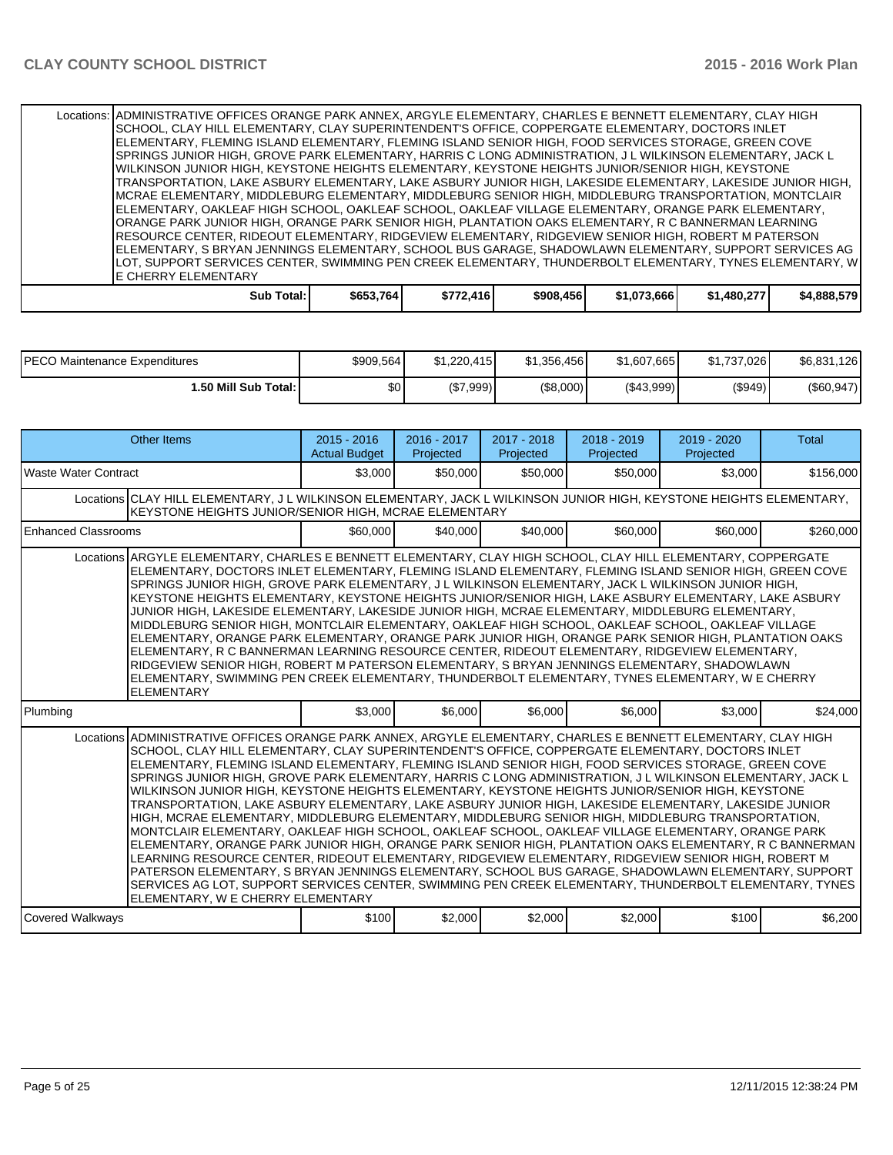| Locations: ADMINISTRATIVE OFFICES ORANGE PARK ANNEX, ARGYLE ELEMENTARY, CHARLES E BENNETT ELEMENTARY, CLAY HIGH |            |           |           |             |             |             |
|-----------------------------------------------------------------------------------------------------------------|------------|-----------|-----------|-------------|-------------|-------------|
| SCHOOL, CLAY HILL ELEMENTARY, CLAY SUPERINTENDENT'S OFFICE, COPPERGATE ELEMENTARY, DOCTORS INLET                |            |           |           |             |             |             |
| ELEMENTARY, FLEMING ISLAND ELEMENTARY, FLEMING ISLAND SENIOR HIGH, FOOD SERVICES STORAGE, GREEN COVE            |            |           |           |             |             |             |
| ISPRINGS JUNIOR HIGH. GROVE PARK ELEMENTARY, HARRIS C LONG ADMINISTRATION, J L WILKINSON ELEMENTARY, JACK L     |            |           |           |             |             |             |
| WILKINSON JUNIOR HIGH. KEYSTONE HEIGHTS ELEMENTARY. KEYSTONE HEIGHTS JUNIOR/SENIOR HIGH. KEYSTONE               |            |           |           |             |             |             |
| TRANSPORTATION, LAKE ASBURY ELEMENTARY, LAKE ASBURY JUNIOR HIGH, LAKESIDE ELEMENTARY, LAKESIDE JUNIOR HIGH,     |            |           |           |             |             |             |
| MCRAE ELEMENTARY, MIDDLEBURG ELEMENTARY, MIDDLEBURG SENIOR HIGH, MIDDLEBURG TRANSPORTATION, MONTCLAIR           |            |           |           |             |             |             |
| ELEMENTARY, OAKLEAF HIGH SCHOOL, OAKLEAF SCHOOL, OAKLEAF VILLAGE ELEMENTARY, ORANGE PARK ELEMENTARY,            |            |           |           |             |             |             |
| ORANGE PARK JUNIOR HIGH, ORANGE PARK SENIOR HIGH, PLANTATION OAKS ELEMENTARY. R C BANNERMAN LEARNING            |            |           |           |             |             |             |
| RESOURCE CENTER, RIDEOUT ELEMENTARY, RIDGEVIEW ELEMENTARY, RIDGEVIEW SENIOR HIGH, ROBERT M PATERSON             |            |           |           |             |             |             |
| ELEMENTARY, S BRYAN JENNINGS ELEMENTARY, SCHOOL BUS GARAGE, SHADOWLAWN ELEMENTARY, SUPPORT SERVICES AG          |            |           |           |             |             |             |
| LOT, SUPPORT SERVICES CENTER, SWIMMING PEN CREEK ELEMENTARY, THUNDERBOLT ELEMENTARY, TYNES ELEMENTARY, W        |            |           |           |             |             |             |
| <b>LE CHERRY ELEMENTARY</b>                                                                                     |            |           |           |             |             |             |
| <b>Sub Total:</b>                                                                                               | \$653,764] | \$772,416 | \$908,456 | \$1,073,666 | \$1,480,277 | \$4,888,579 |

| <b>IPECO Maintenance Expenditures</b> | \$909,564 | \$1.220.415 | \$1.356.456 | \$1.607.665 | \$1.737.026 | \$6,831,126  |
|---------------------------------------|-----------|-------------|-------------|-------------|-------------|--------------|
| 1.50 Mill Sub Total: I                | \$0 I     | (\$7,999)   | (\$8,000)   | ( \$43,999] | (S949)      | $(\$60,947)$ |

| <b>Other Items</b>                                                                                                                                                                                                                                                                                                                                                                                                                                                                                                                                                                                                                                                                                                                                                                                                                                                                                                                                                                                                                                                                                                                                                                                                                                                                                                                        | $2015 - 2016$<br><b>Actual Budget</b> | 2016 - 2017<br>Projected | 2017 - 2018<br>Projected | 2018 - 2019<br>Projected | 2019 - 2020<br>Projected | <b>Total</b> |
|-------------------------------------------------------------------------------------------------------------------------------------------------------------------------------------------------------------------------------------------------------------------------------------------------------------------------------------------------------------------------------------------------------------------------------------------------------------------------------------------------------------------------------------------------------------------------------------------------------------------------------------------------------------------------------------------------------------------------------------------------------------------------------------------------------------------------------------------------------------------------------------------------------------------------------------------------------------------------------------------------------------------------------------------------------------------------------------------------------------------------------------------------------------------------------------------------------------------------------------------------------------------------------------------------------------------------------------------|---------------------------------------|--------------------------|--------------------------|--------------------------|--------------------------|--------------|
| l Waste Water Contract                                                                                                                                                                                                                                                                                                                                                                                                                                                                                                                                                                                                                                                                                                                                                                                                                                                                                                                                                                                                                                                                                                                                                                                                                                                                                                                    | \$3,000                               | \$50,000                 | \$50,000                 | \$50,000                 | \$3.000                  | \$156,000    |
| Locations CLAY HILL ELEMENTARY, J L WILKINSON ELEMENTARY, JACK L WILKINSON JUNIOR HIGH, KEYSTONE HEIGHTS ELEMENTARY,<br>KEYSTONE HEIGHTS JUNIOR/SENIOR HIGH, MCRAE ELEMENTARY                                                                                                                                                                                                                                                                                                                                                                                                                                                                                                                                                                                                                                                                                                                                                                                                                                                                                                                                                                                                                                                                                                                                                             |                                       |                          |                          |                          |                          |              |
| Enhanced Classrooms                                                                                                                                                                                                                                                                                                                                                                                                                                                                                                                                                                                                                                                                                                                                                                                                                                                                                                                                                                                                                                                                                                                                                                                                                                                                                                                       | \$60,000                              | \$40,000                 | \$40,000                 | \$60,000                 | \$60,000                 | \$260,000    |
| Locations ARGYLE ELEMENTARY, CHARLES E BENNETT ELEMENTARY, CLAY HIGH SCHOOL, CLAY HILL ELEMENTARY, COPPERGATE<br>IELEMENTARY. DOCTORS INLET ELEMENTARY. FLEMING ISLAND ELEMENTARY. FLEMING ISLAND SENIOR HIGH. GREEN COVE<br>SPRINGS JUNIOR HIGH. GROVE PARK ELEMENTARY. J L WILKINSON ELEMENTARY. JACK L WILKINSON JUNIOR HIGH.<br>KEYSTONE HEIGHTS ELEMENTARY, KEYSTONE HEIGHTS JUNIOR/SENIOR HIGH, LAKE ASBURY ELEMENTARY, LAKE ASBURY<br>JUNIOR HIGH, LAKESIDE ELEMENTARY, LAKESIDE JUNIOR HIGH, MCRAE ELEMENTARY, MIDDLEBURG ELEMENTARY,<br>MIDDLEBURG SENIOR HIGH. MONTCLAIR ELEMENTARY. OAKLEAF HIGH SCHOOL. OAKLEAF SCHOOL. OAKLEAF VILLAGE<br>ELEMENTARY, ORANGE PARK ELEMENTARY, ORANGE PARK JUNIOR HIGH, ORANGE PARK SENIOR HIGH, PLANTATION OAKS<br>ELEMENTARY, R C BANNERMAN LEARNING RESOURCE CENTER, RIDEOUT ELEMENTARY, RIDGEVIEW ELEMENTARY,<br>RIDGEVIEW SENIOR HIGH. ROBERT M PATERSON ELEMENTARY. S BRYAN JENNINGS ELEMENTARY. SHADOWLAWN<br>ELEMENTARY, SWIMMING PEN CREEK ELEMENTARY, THUNDERBOLT ELEMENTARY, TYNES ELEMENTARY, W E CHERRY<br><b>ELEMENTARY</b>                                                                                                                                                                                                                                                     |                                       |                          |                          |                          |                          |              |
| Plumbing                                                                                                                                                                                                                                                                                                                                                                                                                                                                                                                                                                                                                                                                                                                                                                                                                                                                                                                                                                                                                                                                                                                                                                                                                                                                                                                                  | \$3,000                               | \$6,000                  | \$6,000                  | \$6,000                  | \$3.000                  | \$24.000     |
| Locations ADMINISTRATIVE OFFICES ORANGE PARK ANNEX, ARGYLE ELEMENTARY, CHARLES E BENNETT ELEMENTARY, CLAY HIGH<br>SCHOOL, CLAY HILL ELEMENTARY, CLAY SUPERINTENDENT'S OFFICE, COPPERGATE ELEMENTARY, DOCTORS INLET<br>ELEMENTARY, FLEMING ISLAND ELEMENTARY, FLEMING ISLAND SENIOR HIGH, FOOD SERVICES STORAGE, GREEN COVE<br>SPRINGS JUNIOR HIGH, GROVE PARK ELEMENTARY, HARRIS C LONG ADMINISTRATION, J L WILKINSON ELEMENTARY, JACK L<br>WILKINSON JUNIOR HIGH, KEYSTONE HEIGHTS ELEMENTARY, KEYSTONE HEIGHTS JUNIOR/SENIOR HIGH, KEYSTONE<br>TRANSPORTATION. LAKE ASBURY ELEMENTARY. LAKE ASBURY JUNIOR HIGH. LAKESIDE ELEMENTARY. LAKESIDE JUNIOR<br>HIGH, MCRAE ELEMENTARY, MIDDLEBURG ELEMENTARY, MIDDLEBURG SENIOR HIGH, MIDDLEBURG TRANSPORTATION,<br>MONTCLAIR ELEMENTARY, OAKLEAF HIGH SCHOOL, OAKLEAF SCHOOL, OAKLEAF VILLAGE ELEMENTARY, ORANGE PARK<br>ELEMENTARY, ORANGE PARK JUNIOR HIGH, ORANGE PARK SENIOR HIGH, PLANTATION OAKS ELEMENTARY, R C BANNERMAN<br>LEARNING RESOURCE CENTER, RIDEOUT ELEMENTARY, RIDGEVIEW ELEMENTARY, RIDGEVIEW SENIOR HIGH, ROBERT M<br>PATERSON ELEMENTARY, S BRYAN JENNINGS ELEMENTARY, SCHOOL BUS GARAGE, SHADOWLAWN ELEMENTARY, SUPPORT<br>SERVICES AG LOT, SUPPORT SERVICES CENTER, SWIMMING PEN CREEK ELEMENTARY, THUNDERBOLT ELEMENTARY, TYNES<br>ELEMENTARY, W E CHERRY ELEMENTARY |                                       |                          |                          |                          |                          |              |
| Covered Walkways                                                                                                                                                                                                                                                                                                                                                                                                                                                                                                                                                                                                                                                                                                                                                                                                                                                                                                                                                                                                                                                                                                                                                                                                                                                                                                                          | \$100                                 | \$2,000                  | \$2,000                  | \$2,000                  | \$100                    | \$6,200      |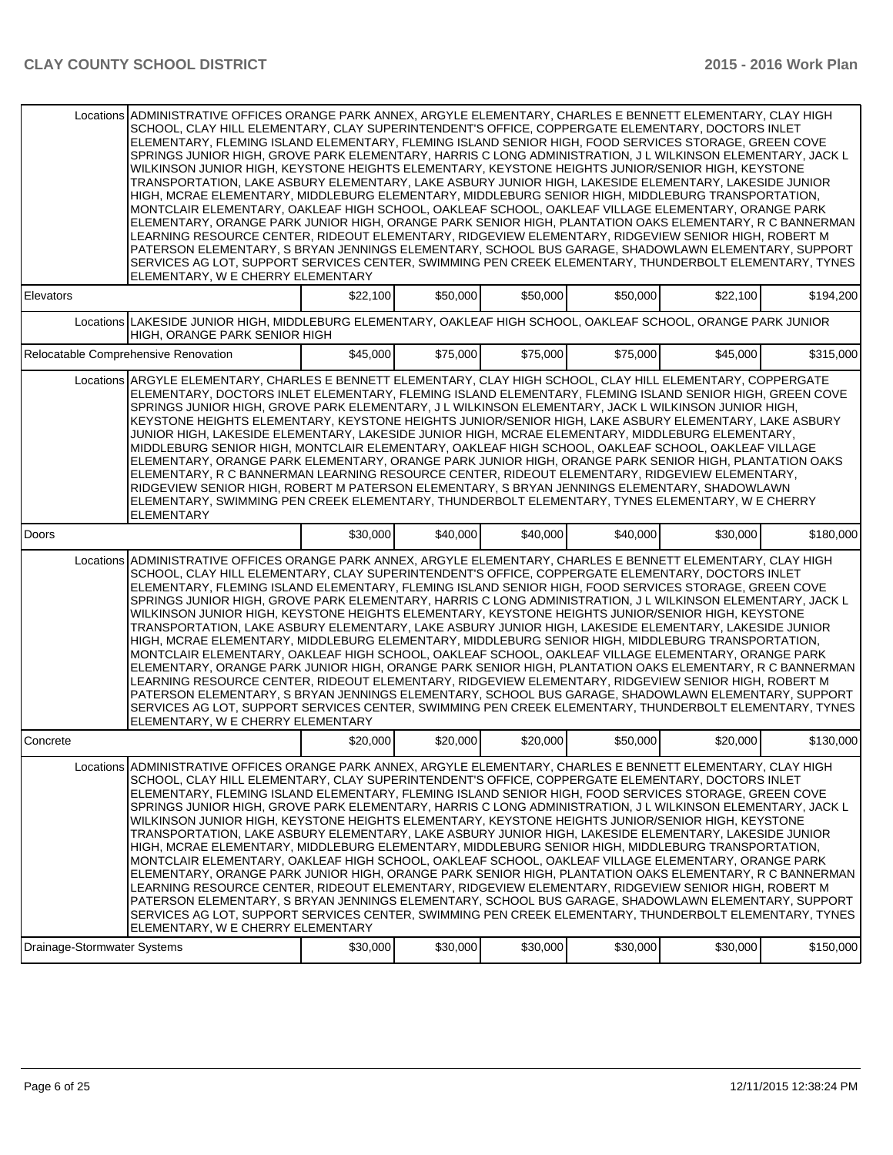|                             | Locations ADMINISTRATIVE OFFICES ORANGE PARK ANNEX, ARGYLE ELEMENTARY, CHARLES E BENNETT ELEMENTARY, CLAY HIGH<br>SCHOOL, CLAY HILL ELEMENTARY, CLAY SUPERINTENDENT'S OFFICE, COPPERGATE ELEMENTARY, DOCTORS INLET<br>ELEMENTARY, FLEMING ISLAND ELEMENTARY, FLEMING ISLAND SENIOR HIGH, FOOD SERVICES STORAGE, GREEN COVE<br>SPRINGS JUNIOR HIGH. GROVE PARK ELEMENTARY. HARRIS C LONG ADMINISTRATION. J L WILKINSON ELEMENTARY. JACK L<br>WILKINSON JUNIOR HIGH, KEYSTONE HEIGHTS ELEMENTARY, KEYSTONE HEIGHTS JUNIOR/SENIOR HIGH, KEYSTONE<br>TRANSPORTATION, LAKE ASBURY ELEMENTARY, LAKE ASBURY JUNIOR HIGH, LAKESIDE ELEMENTARY, LAKESIDE JUNIOR<br>HIGH, MCRAE ELEMENTARY, MIDDLEBURG ELEMENTARY, MIDDLEBURG SENIOR HIGH, MIDDLEBURG TRANSPORTATION,<br>MONTCLAIR ELEMENTARY, OAKLEAF HIGH SCHOOL, OAKLEAF SCHOOL, OAKLEAF VILLAGE ELEMENTARY, ORANGE PARK<br>ELEMENTARY, ORANGE PARK JUNIOR HIGH, ORANGE PARK SENIOR HIGH, PLANTATION OAKS ELEMENTARY, R C BANNERMAN<br>LEARNING RESOURCE CENTER, RIDEOUT ELEMENTARY, RIDGEVIEW ELEMENTARY, RIDGEVIEW SENIOR HIGH, ROBERT M<br>PATERSON ELEMENTARY, S BRYAN JENNINGS ELEMENTARY, SCHOOL BUS GARAGE, SHADOWLAWN ELEMENTARY, SUPPORT<br>SERVICES AG LOT, SUPPORT SERVICES CENTER, SWIMMING PEN CREEK ELEMENTARY, THUNDERBOLT ELEMENTARY, TYNES<br>ELEMENTARY, W E CHERRY ELEMENTARY |          |          |          |          |          |           |
|-----------------------------|-------------------------------------------------------------------------------------------------------------------------------------------------------------------------------------------------------------------------------------------------------------------------------------------------------------------------------------------------------------------------------------------------------------------------------------------------------------------------------------------------------------------------------------------------------------------------------------------------------------------------------------------------------------------------------------------------------------------------------------------------------------------------------------------------------------------------------------------------------------------------------------------------------------------------------------------------------------------------------------------------------------------------------------------------------------------------------------------------------------------------------------------------------------------------------------------------------------------------------------------------------------------------------------------------------------------------------------------|----------|----------|----------|----------|----------|-----------|
| Elevators                   |                                                                                                                                                                                                                                                                                                                                                                                                                                                                                                                                                                                                                                                                                                                                                                                                                                                                                                                                                                                                                                                                                                                                                                                                                                                                                                                                           | \$22,100 | \$50,000 | \$50,000 | \$50,000 | \$22,100 | \$194,200 |
|                             | Locations LAKESIDE JUNIOR HIGH, MIDDLEBURG ELEMENTARY, OAKLEAF HIGH SCHOOL, OAKLEAF SCHOOL, ORANGE PARK JUNIOR<br>HIGH, ORANGE PARK SENIOR HIGH                                                                                                                                                                                                                                                                                                                                                                                                                                                                                                                                                                                                                                                                                                                                                                                                                                                                                                                                                                                                                                                                                                                                                                                           |          |          |          |          |          |           |
|                             | Relocatable Comprehensive Renovation                                                                                                                                                                                                                                                                                                                                                                                                                                                                                                                                                                                                                                                                                                                                                                                                                                                                                                                                                                                                                                                                                                                                                                                                                                                                                                      | \$45,000 | \$75,000 | \$75,000 | \$75,000 | \$45,000 | \$315,000 |
|                             | Locations ARGYLE ELEMENTARY, CHARLES E BENNETT ELEMENTARY, CLAY HIGH SCHOOL, CLAY HILL ELEMENTARY, COPPERGATE<br>ELEMENTARY, DOCTORS INLET ELEMENTARY, FLEMING ISLAND ELEMENTARY, FLEMING ISLAND SENIOR HIGH, GREEN COVE<br>SPRINGS JUNIOR HIGH, GROVE PARK ELEMENTARY, J L WILKINSON ELEMENTARY, JACK L WILKINSON JUNIOR HIGH,<br>KEYSTONE HEIGHTS ELEMENTARY, KEYSTONE HEIGHTS JUNIOR/SENIOR HIGH, LAKE ASBURY ELEMENTARY, LAKE ASBURY<br>JUNIOR HIGH, LAKESIDE ELEMENTARY, LAKESIDE JUNIOR HIGH, MCRAE ELEMENTARY, MIDDLEBURG ELEMENTARY,<br>MIDDLEBURG SENIOR HIGH, MONTCLAIR ELEMENTARY, OAKLEAF HIGH SCHOOL, OAKLEAF SCHOOL, OAKLEAF VILLAGE<br>ELEMENTARY, ORANGE PARK ELEMENTARY, ORANGE PARK JUNIOR HIGH, ORANGE PARK SENIOR HIGH, PLANTATION OAKS<br>ELEMENTARY, R C BANNERMAN LEARNING RESOURCE CENTER, RIDEOUT ELEMENTARY, RIDGEVIEW ELEMENTARY,<br>RIDGEVIEW SENIOR HIGH, ROBERT M PATERSON ELEMENTARY, S BRYAN JENNINGS ELEMENTARY, SHADOWLAWN<br>ELEMENTARY, SWIMMING PEN CREEK ELEMENTARY, THUNDERBOLT ELEMENTARY, TYNES ELEMENTARY, W E CHERRY<br><b>ELEMENTARY</b>                                                                                                                                                                                                                                                      |          |          |          |          |          |           |
| <b>Doors</b>                |                                                                                                                                                                                                                                                                                                                                                                                                                                                                                                                                                                                                                                                                                                                                                                                                                                                                                                                                                                                                                                                                                                                                                                                                                                                                                                                                           | \$30,000 | \$40,000 | \$40,000 | \$40,000 | \$30,000 | \$180.000 |
|                             | Locations ADMINISTRATIVE OFFICES ORANGE PARK ANNEX, ARGYLE ELEMENTARY, CHARLES E BENNETT ELEMENTARY, CLAY HIGH<br>SCHOOL, CLAY HILL ELEMENTARY, CLAY SUPERINTENDENT'S OFFICE, COPPERGATE ELEMENTARY, DOCTORS INLET<br>ELEMENTARY, FLEMING ISLAND ELEMENTARY, FLEMING ISLAND SENIOR HIGH, FOOD SERVICES STORAGE, GREEN COVE<br>SPRINGS JUNIOR HIGH, GROVE PARK ELEMENTARY, HARRIS C LONG ADMINISTRATION, J L WILKINSON ELEMENTARY, JACK L<br>WILKINSON JUNIOR HIGH, KEYSTONE HEIGHTS ELEMENTARY, KEYSTONE HEIGHTS JUNIOR/SENIOR HIGH, KEYSTONE<br>TRANSPORTATION, LAKE ASBURY ELEMENTARY, LAKE ASBURY JUNIOR HIGH, LAKESIDE ELEMENTARY, LAKESIDE JUNIOR<br>HIGH, MCRAE ELEMENTARY, MIDDLEBURG ELEMENTARY, MIDDLEBURG SENIOR HIGH, MIDDLEBURG TRANSPORTATION,<br>MONTCLAIR ELEMENTARY, OAKLEAF HIGH SCHOOL, OAKLEAF SCHOOL, OAKLEAF VILLAGE ELEMENTARY, ORANGE PARK<br>ELEMENTARY, ORANGE PARK JUNIOR HIGH, ORANGE PARK SENIOR HIGH, PLANTATION OAKS ELEMENTARY, R C BANNERMAN<br>LEARNING RESOURCE CENTER, RIDEOUT ELEMENTARY, RIDGEVIEW ELEMENTARY, RIDGEVIEW SENIOR HIGH, ROBERT M<br>PATERSON ELEMENTARY, S BRYAN JENNINGS ELEMENTARY, SCHOOL BUS GARAGE, SHADOWLAWN ELEMENTARY, SUPPORT<br>SERVICES AG LOT, SUPPORT SERVICES CENTER, SWIMMING PEN CREEK ELEMENTARY, THUNDERBOLT ELEMENTARY, TYNES<br>ELEMENTARY, W E CHERRY ELEMENTARY |          |          |          |          |          |           |
| Concrete                    |                                                                                                                                                                                                                                                                                                                                                                                                                                                                                                                                                                                                                                                                                                                                                                                                                                                                                                                                                                                                                                                                                                                                                                                                                                                                                                                                           | \$20,000 | \$20,000 | \$20,000 | \$50,000 | \$20,000 | \$130,000 |
|                             | Locations ADMINISTRATIVE OFFICES ORANGE PARK ANNEX, ARGYLE ELEMENTARY, CHARLES E BENNETT ELEMENTARY, CLAY HIGH<br>SCHOOL, CLAY HILL ELEMENTARY, CLAY SUPERINTENDENT'S OFFICE, COPPERGATE ELEMENTARY, DOCTORS INLET<br>ELEMENTARY, FLEMING ISLAND ELEMENTARY, FLEMING ISLAND SENIOR HIGH, FOOD SERVICES STORAGE, GREEN COVE<br>SPRINGS JUNIOR HIGH, GROVE PARK ELEMENTARY, HARRIS C LONG ADMINISTRATION, J L WILKINSON ELEMENTARY, JACK L<br>WILKINSON JUNIOR HIGH, KEYSTONE HEIGHTS ELEMENTARY, KEYSTONE HEIGHTS JUNIOR/SENIOR HIGH, KEYSTONE<br>TRANSPORTATION, LAKE ASBURY ELEMENTARY, LAKE ASBURY JUNIOR HIGH, LAKESIDE ELEMENTARY, LAKESIDE JUNIOR<br>HIGH, MCRAE ELEMENTARY, MIDDLEBURG ELEMENTARY, MIDDLEBURG SENIOR HIGH, MIDDLEBURG TRANSPORTATION,<br>MONTCLAIR ELEMENTARY, OAKLEAF HIGH SCHOOL, OAKLEAF SCHOOL, OAKLEAF VILLAGE ELEMENTARY, ORANGE PARK<br>ELEMENTARY, ORANGE PARK JUNIOR HIGH, ORANGE PARK SENIOR HIGH, PLANTATION OAKS ELEMENTARY, R C BANNERMAN<br>LEARNING RESOURCE CENTER, RIDEOUT ELEMENTARY, RIDGEVIEW ELEMENTARY, RIDGEVIEW SENIOR HIGH, ROBERT M<br>PATERSON ELEMENTARY, S BRYAN JENNINGS ELEMENTARY, SCHOOL BUS GARAGE, SHADOWLAWN ELEMENTARY, SUPPORT<br>SERVICES AG LOT, SUPPORT SERVICES CENTER, SWIMMING PEN CREEK ELEMENTARY, THUNDERBOLT ELEMENTARY, TYNES<br>ELEMENTARY, W E CHERRY ELEMENTARY |          |          |          |          |          |           |
| Drainage-Stormwater Systems |                                                                                                                                                                                                                                                                                                                                                                                                                                                                                                                                                                                                                                                                                                                                                                                                                                                                                                                                                                                                                                                                                                                                                                                                                                                                                                                                           | \$30,000 | \$30,000 | \$30,000 | \$30,000 | \$30,000 | \$150,000 |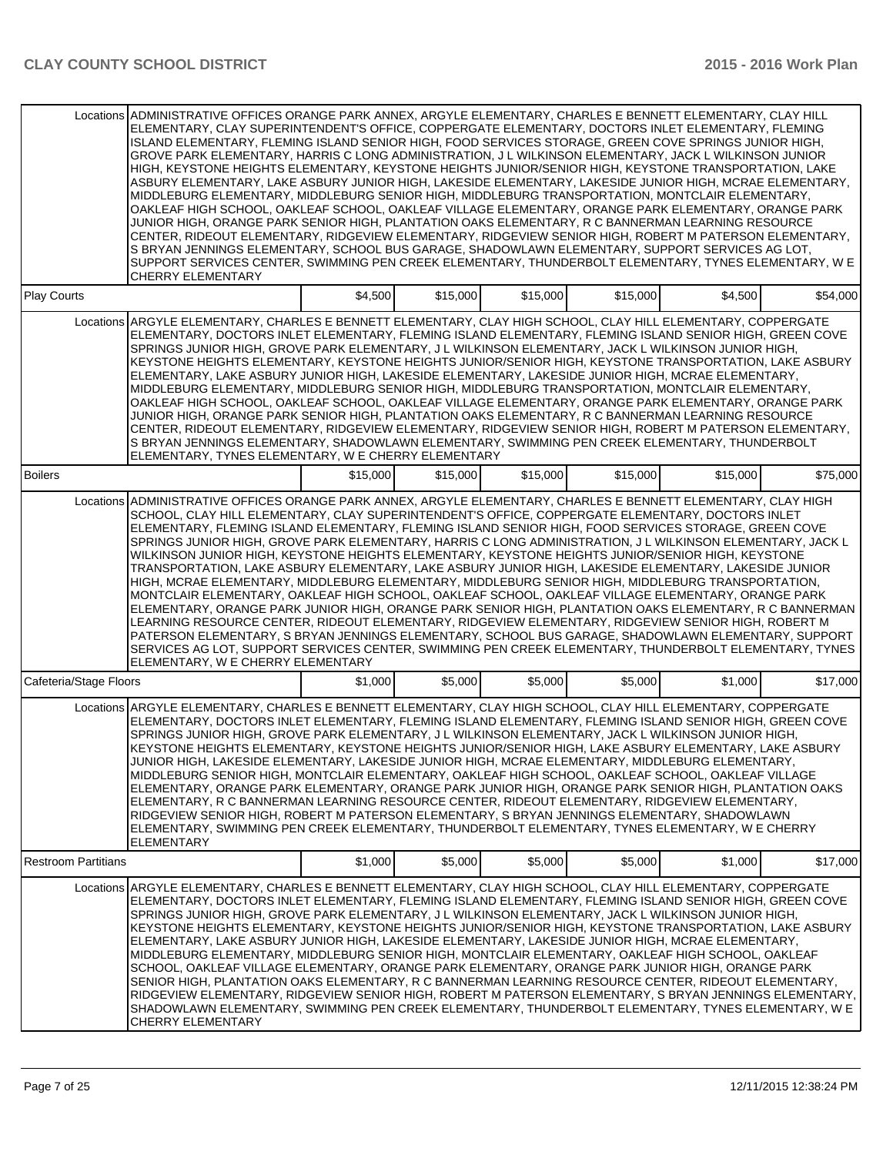|                            | Locations ADMINISTRATIVE OFFICES ORANGE PARK ANNEX, ARGYLE ELEMENTARY, CHARLES E BENNETT ELEMENTARY, CLAY HILL<br>ELEMENTARY, CLAY SUPERINTENDENT'S OFFICE, COPPERGATE ELEMENTARY, DOCTORS INLET ELEMENTARY, FLEMING<br>ISLAND ELEMENTARY, FLEMING ISLAND SENIOR HIGH, FOOD SERVICES STORAGE, GREEN COVE SPRINGS JUNIOR HIGH,<br>GROVE PARK ELEMENTARY, HARRIS C LONG ADMINISTRATION, J L WILKINSON ELEMENTARY, JACK L WILKINSON JUNIOR<br>HIGH, KEYSTONE HEIGHTS ELEMENTARY, KEYSTONE HEIGHTS JUNIOR/SENIOR HIGH, KEYSTONE TRANSPORTATION, LAKE<br>ASBURY ELEMENTARY, LAKE ASBURY JUNIOR HIGH, LAKESIDE ELEMENTARY, LAKESIDE JUNIOR HIGH, MCRAE ELEMENTARY,<br>MIDDLEBURG ELEMENTARY, MIDDLEBURG SENIOR HIGH, MIDDLEBURG TRANSPORTATION, MONTCLAIR ELEMENTARY,<br>OAKLEAF HIGH SCHOOL, OAKLEAF SCHOOL, OAKLEAF VILLAGE ELEMENTARY, ORANGE PARK ELEMENTARY, ORANGE PARK                                                                                                                                                                                                                                                                                                                                                                                                                                                                   |          |          |          |          |          |          |
|----------------------------|-------------------------------------------------------------------------------------------------------------------------------------------------------------------------------------------------------------------------------------------------------------------------------------------------------------------------------------------------------------------------------------------------------------------------------------------------------------------------------------------------------------------------------------------------------------------------------------------------------------------------------------------------------------------------------------------------------------------------------------------------------------------------------------------------------------------------------------------------------------------------------------------------------------------------------------------------------------------------------------------------------------------------------------------------------------------------------------------------------------------------------------------------------------------------------------------------------------------------------------------------------------------------------------------------------------------------------------------|----------|----------|----------|----------|----------|----------|
|                            | JUNIOR HIGH, ORANGE PARK SENIOR HIGH, PLANTATION OAKS ELEMENTARY, R C BANNERMAN LEARNING RESOURCE<br>CENTER, RIDEOUT ELEMENTARY, RIDGEVIEW ELEMENTARY, RIDGEVIEW SENIOR HIGH, ROBERT M PATERSON ELEMENTARY,<br>S BRYAN JENNINGS ELEMENTARY, SCHOOL BUS GARAGE, SHADOWLAWN ELEMENTARY, SUPPORT SERVICES AG LOT,<br>SUPPORT SERVICES CENTER, SWIMMING PEN CREEK ELEMENTARY, THUNDERBOLT ELEMENTARY, TYNES ELEMENTARY, W E<br><b>CHERRY ELEMENTARY</b>                                                                                                                                                                                                                                                                                                                                                                                                                                                                                                                                                                                                                                                                                                                                                                                                                                                                                       |          |          |          |          |          |          |
| <b>Play Courts</b>         |                                                                                                                                                                                                                                                                                                                                                                                                                                                                                                                                                                                                                                                                                                                                                                                                                                                                                                                                                                                                                                                                                                                                                                                                                                                                                                                                           | \$4,500  | \$15,000 | \$15,000 | \$15,000 | \$4,500  | \$54,000 |
|                            | Locations ARGYLE ELEMENTARY, CHARLES E BENNETT ELEMENTARY, CLAY HIGH SCHOOL, CLAY HILL ELEMENTARY, COPPERGATE<br>ELEMENTARY, DOCTORS INLET ELEMENTARY, FLEMING ISLAND ELEMENTARY, FLEMING ISLAND SENIOR HIGH, GREEN COVE<br>SPRINGS JUNIOR HIGH, GROVE PARK ELEMENTARY, J L WILKINSON ELEMENTARY, JACK L WILKINSON JUNIOR HIGH,<br>KEYSTONE HEIGHTS ELEMENTARY, KEYSTONE HEIGHTS JUNIOR/SENIOR HIGH, KEYSTONE TRANSPORTATION, LAKE ASBURY<br>ELEMENTARY, LAKE ASBURY JUNIOR HIGH, LAKESIDE ELEMENTARY, LAKESIDE JUNIOR HIGH, MCRAE ELEMENTARY,<br>MIDDLEBURG ELEMENTARY, MIDDLEBURG SENIOR HIGH, MIDDLEBURG TRANSPORTATION, MONTCLAIR ELEMENTARY,<br>OAKLEAF HIGH SCHOOL, OAKLEAF SCHOOL, OAKLEAF VILLAGE ELEMENTARY, ORANGE PARK ELEMENTARY, ORANGE PARK<br>JUNIOR HIGH, ORANGE PARK SENIOR HIGH, PLANTATION OAKS ELEMENTARY, R C BANNERMAN LEARNING RESOURCE<br>CENTER, RIDEOUT ELEMENTARY, RIDGEVIEW ELEMENTARY, RIDGEVIEW SENIOR HIGH, ROBERT M PATERSON ELEMENTARY,<br>S BRYAN JENNINGS ELEMENTARY, SHADOWLAWN ELEMENTARY, SWIMMING PEN CREEK ELEMENTARY, THUNDERBOLT<br>ELEMENTARY, TYNES ELEMENTARY, W E CHERRY ELEMENTARY                                                                                                                                                                                                         |          |          |          |          |          |          |
| <b>Boilers</b>             |                                                                                                                                                                                                                                                                                                                                                                                                                                                                                                                                                                                                                                                                                                                                                                                                                                                                                                                                                                                                                                                                                                                                                                                                                                                                                                                                           | \$15,000 | \$15,000 | \$15,000 | \$15,000 | \$15,000 | \$75,000 |
|                            | Locations ADMINISTRATIVE OFFICES ORANGE PARK ANNEX, ARGYLE ELEMENTARY, CHARLES E BENNETT ELEMENTARY, CLAY HIGH<br>SCHOOL, CLAY HILL ELEMENTARY, CLAY SUPERINTENDENT'S OFFICE, COPPERGATE ELEMENTARY, DOCTORS INLET<br>ELEMENTARY, FLEMING ISLAND ELEMENTARY, FLEMING ISLAND SENIOR HIGH, FOOD SERVICES STORAGE, GREEN COVE<br>SPRINGS JUNIOR HIGH, GROVE PARK ELEMENTARY, HARRIS C LONG ADMINISTRATION, J L WILKINSON ELEMENTARY, JACK L<br>WILKINSON JUNIOR HIGH, KEYSTONE HEIGHTS ELEMENTARY, KEYSTONE HEIGHTS JUNIOR/SENIOR HIGH, KEYSTONE<br>TRANSPORTATION, LAKE ASBURY ELEMENTARY, LAKE ASBURY JUNIOR HIGH, LAKESIDE ELEMENTARY, LAKESIDE JUNIOR<br>HIGH, MCRAE ELEMENTARY, MIDDLEBURG ELEMENTARY, MIDDLEBURG SENIOR HIGH, MIDDLEBURG TRANSPORTATION,<br>MONTCLAIR ELEMENTARY, OAKLEAF HIGH SCHOOL, OAKLEAF SCHOOL, OAKLEAF VILLAGE ELEMENTARY, ORANGE PARK<br>ELEMENTARY, ORANGE PARK JUNIOR HIGH, ORANGE PARK SENIOR HIGH, PLANTATION OAKS ELEMENTARY, R C BANNERMAN<br>LEARNING RESOURCE CENTER, RIDEOUT ELEMENTARY, RIDGEVIEW ELEMENTARY, RIDGEVIEW SENIOR HIGH, ROBERT M<br>PATERSON ELEMENTARY, S BRYAN JENNINGS ELEMENTARY, SCHOOL BUS GARAGE, SHADOWLAWN ELEMENTARY, SUPPORT<br>SERVICES AG LOT, SUPPORT SERVICES CENTER, SWIMMING PEN CREEK ELEMENTARY, THUNDERBOLT ELEMENTARY, TYNES<br>ELEMENTARY, W E CHERRY ELEMENTARY |          |          |          |          |          |          |
| Cafeteria/Stage Floors     |                                                                                                                                                                                                                                                                                                                                                                                                                                                                                                                                                                                                                                                                                                                                                                                                                                                                                                                                                                                                                                                                                                                                                                                                                                                                                                                                           | \$1,000  | \$5,000  | \$5,000  | \$5,000  | \$1,000  | \$17,000 |
|                            | Locations ARGYLE ELEMENTARY, CHARLES E BENNETT ELEMENTARY, CLAY HIGH SCHOOL, CLAY HILL ELEMENTARY, COPPERGATE<br>ELEMENTARY, DOCTORS INLET ELEMENTARY, FLEMING ISLAND ELEMENTARY, FLEMING ISLAND SENIOR HIGH, GREEN COVE<br>SPRINGS JUNIOR HIGH, GROVE PARK ELEMENTARY, J L WILKINSON ELEMENTARY, JACK L WILKINSON JUNIOR HIGH,<br>KEYSTONE HEIGHTS ELEMENTARY, KEYSTONE HEIGHTS JUNIOR/SENIOR HIGH, LAKE ASBURY ELEMENTARY, LAKE ASBURY<br>JUNIOR HIGH, LAKESIDE ELEMENTARY, LAKESIDE JUNIOR HIGH, MCRAE ELEMENTARY, MIDDLEBURG ELEMENTARY,<br>MIDDLEBURG SENIOR HIGH, MONTCLAIR ELEMENTARY, OAKLEAF HIGH SCHOOL, OAKLEAF SCHOOL, OAKLEAF VILLAGE<br>ELEMENTARY, ORANGE PARK ELEMENTARY, ORANGE PARK JUNIOR HIGH, ORANGE PARK SENIOR HIGH, PLANTATION OAKS<br>ELEMENTARY, R C BANNERMAN LEARNING RESOURCE CENTER, RIDEOUT ELEMENTARY, RIDGEVIEW ELEMENTARY,<br>RIDGEVIEW SENIOR HIGH, ROBERT M PATERSON ELEMENTARY, S BRYAN JENNINGS ELEMENTARY, SHADOWLAWN<br>ELEMENTARY. SWIMMING PEN CREEK ELEMENTARY. THUNDERBOLT ELEMENTARY. TYNES ELEMENTARY. W E CHERRY<br>ELEMENTARY                                                                                                                                                                                                                                                             |          |          |          |          |          |          |
| <b>Restroom Partitians</b> |                                                                                                                                                                                                                                                                                                                                                                                                                                                                                                                                                                                                                                                                                                                                                                                                                                                                                                                                                                                                                                                                                                                                                                                                                                                                                                                                           | \$1,000  | \$5,000  | \$5,000  | \$5,000  | \$1,000  | \$17,000 |
|                            | Locations ARGYLE ELEMENTARY, CHARLES E BENNETT ELEMENTARY, CLAY HIGH SCHOOL, CLAY HILL ELEMENTARY, COPPERGATE<br>ELEMENTARY, DOCTORS INLET ELEMENTARY, FLEMING ISLAND ELEMENTARY, FLEMING ISLAND SENIOR HIGH, GREEN COVE<br>SPRINGS JUNIOR HIGH, GROVE PARK ELEMENTARY, J L WILKINSON ELEMENTARY, JACK L WILKINSON JUNIOR HIGH,<br>KEYSTONE HEIGHTS ELEMENTARY, KEYSTONE HEIGHTS JUNIOR/SENIOR HIGH, KEYSTONE TRANSPORTATION, LAKE ASBURY<br>ELEMENTARY, LAKE ASBURY JUNIOR HIGH, LAKESIDE ELEMENTARY, LAKESIDE JUNIOR HIGH, MCRAE ELEMENTARY,<br>MIDDLEBURG ELEMENTARY, MIDDLEBURG SENIOR HIGH, MONTCLAIR ELEMENTARY, OAKLEAF HIGH SCHOOL, OAKLEAF<br>SCHOOL, OAKLEAF VILLAGE ELEMENTARY, ORANGE PARK ELEMENTARY, ORANGE PARK JUNIOR HIGH, ORANGE PARK<br>SENIOR HIGH, PLANTATION OAKS ELEMENTARY, R C BANNERMAN LEARNING RESOURCE CENTER, RIDEOUT ELEMENTARY,<br>RIDGEVIEW ELEMENTARY, RIDGEVIEW SENIOR HIGH, ROBERT M PATERSON ELEMENTARY, S BRYAN JENNINGS ELEMENTARY,<br>SHADOWLAWN ELEMENTARY, SWIMMING PEN CREEK ELEMENTARY, THUNDERBOLT ELEMENTARY, TYNES ELEMENTARY, W E<br><b>CHERRY ELEMENTARY</b>                                                                                                                                                                                                                             |          |          |          |          |          |          |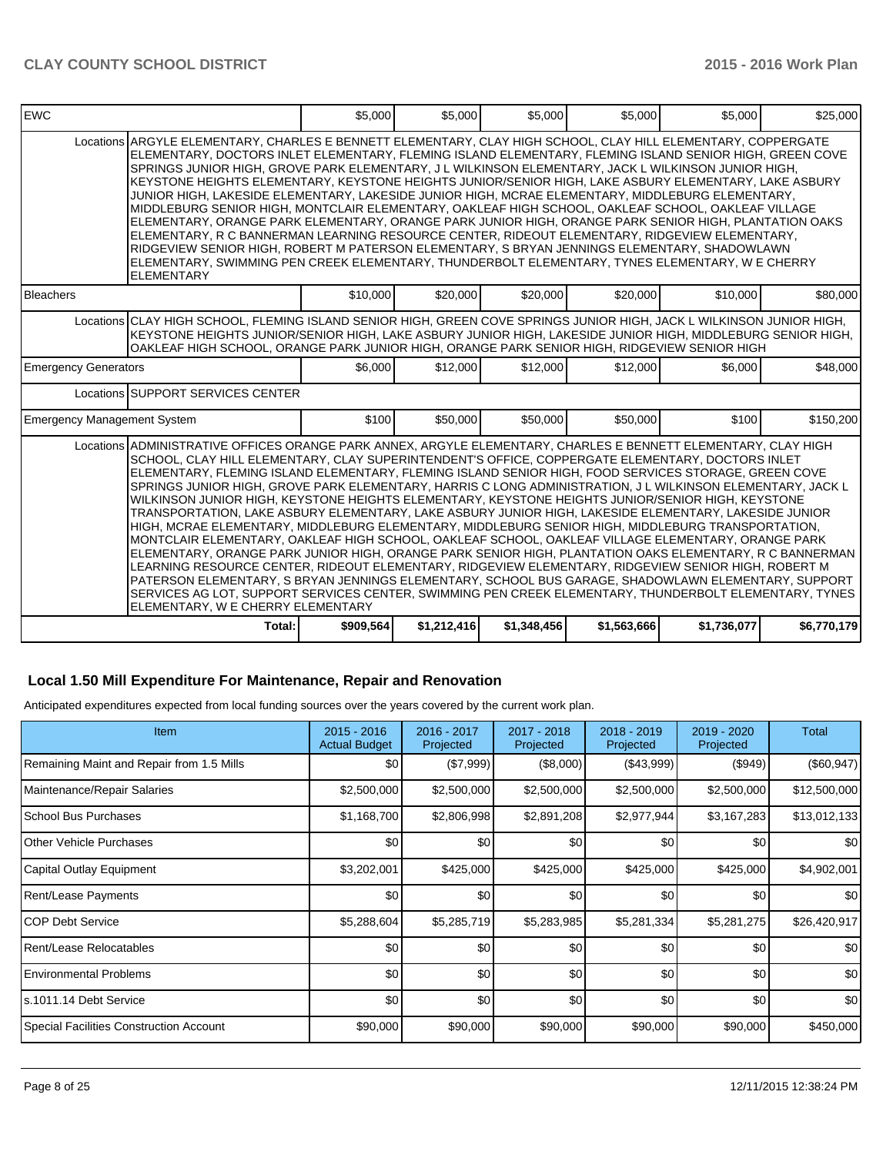| <b>EWC</b>                         |                                                                                                                                                                                                                                                                                                                                                                                                                                                                                                                                                                                                                                                                                                                                                                                                                                                                                                                                                                                                                                                                                                                                                                                                                                                                                                                                           | \$5,000   | \$5,000     | \$5,000     | \$5,000     | \$5,000     | \$25,000    |
|------------------------------------|-------------------------------------------------------------------------------------------------------------------------------------------------------------------------------------------------------------------------------------------------------------------------------------------------------------------------------------------------------------------------------------------------------------------------------------------------------------------------------------------------------------------------------------------------------------------------------------------------------------------------------------------------------------------------------------------------------------------------------------------------------------------------------------------------------------------------------------------------------------------------------------------------------------------------------------------------------------------------------------------------------------------------------------------------------------------------------------------------------------------------------------------------------------------------------------------------------------------------------------------------------------------------------------------------------------------------------------------|-----------|-------------|-------------|-------------|-------------|-------------|
|                                    | Locations ARGYLE ELEMENTARY, CHARLES E BENNETT ELEMENTARY, CLAY HIGH SCHOOL, CLAY HILL ELEMENTARY, COPPERGATE<br>ELEMENTARY, DOCTORS INLET ELEMENTARY, FLEMING ISLAND ELEMENTARY, FLEMING ISLAND SENIOR HIGH, GREEN COVE<br>SPRINGS JUNIOR HIGH, GROVE PARK ELEMENTARY, J L WILKINSON ELEMENTARY, JACK L WILKINSON JUNIOR HIGH,<br>KEYSTONE HEIGHTS ELEMENTARY, KEYSTONE HEIGHTS JUNIOR/SENIOR HIGH, LAKE ASBURY ELEMENTARY, LAKE ASBURY<br>JUNIOR HIGH, LAKESIDE ELEMENTARY, LAKESIDE JUNIOR HIGH, MCRAE ELEMENTARY, MIDDLEBURG ELEMENTARY,<br>MIDDLEBURG SENIOR HIGH, MONTCLAIR ELEMENTARY, OAKLEAF HIGH SCHOOL, OAKLEAF SCHOOL, OAKLEAF VILLAGE<br>ELEMENTARY, ORANGE PARK ELEMENTARY, ORANGE PARK JUNIOR HIGH, ORANGE PARK SENIOR HIGH, PLANTATION OAKS<br>ELEMENTARY, R C BANNERMAN LEARNING RESOURCE CENTER, RIDEOUT ELEMENTARY, RIDGEVIEW ELEMENTARY,<br>RIDGEVIEW SENIOR HIGH, ROBERT M PATERSON ELEMENTARY, S BRYAN JENNINGS ELEMENTARY, SHADOWLAWN<br>ELEMENTARY, SWIMMING PEN CREEK ELEMENTARY, THUNDERBOLT ELEMENTARY, TYNES ELEMENTARY, W E CHERRY<br><b>ELEMENTARY</b>                                                                                                                                                                                                                                                      |           |             |             |             |             |             |
| <b>Bleachers</b>                   |                                                                                                                                                                                                                                                                                                                                                                                                                                                                                                                                                                                                                                                                                                                                                                                                                                                                                                                                                                                                                                                                                                                                                                                                                                                                                                                                           | \$10,000  | \$20,000    | \$20,000    | \$20,000    | \$10,000    | \$80,000    |
|                                    | Locations CLAY HIGH SCHOOL, FLEMING ISLAND SENIOR HIGH, GREEN COVE SPRINGS JUNIOR HIGH, JACK L WILKINSON JUNIOR HIGH,<br>KEYSTONE HEIGHTS JUNIOR/SENIOR HIGH, LAKE ASBURY JUNIOR HIGH, LAKESIDE JUNIOR HIGH, MIDDLEBURG SENIOR HIGH,<br>OAKLEAF HIGH SCHOOL, ORANGE PARK JUNIOR HIGH, ORANGE PARK SENIOR HIGH, RIDGEVIEW SENIOR HIGH                                                                                                                                                                                                                                                                                                                                                                                                                                                                                                                                                                                                                                                                                                                                                                                                                                                                                                                                                                                                      |           |             |             |             |             |             |
| <b>Emergency Generators</b>        |                                                                                                                                                                                                                                                                                                                                                                                                                                                                                                                                                                                                                                                                                                                                                                                                                                                                                                                                                                                                                                                                                                                                                                                                                                                                                                                                           | \$6,000   | \$12,000    | \$12,000    | \$12,000    | \$6,000     | \$48,000    |
|                                    | Locations SUPPORT SERVICES CENTER                                                                                                                                                                                                                                                                                                                                                                                                                                                                                                                                                                                                                                                                                                                                                                                                                                                                                                                                                                                                                                                                                                                                                                                                                                                                                                         |           |             |             |             |             |             |
| <b>Emergency Management System</b> |                                                                                                                                                                                                                                                                                                                                                                                                                                                                                                                                                                                                                                                                                                                                                                                                                                                                                                                                                                                                                                                                                                                                                                                                                                                                                                                                           | \$100     | \$50,000    | \$50,000    | \$50,000    | \$100       | \$150,200   |
|                                    | Locations ADMINISTRATIVE OFFICES ORANGE PARK ANNEX, ARGYLE ELEMENTARY, CHARLES E BENNETT ELEMENTARY, CLAY HIGH<br>SCHOOL, CLAY HILL ELEMENTARY, CLAY SUPERINTENDENT'S OFFICE, COPPERGATE ELEMENTARY, DOCTORS INLET<br>ELEMENTARY, FLEMING ISLAND ELEMENTARY, FLEMING ISLAND SENIOR HIGH, FOOD SERVICES STORAGE, GREEN COVE<br>SPRINGS JUNIOR HIGH, GROVE PARK ELEMENTARY, HARRIS C LONG ADMINISTRATION, J L WILKINSON ELEMENTARY, JACK L<br>WILKINSON JUNIOR HIGH, KEYSTONE HEIGHTS ELEMENTARY, KEYSTONE HEIGHTS JUNIOR/SENIOR HIGH, KEYSTONE<br>TRANSPORTATION, LAKE ASBURY ELEMENTARY, LAKE ASBURY JUNIOR HIGH, LAKESIDE ELEMENTARY, LAKESIDE JUNIOR<br>HIGH, MCRAE ELEMENTARY, MIDDLEBURG ELEMENTARY, MIDDLEBURG SENIOR HIGH, MIDDLEBURG TRANSPORTATION,<br>MONTCLAIR ELEMENTARY, OAKLEAF HIGH SCHOOL, OAKLEAF SCHOOL, OAKLEAF VILLAGE ELEMENTARY, ORANGE PARK<br>ELEMENTARY, ORANGE PARK JUNIOR HIGH, ORANGE PARK SENIOR HIGH, PLANTATION OAKS ELEMENTARY, R C BANNERMAN<br>LEARNING RESOURCE CENTER, RIDEOUT ELEMENTARY, RIDGEVIEW ELEMENTARY, RIDGEVIEW SENIOR HIGH, ROBERT M<br>PATERSON ELEMENTARY, S BRYAN JENNINGS ELEMENTARY, SCHOOL BUS GARAGE, SHADOWLAWN ELEMENTARY, SUPPORT<br>SERVICES AG LOT, SUPPORT SERVICES CENTER, SWIMMING PEN CREEK ELEMENTARY, THUNDERBOLT ELEMENTARY, TYNES<br>ELEMENTARY, W E CHERRY ELEMENTARY |           |             |             |             |             |             |
|                                    | Total:                                                                                                                                                                                                                                                                                                                                                                                                                                                                                                                                                                                                                                                                                                                                                                                                                                                                                                                                                                                                                                                                                                                                                                                                                                                                                                                                    | \$909,564 | \$1,212,416 | \$1,348,456 | \$1,563,666 | \$1,736,077 | \$6,770,179 |

# **Local 1.50 Mill Expenditure For Maintenance, Repair and Renovation**

Anticipated expenditures expected from local funding sources over the years covered by the current work plan.

| <b>Item</b>                               | $2015 - 2016$<br><b>Actual Budget</b> | 2016 - 2017<br>Projected | 2017 - 2018<br>Projected | $2018 - 2019$<br>Projected | 2019 - 2020<br>Projected | Total            |
|-------------------------------------------|---------------------------------------|--------------------------|--------------------------|----------------------------|--------------------------|------------------|
| Remaining Maint and Repair from 1.5 Mills | \$0 <sub>1</sub>                      | (\$7,999)                | (\$8,000)                | (\$43,999)                 | (\$949)                  | $(\$60,947)$     |
| Maintenance/Repair Salaries               | \$2,500,000                           | \$2,500,000              | \$2,500,000              | \$2,500,000                | \$2,500,000              | \$12,500,000     |
| School Bus Purchases                      | \$1,168,700                           | \$2,806,998              | \$2,891,208              | \$2,977,944                | \$3,167,283              | \$13,012,133     |
| Other Vehicle Purchases                   | \$0                                   | \$0                      | \$0                      | \$0                        | \$0                      | \$0 <sub>1</sub> |
| Capital Outlay Equipment                  | \$3,202,001                           | \$425,000                | \$425,000                | \$425,000                  | \$425,000                | \$4,902,001      |
| <b>Rent/Lease Payments</b>                | \$0                                   | \$0                      | \$0                      | \$0                        | \$0                      | \$0 <sub>1</sub> |
| ICOP Debt Service                         | \$5,288,604                           | \$5,285,719              | \$5,283,985              | \$5,281,334                | \$5,281,275              | \$26,420,917     |
| Rent/Lease Relocatables                   | \$0                                   | \$0                      | \$0                      | \$0                        | \$0                      | \$0              |
| <b>Environmental Problems</b>             | \$0                                   | \$0                      | \$0                      | \$0                        | \$0                      | \$0              |
| ls.1011.14 Debt Service                   | \$0                                   | \$0                      | \$0                      | \$0                        | \$0                      | \$0              |
| Special Facilities Construction Account   | \$90,000                              | \$90,000                 | \$90,000                 | \$90,000                   | \$90,000                 | \$450,000        |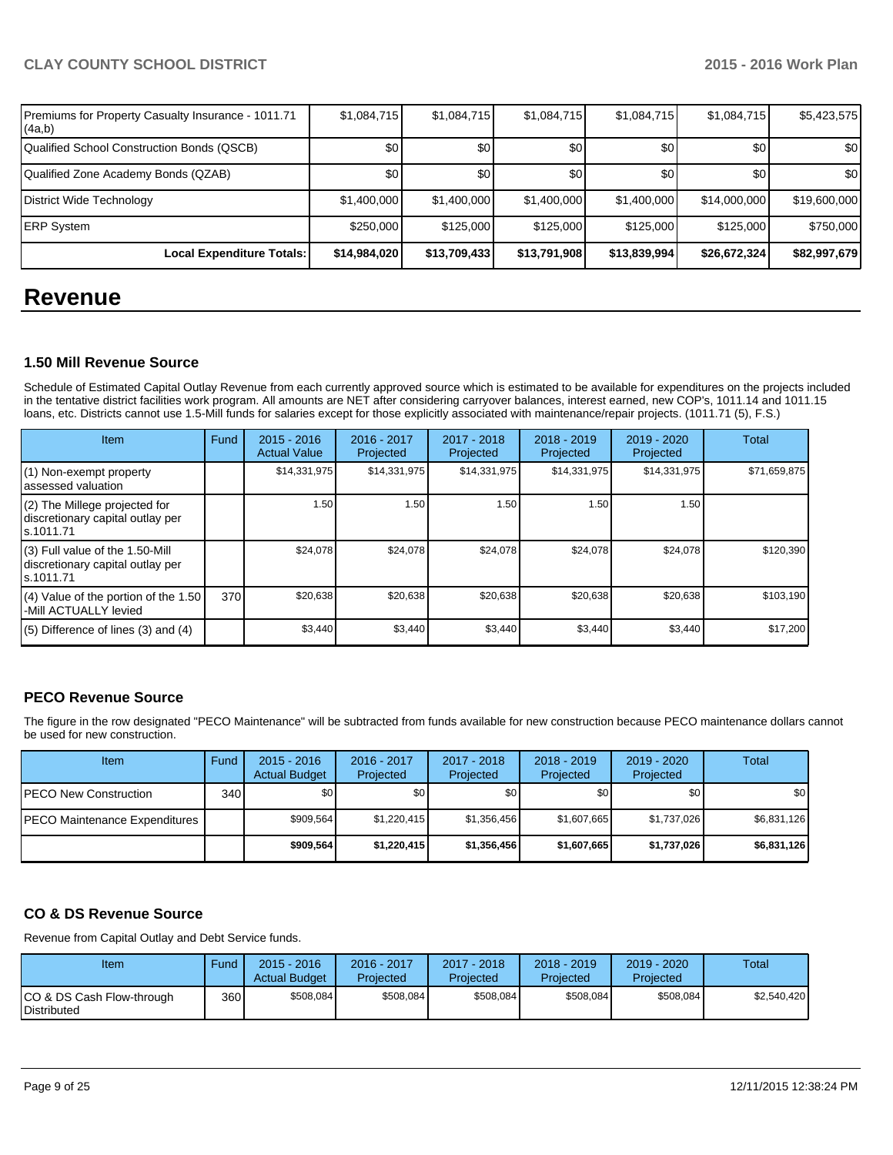| Premiums for Property Casualty Insurance - 1011.71<br>(4a,b) | \$1,084,715  | \$1,084,715  | \$1,084,715      | \$1,084,715  | \$1,084,715  | \$5,423,575  |
|--------------------------------------------------------------|--------------|--------------|------------------|--------------|--------------|--------------|
| Qualified School Construction Bonds (QSCB)                   | \$0          | \$0          | \$0 <sub>1</sub> | \$0          | \$0          | \$0          |
| Qualified Zone Academy Bonds (QZAB)                          | \$0          | \$0          | \$0              | \$0          | \$0          | \$0          |
| District Wide Technology                                     | \$1,400,000  | \$1,400,000  | \$1,400,000      | \$1,400,000  | \$14,000,000 | \$19,600,000 |
| <b>ERP System</b>                                            | \$250,000    | \$125,000    | \$125,000        | \$125,000    | \$125,000    | \$750,000    |
| Local Expenditure Totals:                                    | \$14,984,020 | \$13,709,433 | \$13,791,908     | \$13,839,994 | \$26,672,324 | \$82,997,679 |

# **Revenue**

#### **1.50 Mill Revenue Source**

Schedule of Estimated Capital Outlay Revenue from each currently approved source which is estimated to be available for expenditures on the projects included in the tentative district facilities work program. All amounts are NET after considering carryover balances, interest earned, new COP's, 1011.14 and 1011.15 loans, etc. Districts cannot use 1.5-Mill funds for salaries except for those explicitly associated with maintenance/repair projects. (1011.71 (5), F.S.)

| Item                                                                             | Fund | $2015 - 2016$<br><b>Actual Value</b> | 2016 - 2017<br>Projected | 2017 - 2018<br>Projected | $2018 - 2019$<br>Projected | 2019 - 2020<br>Projected | Total        |
|----------------------------------------------------------------------------------|------|--------------------------------------|--------------------------|--------------------------|----------------------------|--------------------------|--------------|
| (1) Non-exempt property<br>assessed valuation                                    |      | \$14,331,975                         | \$14,331,975             | \$14,331,975             | \$14,331,975               | \$14,331,975             | \$71,659,875 |
| (2) The Millege projected for<br>discretionary capital outlay per<br>ls.1011.71  |      | 1.50                                 | 1.50 I                   | 1.50                     | 1.50                       | 1.50                     |              |
| (3) Full value of the 1.50-Mill<br>discretionary capital outlay per<br>s.1011.71 |      | \$24,078                             | \$24,078                 | \$24,078                 | \$24,078                   | \$24,078                 | \$120,390    |
| (4) Value of the portion of the 1.50<br>-Mill ACTUALLY levied                    | 370  | \$20,638                             | \$20,638                 | \$20,638                 | \$20,638                   | \$20,638                 | \$103,190    |
| $(5)$ Difference of lines $(3)$ and $(4)$                                        |      | \$3,440                              | \$3,440                  | \$3,440                  | \$3,440                    | \$3,440                  | \$17,200     |

## **PECO Revenue Source**

The figure in the row designated "PECO Maintenance" will be subtracted from funds available for new construction because PECO maintenance dollars cannot be used for new construction.

| Item                                  | Fund | $2015 - 2016$<br><b>Actual Budget</b> | 2016 - 2017<br>Projected | 2017 - 2018<br>Projected | $2018 - 2019$<br>Projected | $2019 - 2020$<br>Projected | Total            |
|---------------------------------------|------|---------------------------------------|--------------------------|--------------------------|----------------------------|----------------------------|------------------|
| <b>IPECO New Construction</b>         | 340  | \$O I                                 | \$0 <sub>1</sub>         | \$0                      | \$0                        | \$0                        | \$0 <sub>1</sub> |
| <b>IPECO Maintenance Expenditures</b> |      | \$909.564                             | \$1.220.415              | \$1.356.456              | \$1.607.665                | \$1,737,026                | \$6,831,126      |
|                                       |      | \$909,564                             | \$1,220,415              | \$1,356,456              | \$1,607,665                | \$1,737,026                | \$6,831,126      |

## **CO & DS Revenue Source**

Revenue from Capital Outlay and Debt Service funds.

| Item                                            | Fund | $2015 - 2016$<br><b>Actual Budget</b> | 2016 - 2017<br>Projected | $2017 - 2018$<br>Proiected | $2018 - 2019$<br>Projected | $2019 - 2020$<br>Projected | Total       |
|-------------------------------------------------|------|---------------------------------------|--------------------------|----------------------------|----------------------------|----------------------------|-------------|
| CO & DS Cash Flow-through<br><b>Distributed</b> | 360  | \$508,084                             | \$508,084                | \$508,084                  | \$508.084                  | \$508,084                  | \$2,540,420 |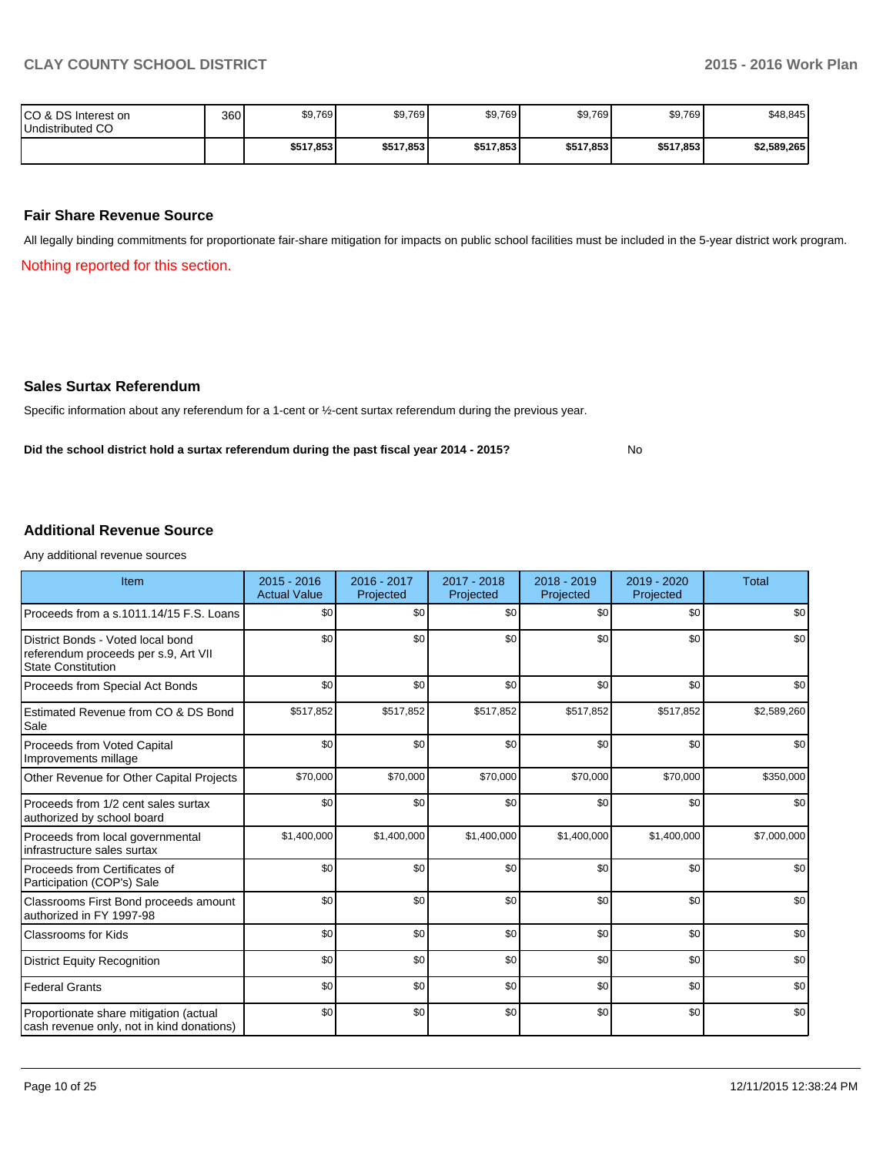No

| ICO & DS Interest on<br>Undistributed CO | 360 | \$9,769   | \$9,769   | \$9,769   | \$9,769   | \$9,769   | \$48,845    |
|------------------------------------------|-----|-----------|-----------|-----------|-----------|-----------|-------------|
|                                          |     | \$517,853 | \$517,853 | \$517,853 | \$517,853 | \$517.853 | \$2,589,265 |

#### **Fair Share Revenue Source**

All legally binding commitments for proportionate fair-share mitigation for impacts on public school facilities must be included in the 5-year district work program.

Nothing reported for this section.

#### **Sales Surtax Referendum**

Specific information about any referendum for a 1-cent or ½-cent surtax referendum during the previous year.

**Did the school district hold a surtax referendum during the past fiscal year 2014 - 2015?**

**Additional Revenue Source**

Any additional revenue sources

| Item                                                                                                   | $2015 - 2016$<br><b>Actual Value</b> | 2016 - 2017<br>Projected | 2017 - 2018<br>Projected | 2018 - 2019<br>Projected | 2019 - 2020<br>Projected | <b>Total</b> |
|--------------------------------------------------------------------------------------------------------|--------------------------------------|--------------------------|--------------------------|--------------------------|--------------------------|--------------|
| Proceeds from a s.1011.14/15 F.S. Loans                                                                | \$0                                  | \$0                      | \$0                      | \$0                      | \$0                      | \$0          |
| District Bonds - Voted local bond<br>referendum proceeds per s.9, Art VII<br><b>State Constitution</b> | \$0                                  | \$0                      | \$0                      | \$0                      | \$0                      | \$0          |
| Proceeds from Special Act Bonds                                                                        | \$0                                  | \$0                      | \$0                      | \$0                      | \$0                      | \$0          |
| Estimated Revenue from CO & DS Bond<br>Sale                                                            | \$517,852                            | \$517,852                | \$517,852                | \$517,852                | \$517,852                | \$2,589,260  |
| Proceeds from Voted Capital<br>Improvements millage                                                    | \$0                                  | \$0                      | \$0                      | \$0                      | \$0                      | \$0          |
| Other Revenue for Other Capital Projects                                                               | \$70,000                             | \$70,000                 | \$70,000                 | \$70,000                 | \$70,000                 | \$350,000    |
| Proceeds from 1/2 cent sales surtax<br>authorized by school board                                      | \$0                                  | \$0                      | \$0                      | \$0                      | \$0                      | \$0          |
| Proceeds from local governmental<br>infrastructure sales surtax                                        | \$1,400,000                          | \$1,400,000              | \$1,400,000              | \$1,400,000              | \$1,400,000              | \$7,000,000  |
| Proceeds from Certificates of<br>Participation (COP's) Sale                                            | \$0                                  | \$0                      | \$0                      | \$0                      | \$0                      | \$0          |
| Classrooms First Bond proceeds amount<br>authorized in FY 1997-98                                      | \$0                                  | \$0                      | \$0                      | \$0                      | \$0                      | \$0          |
| <b>Classrooms for Kids</b>                                                                             | \$0                                  | \$0                      | \$0                      | \$0                      | \$0                      | \$0          |
| <b>District Equity Recognition</b>                                                                     | \$0                                  | \$0                      | \$0                      | \$0                      | \$0                      | \$0          |
| <b>Federal Grants</b>                                                                                  | \$0                                  | \$0                      | \$0                      | \$0                      | \$0                      | \$0          |
| Proportionate share mitigation (actual<br>cash revenue only, not in kind donations)                    | \$0                                  | \$0                      | \$0                      | \$0                      | \$0                      | \$0          |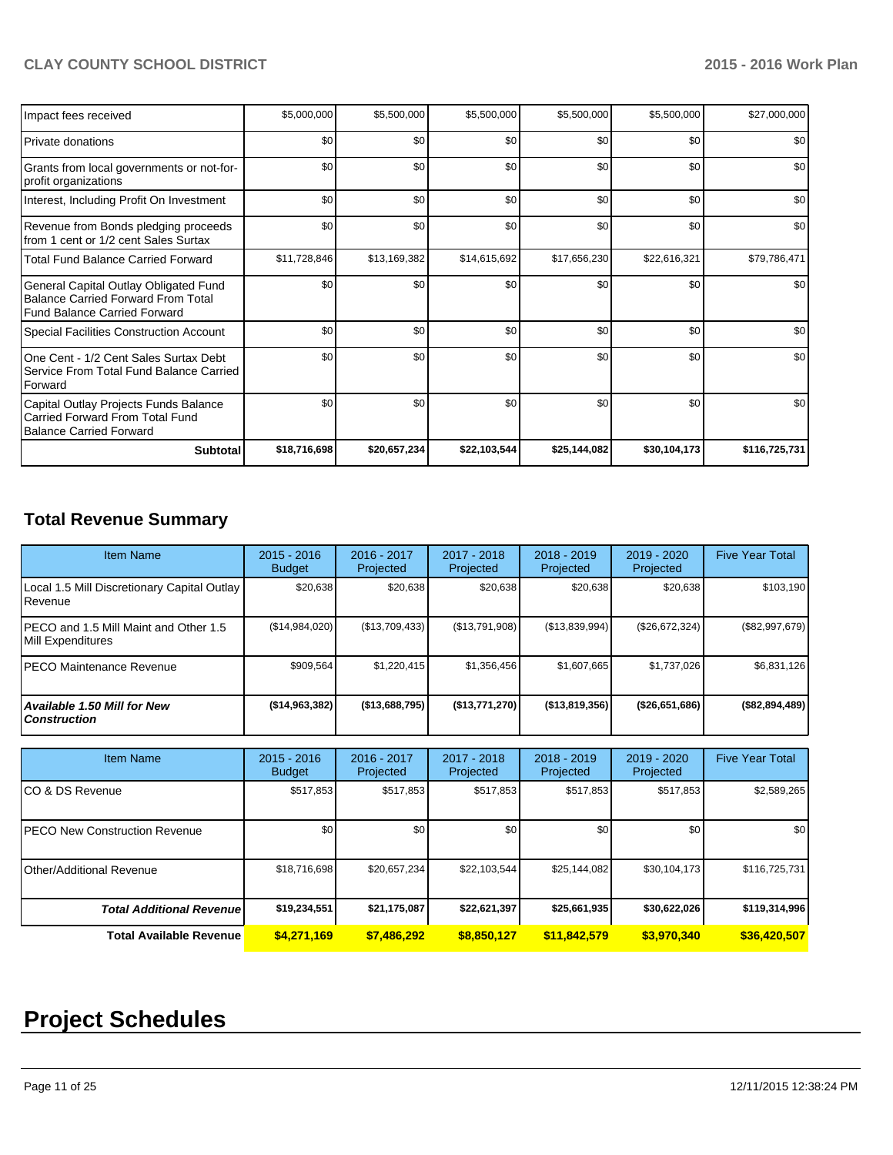| Impact fees received                                                                                                      | \$5,000,000  | \$5,500,000  | \$5,500,000  | \$5,500,000  | \$5,500,000  | \$27,000,000  |
|---------------------------------------------------------------------------------------------------------------------------|--------------|--------------|--------------|--------------|--------------|---------------|
| Private donations                                                                                                         | \$0          | \$0          | \$0          | \$0          | \$0          | \$0           |
| Grants from local governments or not-for-<br>profit organizations                                                         | \$0          | \$0          | \$0          | \$0          | \$0          | \$0           |
| Interest, Including Profit On Investment                                                                                  | \$0          | \$0          | \$0          | \$0          | \$0          | \$0           |
| Revenue from Bonds pledging proceeds<br>from 1 cent or 1/2 cent Sales Surtax                                              | \$0          | \$0          | \$0          | \$0          | \$0          | \$0           |
| <b>Total Fund Balance Carried Forward</b>                                                                                 | \$11,728,846 | \$13,169,382 | \$14,615,692 | \$17,656,230 | \$22,616,321 | \$79,786,471  |
| General Capital Outlay Obligated Fund<br><b>Balance Carried Forward From Total</b><br><b>Fund Balance Carried Forward</b> | \$0          | \$0          | \$0          | \$0          | \$0          | \$0           |
| Special Facilities Construction Account                                                                                   | \$0          | \$0          | \$0          | \$0          | \$0          | \$0           |
| One Cent - 1/2 Cent Sales Surtax Debt<br>Service From Total Fund Balance Carried<br>Forward                               | \$0          | \$0          | \$0          | \$0          | \$0          | \$0           |
| Capital Outlay Projects Funds Balance<br>Carried Forward From Total Fund<br><b>Balance Carried Forward</b>                | \$0          | \$0          | \$0          | \$0          | \$0          | \$0           |
| <b>Subtotal</b>                                                                                                           | \$18,716,698 | \$20,657,234 | \$22,103,544 | \$25,144,082 | \$30,104,173 | \$116,725,731 |

# **Total Revenue Summary**

| <b>Item Name</b>                                            | $2015 - 2016$<br><b>Budget</b> | 2016 - 2017<br>Projected | 2017 - 2018<br>Projected | $2018 - 2019$<br>Projected | 2019 - 2020<br>Projected | <b>Five Year Total</b> |
|-------------------------------------------------------------|--------------------------------|--------------------------|--------------------------|----------------------------|--------------------------|------------------------|
| Local 1.5 Mill Discretionary Capital Outlay<br>Revenue      | \$20,638                       | \$20,638                 | \$20,638                 | \$20,638                   | \$20,638                 | \$103,190              |
| IPECO and 1.5 Mill Maint and Other 1.5<br>Mill Expenditures | (\$14,984,020)                 | (\$13,709,433)           | (\$13,791,908)           | (S13, 839, 994)            | (\$26,672,324)           | $(\$82,997,679)$       |
| IPECO Maintenance Revenue                                   | \$909,564                      | \$1,220,415              | \$1,356,456              | \$1,607,665                | \$1,737,026              | \$6,831,126            |
| Available 1.50 Mill for New<br><b>Construction</b>          | (\$14,963,382)                 | (\$13,688,795)           | (\$13,771,270)           | (\$13,819,356)             | $($ \$26,651,686)        | (\$82,894,489)         |

| <b>Item Name</b>                      | $2015 - 2016$<br><b>Budget</b> | 2016 - 2017<br>Projected | 2017 - 2018<br>Projected | $2018 - 2019$<br>Projected | 2019 - 2020<br>Projected | <b>Five Year Total</b> |
|---------------------------------------|--------------------------------|--------------------------|--------------------------|----------------------------|--------------------------|------------------------|
| ICO & DS Revenue                      | \$517,853                      | \$517,853                | \$517,853                | \$517,853                  | \$517,853                | \$2,589,265            |
| <b>IPECO New Construction Revenue</b> | \$0                            | \$0                      | \$0                      | \$0                        | \$0 <sub>1</sub>         | \$0 <sub>1</sub>       |
| IOther/Additional Revenue             | \$18,716,698                   | \$20,657,234             | \$22,103,544             | \$25,144,082               | \$30,104,173             | \$116,725,731          |
| <b>Total Additional Revenuel</b>      | \$19,234,551                   | \$21,175,087             | \$22,621,397             | \$25,661,935               | \$30,622,026             | \$119,314,996          |
| Total Available Revenue               | \$4,271,169                    | \$7,486,292              | \$8,850,127              | \$11,842,579               | \$3,970,340              | \$36,420,507           |

# **Project Schedules**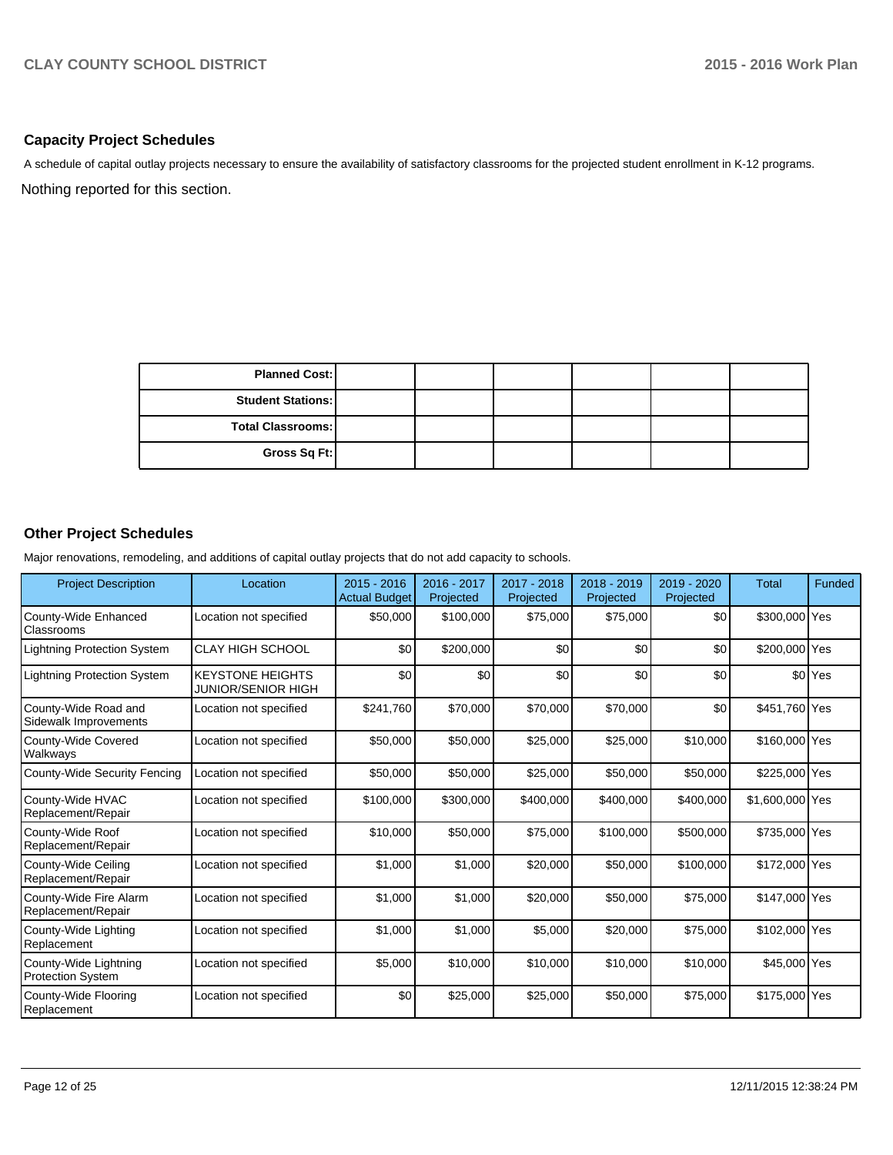### **Capacity Project Schedules**

Nothing reported for this section. A schedule of capital outlay projects necessary to ensure the availability of satisfactory classrooms for the projected student enrollment in K-12 programs.

| <b>Planned Cost:</b>     |  |  |  |
|--------------------------|--|--|--|
| <b>Student Stations:</b> |  |  |  |
| Total Classrooms:        |  |  |  |
| Gross Sq Ft:             |  |  |  |

# **Other Project Schedules**

Major renovations, remodeling, and additions of capital outlay projects that do not add capacity to schools.

| <b>Project Description</b>                        | Location                                             | $2015 - 2016$<br><b>Actual Budget</b> | 2016 - 2017<br>Projected | 2017 - 2018<br>Projected | 2018 - 2019<br>Projected | 2019 - 2020<br>Projected | <b>Total</b>    | <b>Funded</b>        |
|---------------------------------------------------|------------------------------------------------------|---------------------------------------|--------------------------|--------------------------|--------------------------|--------------------------|-----------------|----------------------|
| County-Wide Enhanced<br><b>Classrooms</b>         | Location not specified                               | \$50,000                              | \$100,000                | \$75,000                 | \$75,000                 | \$0                      | \$300,000 Yes   |                      |
| <b>Lightning Protection System</b>                | <b>CLAY HIGH SCHOOL</b>                              | \$0                                   | \$200,000                | \$0                      | \$0                      | \$0                      | \$200,000 Yes   |                      |
| <b>Lightning Protection System</b>                | <b>KEYSTONE HEIGHTS</b><br><b>JUNIOR/SENIOR HIGH</b> | \$0                                   | \$0                      | \$0                      | \$0                      | \$0                      |                 | \$0 <sup>l</sup> Yes |
| County-Wide Road and<br>Sidewalk Improvements     | Location not specified                               | \$241,760                             | \$70,000                 | \$70,000                 | \$70,000                 | \$0                      | \$451,760 Yes   |                      |
| County-Wide Covered<br>Walkways                   | Location not specified                               | \$50,000                              | \$50,000                 | \$25,000                 | \$25,000                 | \$10,000                 | \$160,000 Yes   |                      |
| County-Wide Security Fencing                      | Location not specified                               | \$50,000                              | \$50,000                 | \$25,000                 | \$50,000                 | \$50,000                 | \$225,000 Yes   |                      |
| County-Wide HVAC<br>Replacement/Repair            | Location not specified                               | \$100,000                             | \$300,000                | \$400,000                | \$400,000                | \$400,000                | \$1,600,000 Yes |                      |
| County-Wide Roof<br>Replacement/Repair            | Location not specified                               | \$10,000                              | \$50,000                 | \$75,000                 | \$100,000                | \$500,000                | \$735,000 Yes   |                      |
| County-Wide Ceiling<br>Replacement/Repair         | Location not specified                               | \$1,000                               | \$1,000                  | \$20,000                 | \$50,000                 | \$100,000                | \$172,000 Yes   |                      |
| County-Wide Fire Alarm<br>Replacement/Repair      | Location not specified                               | \$1,000                               | \$1,000                  | \$20,000                 | \$50,000                 | \$75,000                 | \$147,000 Yes   |                      |
| County-Wide Lighting<br>Replacement               | Location not specified                               | \$1,000                               | \$1,000                  | \$5,000                  | \$20,000                 | \$75,000                 | \$102,000 Yes   |                      |
| County-Wide Lightning<br><b>Protection System</b> | Location not specified                               | \$5,000                               | \$10,000                 | \$10,000                 | \$10,000                 | \$10,000                 | \$45,000 Yes    |                      |
| County-Wide Flooring<br>Replacement               | Location not specified                               | \$0                                   | \$25,000                 | \$25,000                 | \$50,000                 | \$75,000                 | \$175,000 Yes   |                      |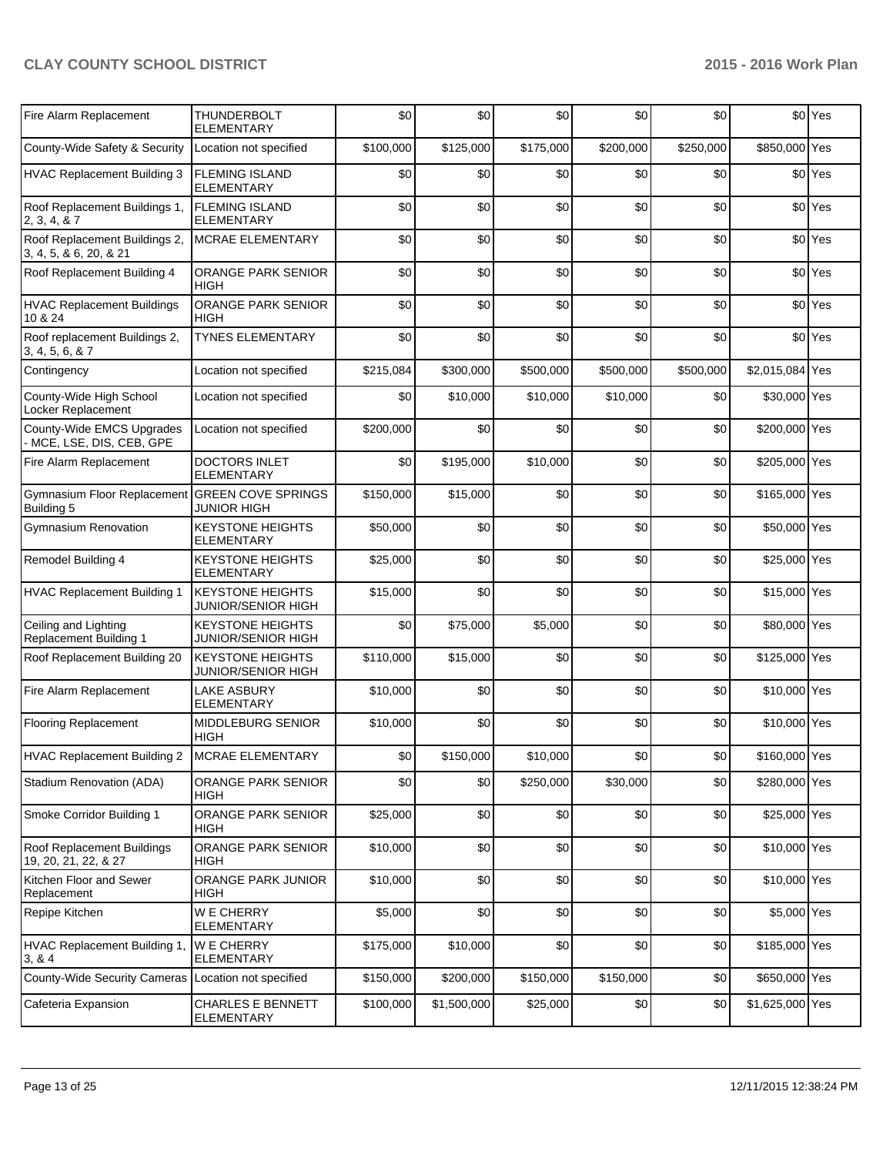| Fire Alarm Replacement                                       | THUNDERBOLT<br><b>ELEMENTARY</b>                     | \$0       | \$0         | \$0       | \$0       | \$0       |                 | \$0 Yes            |
|--------------------------------------------------------------|------------------------------------------------------|-----------|-------------|-----------|-----------|-----------|-----------------|--------------------|
| County-Wide Safety & Security                                | Location not specified                               | \$100,000 | \$125,000   | \$175,000 | \$200,000 | \$250,000 | \$850,000 Yes   |                    |
| <b>HVAC Replacement Building 3</b>                           | <b>FLEMING ISLAND</b><br><b>ELEMENTARY</b>           | \$0       | \$0         | \$0       | \$0       | \$0       |                 | \$0 Yes            |
| Roof Replacement Buildings 1,<br>2, 3, 4, 8, 7               | <b>FLEMING ISLAND</b><br><b>ELEMENTARY</b>           | \$0       | \$0         | \$0       | \$0       | \$0       |                 | \$0 <sup>Yes</sup> |
| Roof Replacement Buildings 2,<br>3, 4, 5, & 6, 20, & 21      | MCRAE ELEMENTARY                                     | \$0       | \$0         | \$0       | \$0       | \$0       |                 | \$0 Yes            |
| Roof Replacement Building 4                                  | ORANGE PARK SENIOR<br><b>HIGH</b>                    | \$0       | \$0         | \$0       | \$0       | \$0       |                 | \$0 Yes            |
| <b>HVAC Replacement Buildings</b><br>10 & 24                 | ORANGE PARK SENIOR<br><b>HIGH</b>                    | \$0       | \$0         | \$0       | \$0       | \$0       |                 | \$0 Yes            |
| Roof replacement Buildings 2,<br>3, 4, 5, 6, & 7             | <b>TYNES ELEMENTARY</b>                              | \$0       | \$0         | \$0       | \$0       | \$0       |                 | \$0 <sup>Yes</sup> |
| Contingency                                                  | Location not specified                               | \$215,084 | \$300,000   | \$500,000 | \$500,000 | \$500,000 | \$2,015,084 Yes |                    |
| County-Wide High School<br>Locker Replacement                | Location not specified                               | \$0       | \$10,000    | \$10,000  | \$10,000  | \$0       | \$30,000 Yes    |                    |
| County-Wide EMCS Upgrades<br>MCE, LSE, DIS, CEB, GPE         | Location not specified                               | \$200,000 | \$0         | \$0       | \$0       | \$0       | \$200,000 Yes   |                    |
| Fire Alarm Replacement                                       | DOCTORS INLET<br><b>ELEMENTARY</b>                   | \$0       | \$195,000   | \$10,000  | \$0       | \$0       | \$205,000 Yes   |                    |
| Gymnasium Floor Replacement GREEN COVE SPRINGS<br>Building 5 | <b>JUNIOR HIGH</b>                                   | \$150,000 | \$15,000    | \$0       | \$0       | \$0       | \$165,000 Yes   |                    |
| <b>Gymnasium Renovation</b>                                  | <b>KEYSTONE HEIGHTS</b><br><b>ELEMENTARY</b>         | \$50,000  | \$0         | \$0       | \$0       | \$0       | \$50,000 Yes    |                    |
| Remodel Building 4                                           | <b>KEYSTONE HEIGHTS</b><br><b>ELEMENTARY</b>         | \$25,000  | \$0         | \$0       | \$0       | \$0       | \$25,000 Yes    |                    |
| <b>HVAC Replacement Building 1</b>                           | <b>KEYSTONE HEIGHTS</b><br><b>JUNIOR/SENIOR HIGH</b> | \$15,000  | \$0         | \$0       | \$0       | \$0       | \$15,000 Yes    |                    |
| Ceiling and Lighting<br><b>Replacement Building 1</b>        | <b>KEYSTONE HEIGHTS</b><br><b>JUNIOR/SENIOR HIGH</b> | \$0       | \$75,000    | \$5,000   | \$0       | \$0       | \$80,000 Yes    |                    |
| Roof Replacement Building 20                                 | <b>KEYSTONE HEIGHTS</b><br>JUNIOR/SENIOR HIGH        | \$110,000 | \$15,000    | \$0       | \$0       | \$0       | \$125,000 Yes   |                    |
| Fire Alarm Replacement                                       | <b>LAKE ASBURY</b><br><b>ELEMENTARY</b>              | \$10,000  | \$0         | \$0       | \$0       | \$0       | \$10,000 Yes    |                    |
| <b>Flooring Replacement</b>                                  | MIDDLEBURG SENIOR<br><b>HIGH</b>                     | \$10,000  | \$0         | \$0       | \$0       | \$0       | \$10,000 Yes    |                    |
| HVAC Replacement Building 2                                  | MCRAE ELEMENTARY                                     | \$0       | \$150,000   | \$10,000  | \$0       | \$0       | \$160,000 Yes   |                    |
| Stadium Renovation (ADA)                                     | ORANGE PARK SENIOR<br>HIGH                           | \$0       | \$0         | \$250,000 | \$30,000  | \$0       | \$280,000 Yes   |                    |
| Smoke Corridor Building 1                                    | ORANGE PARK SENIOR<br><b>HIGH</b>                    | \$25,000  | \$0         | \$0       | \$0       | \$0       | \$25,000 Yes    |                    |
| Roof Replacement Buildings<br>19, 20, 21, 22, & 27           | ORANGE PARK SENIOR<br>HIGH                           | \$10,000  | \$0         | \$0       | \$0       | \$0       | \$10,000 Yes    |                    |
| Kitchen Floor and Sewer<br>Replacement                       | ORANGE PARK JUNIOR<br>HIGH                           | \$10,000  | \$0         | \$0       | \$0       | \$0       | \$10,000 Yes    |                    |
| Repipe Kitchen                                               | W E CHERRY<br><b>ELEMENTARY</b>                      | \$5,000   | \$0         | \$0       | \$0       | \$0       | \$5,000 Yes     |                    |
| HVAC Replacement Building 1,<br>3, 8, 4                      | W E CHERRY<br><b>ELEMENTARY</b>                      | \$175,000 | \$10,000    | \$0       | \$0       | \$0       | \$185,000 Yes   |                    |
| County-Wide Security Cameras                                 | Location not specified                               | \$150,000 | \$200,000   | \$150,000 | \$150,000 | \$0       | \$650,000 Yes   |                    |
| Cafeteria Expansion                                          | <b>CHARLES E BENNETT</b><br>ELEMENTARY               | \$100,000 | \$1,500,000 | \$25,000  | \$0       | \$0       | \$1,625,000 Yes |                    |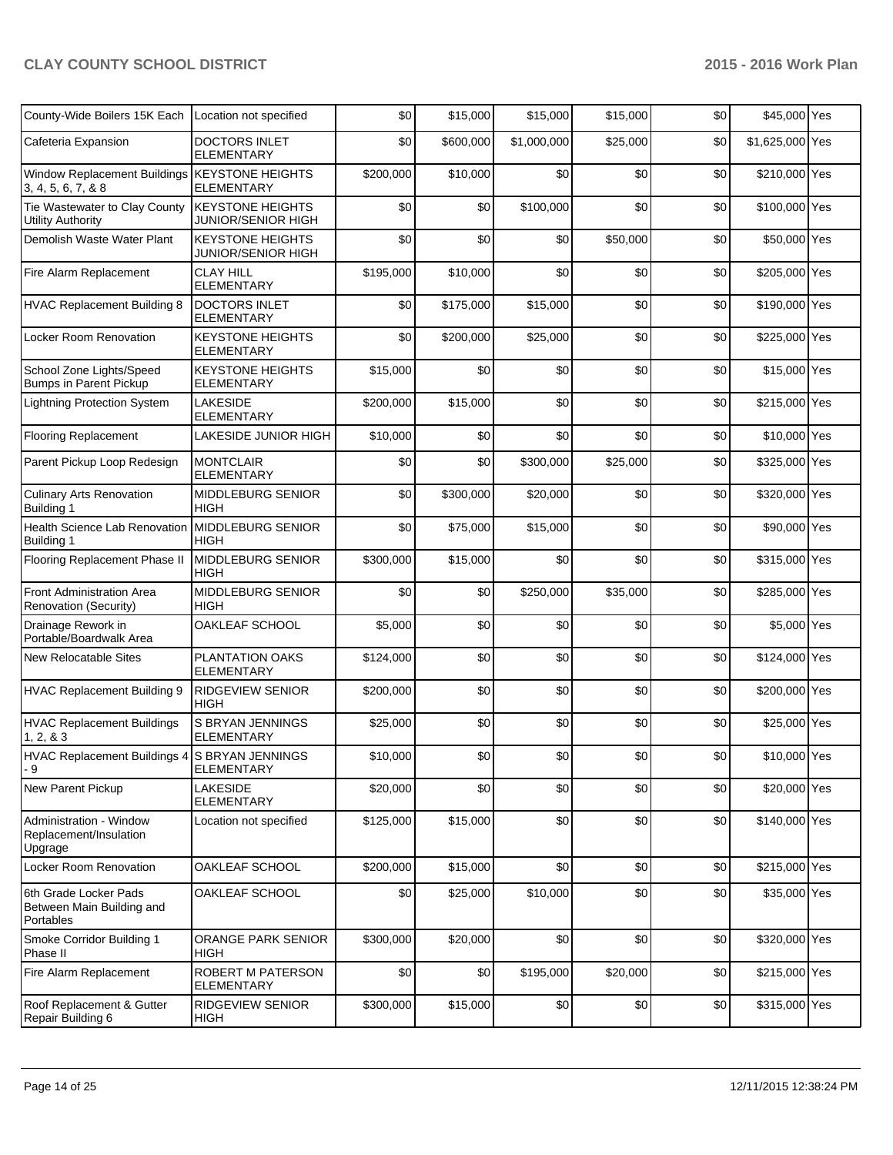| County-Wide Boilers 15K Each                                    | Location not specified                        | \$0       | \$15,000  | \$15,000    | \$15,000 | \$0 | \$45,000 Yes    |  |
|-----------------------------------------------------------------|-----------------------------------------------|-----------|-----------|-------------|----------|-----|-----------------|--|
| Cafeteria Expansion                                             | <b>DOCTORS INLET</b><br><b>ELEMENTARY</b>     | \$0       | \$600,000 | \$1,000,000 | \$25,000 | \$0 | \$1,625,000 Yes |  |
| Window Replacement Buildings<br>3, 4, 5, 6, 7, & 8              | <b>KEYSTONE HEIGHTS</b><br><b>ELEMENTARY</b>  | \$200,000 | \$10,000  | \$0         | \$0      | \$0 | \$210,000 Yes   |  |
| Tie Wastewater to Clay County<br><b>Utility Authority</b>       | <b>KEYSTONE HEIGHTS</b><br>JUNIOR/SENIOR HIGH | \$0       | \$0       | \$100,000   | \$0      | \$0 | \$100,000 Yes   |  |
| Demolish Waste Water Plant                                      | <b>KEYSTONE HEIGHTS</b><br>JUNIOR/SENIOR HIGH | \$0       | \$0       | \$0         | \$50,000 | \$0 | \$50,000 Yes    |  |
| Fire Alarm Replacement                                          | <b>CLAY HILL</b><br><b>ELEMENTARY</b>         | \$195,000 | \$10,000  | \$0         | \$0      | \$0 | \$205,000 Yes   |  |
| <b>HVAC Replacement Building 8</b>                              | <b>DOCTORS INLET</b><br>ELEMENTARY            | \$0       | \$175,000 | \$15,000    | \$0      | \$0 | \$190,000 Yes   |  |
| Locker Room Renovation                                          | <b>KEYSTONE HEIGHTS</b><br><b>ELEMENTARY</b>  | \$0       | \$200,000 | \$25,000    | \$0      | \$0 | \$225,000 Yes   |  |
| School Zone Lights/Speed<br><b>Bumps in Parent Pickup</b>       | <b>KEYSTONE HEIGHTS</b><br>ELEMENTARY         | \$15,000  | \$0       | \$0         | \$0      | \$0 | \$15,000 Yes    |  |
| <b>Lightning Protection System</b>                              | <b>LAKESIDE</b><br><b>ELEMENTARY</b>          | \$200,000 | \$15,000  | \$0         | \$0      | \$0 | \$215,000 Yes   |  |
| <b>Flooring Replacement</b>                                     | LAKESIDE JUNIOR HIGH                          | \$10,000  | \$0       | \$0         | \$0      | \$0 | \$10,000 Yes    |  |
| Parent Pickup Loop Redesign                                     | <b>MONTCLAIR</b><br><b>ELEMENTARY</b>         | \$0       | \$0       | \$300,000   | \$25,000 | \$0 | \$325,000 Yes   |  |
| <b>Culinary Arts Renovation</b><br>Building 1                   | MIDDLEBURG SENIOR<br>HIGH                     | \$0       | \$300,000 | \$20,000    | \$0      | \$0 | \$320,000 Yes   |  |
| Health Science Lab Renovation<br><b>Building 1</b>              | <b>MIDDLEBURG SENIOR</b><br><b>HIGH</b>       | \$0       | \$75,000  | \$15,000    | \$0      | \$0 | \$90,000 Yes    |  |
| Flooring Replacement Phase II                                   | <b>MIDDLEBURG SENIOR</b><br><b>HIGH</b>       | \$300,000 | \$15,000  | \$0         | \$0      | \$0 | \$315,000 Yes   |  |
| <b>Front Administration Area</b><br>Renovation (Security)       | MIDDLEBURG SENIOR<br>HIGH                     | \$0       | \$0       | \$250,000   | \$35,000 | \$0 | \$285,000 Yes   |  |
| Drainage Rework in<br>Portable/Boardwalk Area                   | OAKLEAF SCHOOL                                | \$5,000   | \$0       | \$0         | \$0      | \$0 | \$5,000 Yes     |  |
| <b>New Relocatable Sites</b>                                    | PLANTATION OAKS<br>ELEMENTARY                 | \$124,000 | \$0       | \$0         | \$0      | \$0 | \$124,000 Yes   |  |
| <b>HVAC Replacement Building 9</b>                              | <b>RIDGEVIEW SENIOR</b><br>HIGH               | \$200,000 | \$0       | \$0         | \$0      | \$0 | \$200,000 Yes   |  |
| <b>HVAC Replacement Buildings</b><br>1, 2, 8, 3                 | S BRYAN JENNINGS<br><b>ELEMENTARY</b>         | \$25,000  | \$0       | \$0         | \$0      | \$0 | \$25,000 Yes    |  |
| HVAC Replacement Buildings 4 S BRYAN JENNINGS<br>- 9            | <b>ELEMENTARY</b>                             | \$10,000  | \$0       | \$0         | \$0      | \$0 | \$10,000 Yes    |  |
| New Parent Pickup                                               | <b>LAKESIDE</b><br>ELEMENTARY                 | \$20,000  | \$0       | \$0         | \$0      | \$0 | \$20,000 Yes    |  |
| Administration - Window<br>Replacement/Insulation<br>Upgrage    | Location not specified                        | \$125,000 | \$15,000  | \$0         | \$0      | \$0 | \$140,000 Yes   |  |
| Locker Room Renovation                                          | OAKLEAF SCHOOL                                | \$200,000 | \$15,000  | \$0         | \$0      | \$0 | \$215,000 Yes   |  |
| 6th Grade Locker Pads<br>Between Main Building and<br>Portables | OAKLEAF SCHOOL                                | \$0       | \$25,000  | \$10,000    | \$0      | \$0 | \$35,000 Yes    |  |
| Smoke Corridor Building 1<br>Phase II                           | ORANGE PARK SENIOR<br>HIGH                    | \$300,000 | \$20,000  | \$0         | \$0      | \$0 | \$320,000 Yes   |  |
| Fire Alarm Replacement                                          | ROBERT M PATERSON<br>ELEMENTARY               | \$0       | \$0       | \$195,000   | \$20,000 | \$0 | \$215,000 Yes   |  |
| Roof Replacement & Gutter<br>Repair Building 6                  | <b>RIDGEVIEW SENIOR</b><br>HIGH               | \$300,000 | \$15,000  | \$0         | \$0      | \$0 | \$315,000 Yes   |  |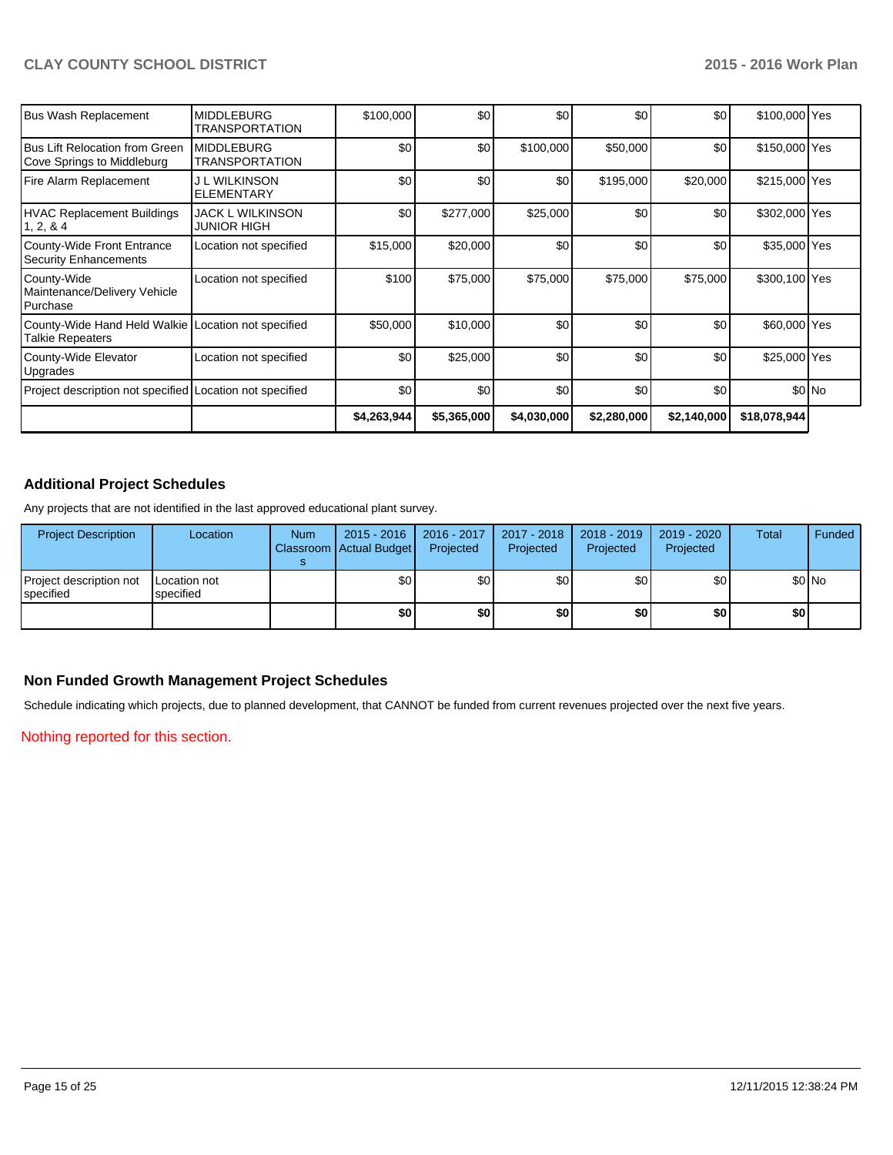| Bus Wash Replacement                                                    | <b>MIDDLEBURG</b><br><b>TRANSPORTATION</b> | \$100,000   | \$0         | \$0         | \$0         | \$0         | \$100,000 Yes |        |
|-------------------------------------------------------------------------|--------------------------------------------|-------------|-------------|-------------|-------------|-------------|---------------|--------|
| IBus Lift Relocation from Green<br>Cove Springs to Middleburg           | <b>MIDDLEBURG</b><br><b>TRANSPORTATION</b> | \$0         | \$0         | \$100,000   | \$50,000    | \$0         | \$150,000 Yes |        |
| Fire Alarm Replacement                                                  | <b>J L WILKINSON</b><br>ELEMENTARY         | \$0         | \$0         | \$0         | \$195,000   | \$20,000    | \$215,000 Yes |        |
| HVAC Replacement Buildings<br>1, 2, & 4                                 | JACK L WILKINSON<br><b>JUNIOR HIGH</b>     | \$0         | \$277,000   | \$25,000    | \$0         | \$0         | \$302,000 Yes |        |
| County-Wide Front Entrance<br>Security Enhancements                     | Location not specified                     | \$15,000    | \$20,000    | \$0         | \$0         | \$0         | \$35,000 Yes  |        |
| County-Wide<br>Maintenance/Delivery Vehicle<br>l Purchase               | Location not specified                     | \$100       | \$75,000    | \$75,000    | \$75,000    | \$75,000    | \$300,100 Yes |        |
| County-Wide Hand Held Walkie Location not specified<br>Talkie Repeaters |                                            | \$50,000    | \$10,000    | \$0         | \$0         | \$0         | \$60,000 Yes  |        |
| County-Wide Elevator<br>Upgrades                                        | Location not specified                     | \$0         | \$25,000    | \$0         | \$0         | \$0         | \$25,000 Yes  |        |
| Project description not specified Location not specified                |                                            | \$0         | \$0         | \$0         | \$0         | \$0         |               | \$0 No |
|                                                                         |                                            | \$4,263,944 | \$5,365,000 | \$4,030,000 | \$2,280,000 | \$2,140,000 | \$18,078,944  |        |

# **Additional Project Schedules**

Any projects that are not identified in the last approved educational plant survey.

| <b>Project Description</b>             | Location                  | <b>Num</b> | $2015 - 2016$<br>Classroom   Actual Budget | $2016 - 2017$<br>Projected | 2017 - 2018<br>Projected | 2018 - 2019<br>Projected | 2019 - 2020<br>Projected | Total | Funded |
|----------------------------------------|---------------------------|------------|--------------------------------------------|----------------------------|--------------------------|--------------------------|--------------------------|-------|--------|
| Project description not<br>l specified | Location not<br>specified |            | \$0                                        | \$٥Ι                       | \$0                      | \$0 I                    | \$0                      |       | \$0 No |
|                                        |                           |            | \$0                                        | \$0                        | \$0                      | \$0                      | \$0                      | \$O   |        |

## **Non Funded Growth Management Project Schedules**

Schedule indicating which projects, due to planned development, that CANNOT be funded from current revenues projected over the next five years.

Nothing reported for this section.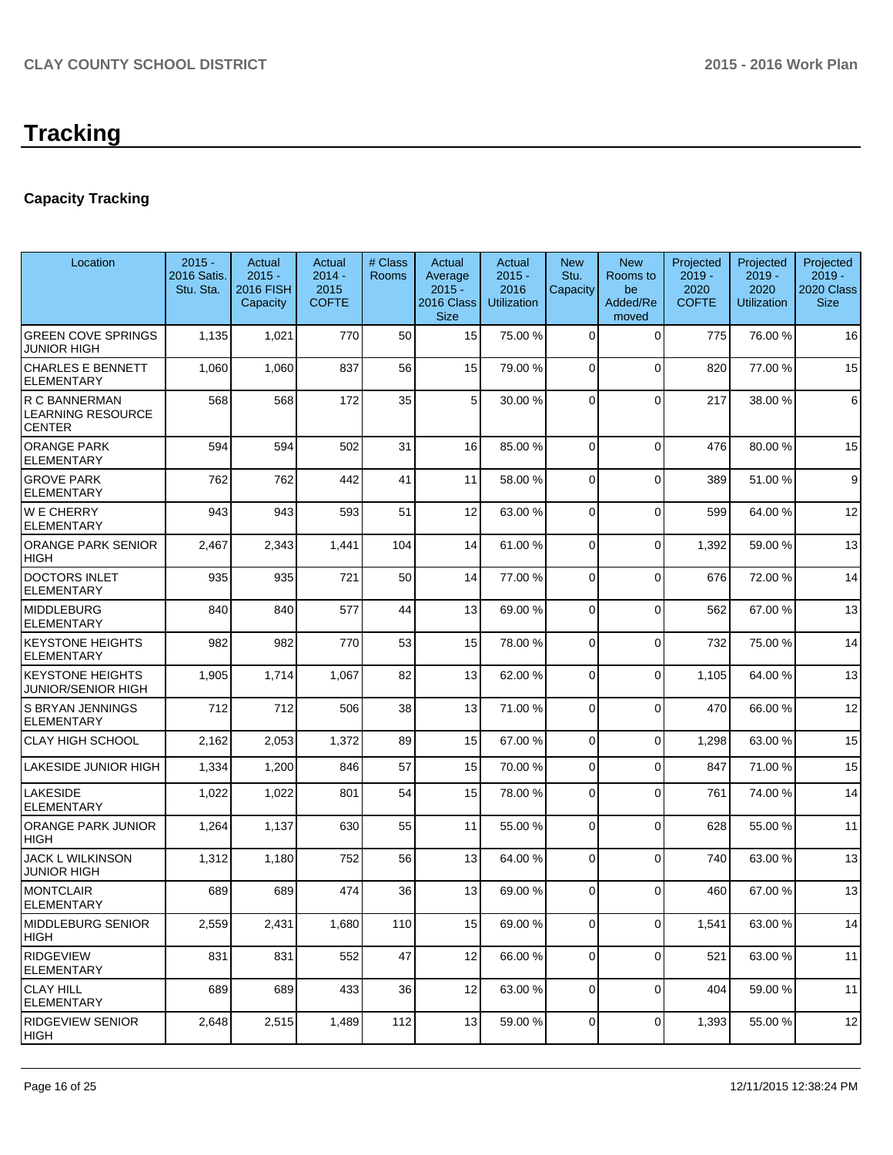# **Tracking**

# **Capacity Tracking**

| Location                                                   | $2015 -$<br>2016 Satis.<br>Stu. Sta. | Actual<br>$2015 -$<br><b>2016 FISH</b><br>Capacity | Actual<br>$2014 -$<br>2015<br><b>COFTE</b> | # Class<br><b>Rooms</b> | Actual<br>Average<br>$2015 -$<br>2016 Class<br><b>Size</b> | Actual<br>$2015 -$<br>2016<br><b>Utilization</b> | <b>New</b><br>Stu.<br>Capacity | <b>New</b><br>Rooms to<br>be<br>Added/Re<br>moved | Projected<br>$2019 -$<br>2020<br><b>COFTE</b> | Projected<br>$2019 -$<br>2020<br><b>Utilization</b> | Projected<br>$2019 -$<br>2020 Class<br><b>Size</b> |
|------------------------------------------------------------|--------------------------------------|----------------------------------------------------|--------------------------------------------|-------------------------|------------------------------------------------------------|--------------------------------------------------|--------------------------------|---------------------------------------------------|-----------------------------------------------|-----------------------------------------------------|----------------------------------------------------|
| <b>GREEN COVE SPRINGS</b><br><b>JUNIOR HIGH</b>            | 1,135                                | 1,021                                              | 770                                        | 50                      | 15                                                         | 75.00 %                                          | $\Omega$                       | $\mathbf 0$                                       | 775                                           | 76.00 %                                             | 16                                                 |
| CHARLES E BENNETT<br><b>ELEMENTARY</b>                     | 1,060                                | 1,060                                              | 837                                        | 56                      | 15                                                         | 79.00 %                                          | $\Omega$                       | $\Omega$                                          | 820                                           | 77.00 %                                             | 15                                                 |
| R C BANNERMAN<br><b>LEARNING RESOURCE</b><br><b>CENTER</b> | 568                                  | 568                                                | 172                                        | 35                      | 5 <sub>1</sub>                                             | 30.00 %                                          | $\Omega$                       | $\Omega$                                          | 217                                           | 38.00 %                                             | 6                                                  |
| <b>ORANGE PARK</b><br><b>ELEMENTARY</b>                    | 594                                  | 594                                                | 502                                        | 31                      | 16                                                         | 85.00 %                                          | $\Omega$                       | $\Omega$                                          | 476                                           | 80.00%                                              | 15                                                 |
| <b>GROVE PARK</b><br><b>ELEMENTARY</b>                     | 762                                  | 762                                                | 442                                        | 41                      | 11                                                         | 58.00 %                                          | $\Omega$                       | $\mathbf 0$                                       | 389                                           | 51.00 %                                             | 9                                                  |
| <b>WE CHERRY</b><br><b>ELEMENTARY</b>                      | 943                                  | 943                                                | 593                                        | 51                      | 12                                                         | 63.00 %                                          | $\Omega$                       | $\Omega$                                          | 599                                           | 64.00%                                              | 12                                                 |
| <b>ORANGE PARK SENIOR</b><br><b>HIGH</b>                   | 2,467                                | 2,343                                              | 1,441                                      | 104                     | 14                                                         | 61.00 %                                          | $\Omega$                       | $\Omega$                                          | 1,392                                         | 59.00 %                                             | 13                                                 |
| DOCTORS INLET<br><b>ELEMENTARY</b>                         | 935                                  | 935                                                | 721                                        | 50                      | 14                                                         | 77.00 %                                          | $\Omega$                       | $\Omega$                                          | 676                                           | 72.00 %                                             | 14                                                 |
| <b>MIDDLEBURG</b><br><b>ELEMENTARY</b>                     | 840                                  | 840                                                | 577                                        | 44                      | 13                                                         | 69.00 %                                          | $\Omega$                       | $\Omega$                                          | 562                                           | 67.00 %                                             | 13                                                 |
| <b>KEYSTONE HEIGHTS</b><br><b>ELEMENTARY</b>               | 982                                  | 982                                                | 770                                        | 53                      | 15                                                         | 78.00 %                                          | $\Omega$                       | $\mathbf 0$                                       | 732                                           | 75.00 %                                             | 14                                                 |
| <b>KEYSTONE HEIGHTS</b><br><b>JUNIOR/SENIOR HIGH</b>       | 1,905                                | 1,714                                              | 1,067                                      | 82                      | 13                                                         | 62.00 %                                          | $\Omega$                       | $\mathbf 0$                                       | 1,105                                         | 64.00 %                                             | 13                                                 |
| <b>S BRYAN JENNINGS</b><br><b>ELEMENTARY</b>               | 712                                  | 712                                                | 506                                        | 38                      | 13                                                         | 71.00 %                                          | $\Omega$                       | $\Omega$                                          | 470                                           | 66.00 %                                             | 12                                                 |
| <b>CLAY HIGH SCHOOL</b>                                    | 2,162                                | 2,053                                              | 1,372                                      | 89                      | 15                                                         | 67.00 %                                          | $\Omega$                       | $\Omega$                                          | 1,298                                         | 63.00 %                                             | 15                                                 |
| LAKESIDE JUNIOR HIGH                                       | 1,334                                | 1,200                                              | 846                                        | 57                      | 15                                                         | 70.00 %                                          | $\overline{0}$                 | $\Omega$                                          | 847                                           | 71.00 %                                             | 15                                                 |
| <b>LAKESIDE</b><br><b>ELEMENTARY</b>                       | 1,022                                | 1,022                                              | 801                                        | 54                      | 15                                                         | 78.00 %                                          | $\Omega$                       | $\Omega$                                          | 761                                           | 74.00 %                                             | 14                                                 |
| <b>ORANGE PARK JUNIOR</b><br><b>HIGH</b>                   | 1,264                                | 1,137                                              | 630                                        | 55                      | 11                                                         | 55.00 %                                          | $\Omega$                       | $\mathbf 0$                                       | 628                                           | 55.00 %                                             | 11                                                 |
| <b>JACK L WILKINSON</b><br><b>JUNIOR HIGH</b>              | 1,312                                | 1,180                                              | 752                                        | 56                      | 13                                                         | 64.00 %                                          | $\overline{0}$                 | $\Omega$                                          | 740                                           | 63.00 %                                             | 13                                                 |
| <b>MONTCLAIR</b><br><b>ELEMENTARY</b>                      | 689                                  | 689                                                | 474                                        | 36                      | 13                                                         | 69.00 %                                          | $\overline{0}$                 | $\mathbf 0$                                       | 460                                           | 67.00 %                                             | 13                                                 |
| <b>MIDDLEBURG SENIOR</b><br>HIGH                           | 2,559                                | 2,431                                              | 1,680                                      | 110                     | 15                                                         | 69.00 %                                          | 0                              | $\mathbf 0$                                       | 1,541                                         | 63.00 %                                             | 14                                                 |
| <b>RIDGEVIEW</b><br> ELEMENTARY                            | 831                                  | 831                                                | 552                                        | 47                      | 12                                                         | 66.00 %                                          | $\overline{0}$                 | $\mathbf 0$                                       | 521                                           | 63.00 %                                             | 11                                                 |
| <b>CLAY HILL</b><br> ELEMENTARY                            | 689                                  | 689                                                | 433                                        | 36                      | 12                                                         | 63.00 %                                          | $\overline{0}$                 | $\mathbf 0$                                       | 404                                           | 59.00 %                                             | 11                                                 |
| <b>RIDGEVIEW SENIOR</b><br> HIGH                           | 2,648                                | 2,515                                              | 1,489                                      | 112                     | 13                                                         | 59.00 %                                          | 0                              | $\mathbf 0$                                       | 1,393                                         | 55.00 %                                             | 12                                                 |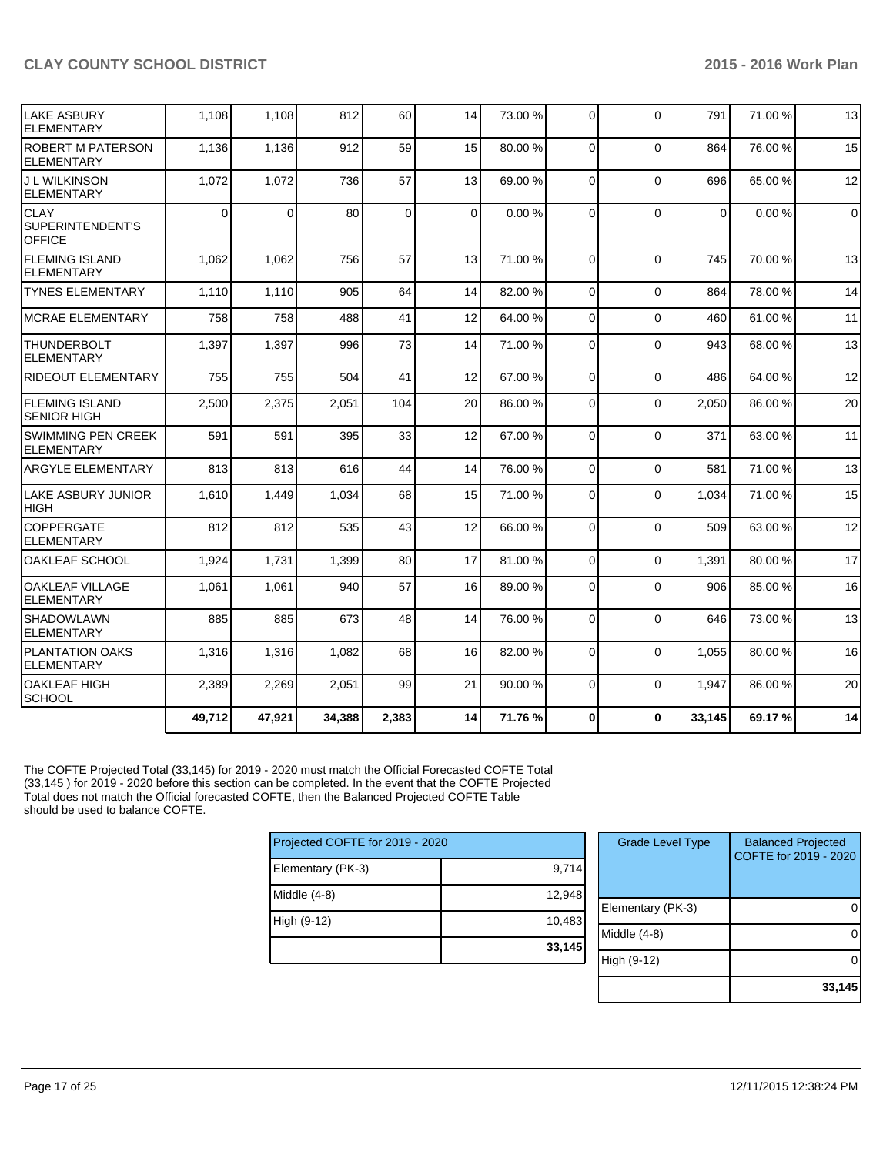| <b>LAKE ASBURY</b><br><b>ELEMENTARY</b>          | 1,108    | 1,108  | 812    | 60    | 14       | 73.00 % | $\Omega$ | $\Omega$       | 791            | 71.00 % | 13             |
|--------------------------------------------------|----------|--------|--------|-------|----------|---------|----------|----------------|----------------|---------|----------------|
| <b>ROBERT M PATERSON</b><br><b>ELEMENTARY</b>    | 1,136    | 1,136  | 912    | 59    | 15       | 80.00 % | $\Omega$ | $\overline{0}$ | 864            | 76.00%  | 15             |
| <b>J L WILKINSON</b><br><b>ELEMENTARY</b>        | 1,072    | 1,072  | 736    | 57    | 13       | 69.00 % | $\Omega$ | $\Omega$       | 696            | 65.00 % | 12             |
| <b>CLAY</b><br>SUPERINTENDENT'S<br><b>OFFICE</b> | $\Omega$ | 0      | 80     | 0     | $\Omega$ | 0.00%   | $\Omega$ | $\Omega$       | $\overline{0}$ | 0.00%   | $\overline{0}$ |
| <b>FLEMING ISLAND</b><br><b>ELEMENTARY</b>       | 1,062    | 1,062  | 756    | 57    | 13       | 71.00 % | $\Omega$ | $\Omega$       | 745            | 70.00%  | 13             |
| <b>TYNES ELEMENTARY</b>                          | 1,110    | 1,110  | 905    | 64    | 14       | 82.00 % | $\Omega$ | $\Omega$       | 864            | 78.00%  | 14             |
| <b>MCRAE ELEMENTARY</b>                          | 758      | 758    | 488    | 41    | 12       | 64.00%  | $\Omega$ | $\Omega$       | 460            | 61.00%  | 11             |
| <b>THUNDERBOLT</b><br><b>ELEMENTARY</b>          | 1,397    | 1,397  | 996    | 73    | 14       | 71.00 % | $\Omega$ | $\Omega$       | 943            | 68.00%  | 13             |
| <b>RIDEOUT ELEMENTARY</b>                        | 755      | 755    | 504    | 41    | 12       | 67.00 % | $\Omega$ | $\Omega$       | 486            | 64.00%  | 12             |
| <b>FLEMING ISLAND</b><br><b>SENIOR HIGH</b>      | 2,500    | 2,375  | 2,051  | 104   | 20       | 86.00 % | $\Omega$ | $\Omega$       | 2,050          | 86.00%  | 20             |
| SWIMMING PEN CREEK<br><b>ELEMENTARY</b>          | 591      | 591    | 395    | 33    | 12       | 67.00 % | $\Omega$ | $\Omega$       | 371            | 63.00%  | 11             |
| <b>ARGYLE ELEMENTARY</b>                         | 813      | 813    | 616    | 44    | 14       | 76.00 % | $\Omega$ | $\Omega$       | 581            | 71.00 % | 13             |
| LAKE ASBURY JUNIOR<br><b>HIGH</b>                | 1,610    | 1,449  | 1,034  | 68    | 15       | 71.00 % | $\Omega$ | $\Omega$       | 1,034          | 71.00 % | 15             |
| <b>COPPERGATE</b><br><b>ELEMENTARY</b>           | 812      | 812    | 535    | 43    | 12       | 66.00 % | $\Omega$ | $\Omega$       | 509            | 63.00 % | 12             |
| OAKLEAF SCHOOL                                   | 1,924    | 1,731  | 1,399  | 80    | 17       | 81.00%  | $\Omega$ | $\Omega$       | 1,391          | 80.00%  | 17             |
| <b>OAKLEAF VILLAGE</b><br><b>ELEMENTARY</b>      | 1,061    | 1,061  | 940    | 57    | 16       | 89.00 % | $\Omega$ | $\Omega$       | 906            | 85.00 % | 16             |
| <b>SHADOWLAWN</b><br><b>ELEMENTARY</b>           | 885      | 885    | 673    | 48    | 14       | 76.00 % | $\Omega$ | $\Omega$       | 646            | 73.00 % | 13             |
| <b>PLANTATION OAKS</b><br><b>ELEMENTARY</b>      | 1,316    | 1,316  | 1,082  | 68    | 16       | 82.00 % | $\Omega$ | $\Omega$       | 1,055          | 80.00%  | 16             |
| <b>OAKLEAF HIGH</b><br><b>SCHOOL</b>             | 2,389    | 2,269  | 2,051  | 99    | 21       | 90.00 % | $\Omega$ | $\Omega$       | 1,947          | 86.00%  | 20             |
|                                                  | 49,712   | 47,921 | 34,388 | 2,383 | 14       | 71.76 % | $\Omega$ | $\mathbf{0}$   | 33,145         | 69.17%  | 14             |

The COFTE Projected Total (33,145) for 2019 - 2020 must match the Official Forecasted COFTE Total (33,145 ) for 2019 - 2020 before this section can be completed. In the event that the COFTE Projected Total does not match the Official forecasted COFTE, then the Balanced Projected COFTE Table should be used to balance COFTE.

| Projected COFTE for 2019 - 2020 |        |  |  |  |  |  |  |
|---------------------------------|--------|--|--|--|--|--|--|
| Elementary (PK-3)               | 9,714  |  |  |  |  |  |  |
| Middle (4-8)                    | 12,948 |  |  |  |  |  |  |
| High (9-12)                     | 10,483 |  |  |  |  |  |  |
|                                 | 33,145 |  |  |  |  |  |  |

| <b>Grade Level Type</b> | <b>Balanced Projected</b><br>COFTE for 2019 - 2020 |
|-------------------------|----------------------------------------------------|
| Elementary (PK-3)       |                                                    |
| Middle $(4-8)$          |                                                    |
| High (9-12)             |                                                    |
|                         | 33,145                                             |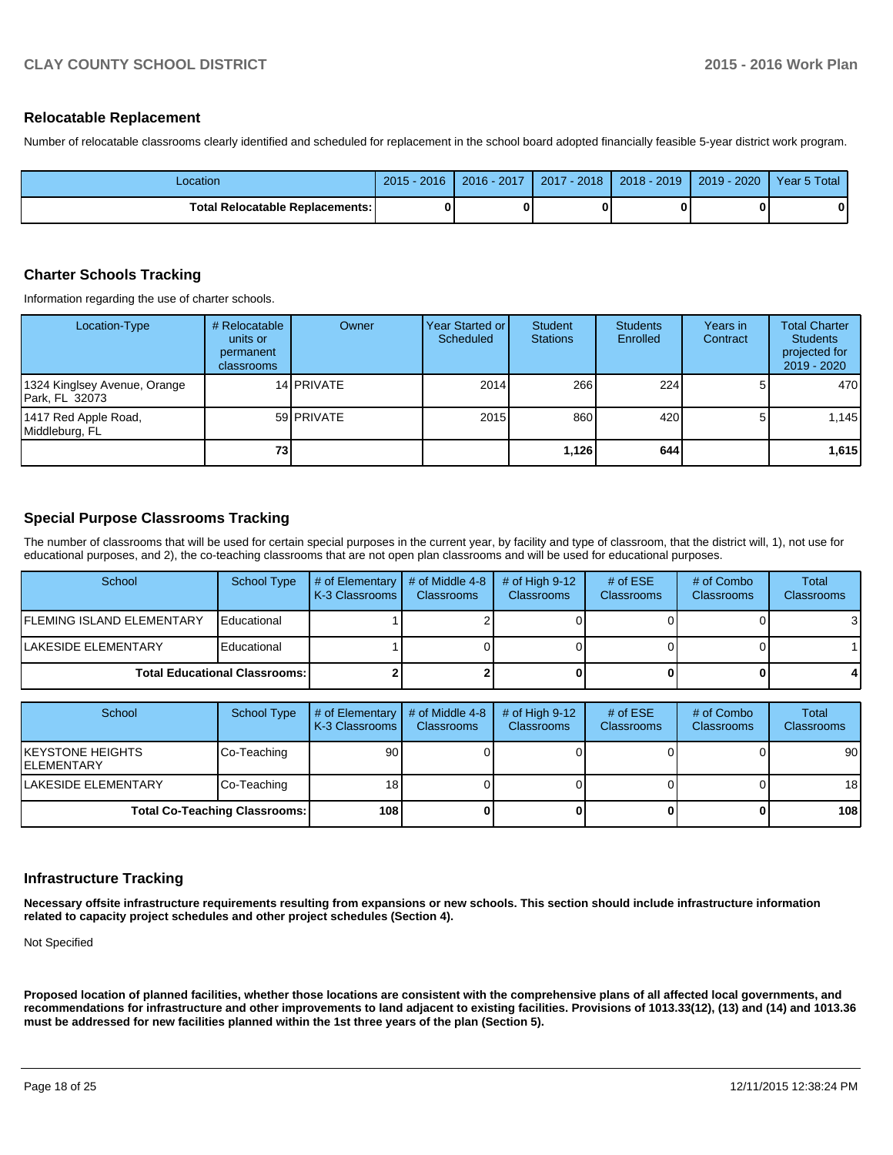### **Relocatable Replacement**

Number of relocatable classrooms clearly identified and scheduled for replacement in the school board adopted financially feasible 5-year district work program.

| Location                                 | $2015 - 2016$ | 2016 - 2017 | 2017 - 2018 I | 2018 - 2019 | 2019 - 2020 | Year 5 Total |
|------------------------------------------|---------------|-------------|---------------|-------------|-------------|--------------|
| <b>Total Relocatable Replacements: I</b> |               |             |               |             |             |              |

#### **Charter Schools Tracking**

Information regarding the use of charter schools.

| Location-Type                                   | # Relocatable<br>units or<br>permanent<br>classrooms | Owner             | Year Started or I<br>Scheduled | Student<br><b>Stations</b> | <b>Students</b><br>Enrolled | Years in<br>Contract | <b>Total Charter</b><br><b>Students</b><br>projected for<br>$2019 - 2020$ |
|-------------------------------------------------|------------------------------------------------------|-------------------|--------------------------------|----------------------------|-----------------------------|----------------------|---------------------------------------------------------------------------|
| 1324 Kinglsey Avenue, Orange<br>IPark. FL 32073 |                                                      | 14 <b>PRIVATE</b> | 2014                           | 266                        | 224                         |                      | 470                                                                       |
| 1417 Red Apple Road,<br>Middleburg, FL          |                                                      | 59 PRIVATE        | 2015                           | 860                        | 420                         |                      | 1.145                                                                     |
|                                                 | 73                                                   |                   |                                | 1,126                      | 644                         |                      | 1,615                                                                     |

### **Special Purpose Classrooms Tracking**

The number of classrooms that will be used for certain special purposes in the current year, by facility and type of classroom, that the district will, 1), not use for educational purposes, and 2), the co-teaching classrooms that are not open plan classrooms and will be used for educational purposes.

| School                               | School Type | $\vert \#$ of Elementary $\vert \#$ of Middle 4-8<br><b>IK-3 Classrooms I</b> | <b>Classrooms</b> | $#$ of High 9-12<br><b>Classrooms</b> | # of $ESE$<br><b>Classrooms</b> | # of Combo<br><b>Classrooms</b> | Total<br>Classrooms |
|--------------------------------------|-------------|-------------------------------------------------------------------------------|-------------------|---------------------------------------|---------------------------------|---------------------------------|---------------------|
| <b>IFLEMING ISLAND ELEMENTARY</b>    | Educational |                                                                               |                   |                                       |                                 |                                 | 3                   |
| <b>ILAKESIDE ELEMENTARY</b>          | Educational |                                                                               |                   |                                       |                                 |                                 |                     |
| <b>Total Educational Classrooms:</b> |             |                                                                               |                   |                                       |                                 | 4                               |                     |

| School                           | <b>School Type</b>                   | # of Elementary $\vert$ # of Middle 4-8<br>K-3 Classrooms | <b>Classrooms</b> | # of High $9-12$<br><b>Classrooms</b> | # of $ESE$<br><b>Classrooms</b> | # of Combo<br><b>Classrooms</b> | Total<br><b>Classrooms</b> |
|----------------------------------|--------------------------------------|-----------------------------------------------------------|-------------------|---------------------------------------|---------------------------------|---------------------------------|----------------------------|
| IKEYSTONE HEIGHTS<br>IELEMENTARY | Co-Teaching                          | 90                                                        |                   |                                       |                                 |                                 | 90                         |
| <b>LAKESIDE ELEMENTARY</b>       | Co-Teaching                          | 18 I                                                      |                   |                                       |                                 |                                 | 18                         |
|                                  | <b>Total Co-Teaching Classrooms:</b> | <b>108</b>                                                |                   |                                       |                                 | 0                               | 108                        |

#### **Infrastructure Tracking**

**Necessary offsite infrastructure requirements resulting from expansions or new schools. This section should include infrastructure information related to capacity project schedules and other project schedules (Section 4).**

Not Specified

**Proposed location of planned facilities, whether those locations are consistent with the comprehensive plans of all affected local governments, and recommendations for infrastructure and other improvements to land adjacent to existing facilities. Provisions of 1013.33(12), (13) and (14) and 1013.36 must be addressed for new facilities planned within the 1st three years of the plan (Section 5).**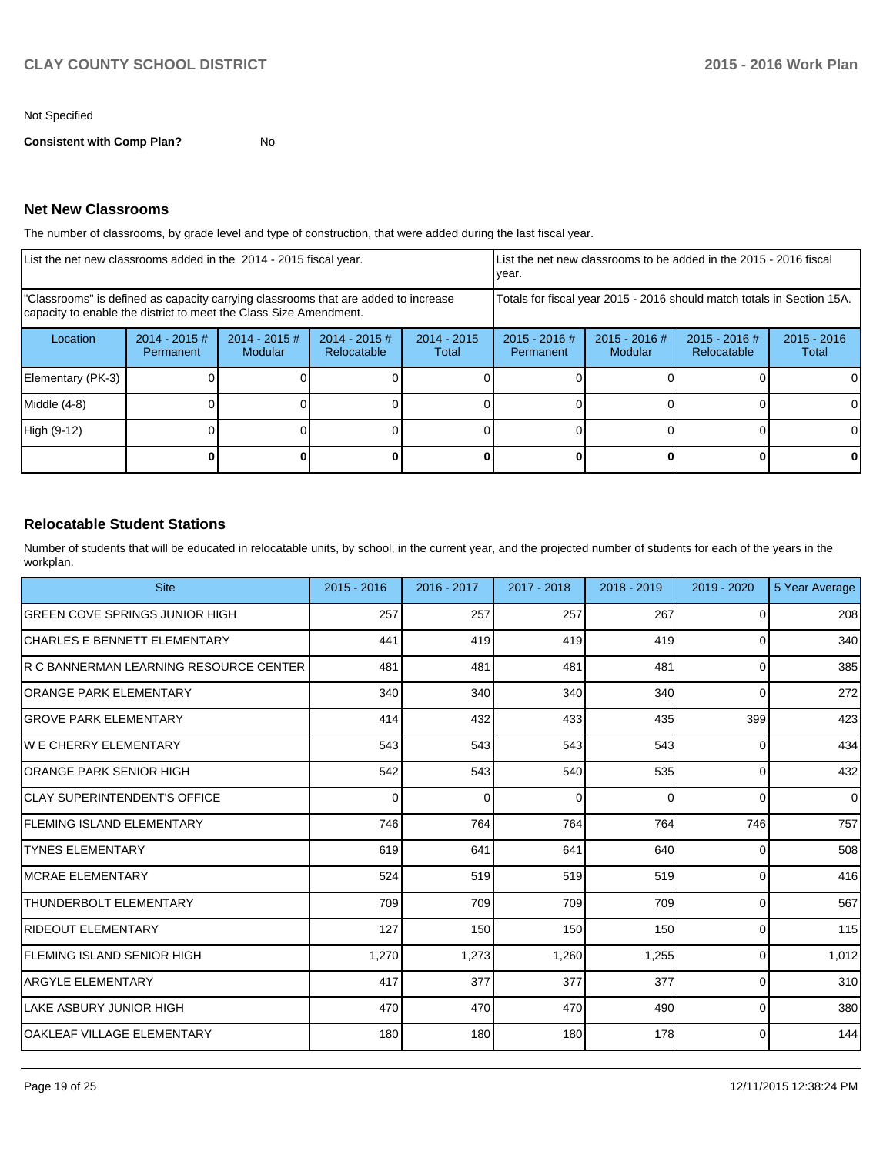#### Not Specified

**Consistent with Comp Plan?** No

### **Net New Classrooms**

The number of classrooms, by grade level and type of construction, that were added during the last fiscal year.

| List the net new classrooms added in the 2014 - 2015 fiscal year.                                                                                       |                                                                        |                                 | List the net new classrooms to be added in the 2015 - 2016 fiscal<br>Ivear. |                        |                            |                            |                              |                        |
|---------------------------------------------------------------------------------------------------------------------------------------------------------|------------------------------------------------------------------------|---------------------------------|-----------------------------------------------------------------------------|------------------------|----------------------------|----------------------------|------------------------------|------------------------|
| "Classrooms" is defined as capacity carrying classrooms that are added to increase<br>capacity to enable the district to meet the Class Size Amendment. | Totals for fiscal year 2015 - 2016 should match totals in Section 15A. |                                 |                                                                             |                        |                            |                            |                              |                        |
| Location                                                                                                                                                | $2014 - 2015 \#$<br><b>Permanent</b>                                   | 2014 - 2015 #<br><b>Modular</b> | $2014 - 2015$ #<br>Relocatable                                              | $2014 - 2015$<br>Total | 2015 - 2016 #<br>Permanent | $2015 - 2016$ #<br>Modular | 2015 - 2016 #<br>Relocatable | $2015 - 2016$<br>Total |
| Elementary (PK-3)                                                                                                                                       |                                                                        |                                 |                                                                             |                        |                            |                            |                              | 0                      |
| $Middle (4-8)$                                                                                                                                          |                                                                        |                                 |                                                                             |                        |                            |                            |                              | $\Omega$               |
| High (9-12)                                                                                                                                             |                                                                        |                                 |                                                                             |                        |                            |                            |                              | $\Omega$               |
|                                                                                                                                                         |                                                                        |                                 |                                                                             |                        |                            |                            | 0                            | 0                      |

## **Relocatable Student Stations**

Number of students that will be educated in relocatable units, by school, in the current year, and the projected number of students for each of the years in the workplan.

| <b>Site</b>                             | 2015 - 2016 | 2016 - 2017 | 2017 - 2018 | 2018 - 2019 | $2019 - 2020$  | 5 Year Average |
|-----------------------------------------|-------------|-------------|-------------|-------------|----------------|----------------|
| <b>GREEN COVE SPRINGS JUNIOR HIGH</b>   | 257         | 257         | 257         | 267         | $\Omega$       | 208            |
| ICHARLES E BENNETT ELEMENTARY           | 441         | 419         | 419         | 419         | $\overline{0}$ | 340            |
| IR C BANNERMAN LEARNING RESOURCE CENTER | 481         | 481         | 481         | 481         | $\overline{0}$ | 385            |
| IORANGE PARK ELEMENTARY                 | 340         | 340         | 340         | 340         | $\overline{0}$ | 272            |
| IGROVE PARK ELEMENTARY                  | 414         | 432         | 433         | 435         | 399            | 423            |
| IW E CHERRY ELEMENTARY                  | 543         | 543         | 543         | 543         | $\overline{0}$ | 434            |
| <b>ORANGE PARK SENIOR HIGH</b>          | 542         | 543         | 540         | 535         | $\Omega$       | 432            |
| ICLAY SUPERINTENDENT'S OFFICE           | $\Omega$    | $\Omega$    | $\Omega$    | $\Omega$    | $\Omega$       | $\overline{0}$ |
| <b>IFLEMING ISLAND ELEMENTARY</b>       | 746         | 764         | 764         | 764         | 746            | 757            |
| <b>TYNES ELEMENTARY</b>                 | 619         | 641         | 641         | 640         | $\Omega$       | 508            |
| IMCRAE ELEMENTARY                       | 524         | 519         | 519         | 519         | $\overline{0}$ | 416            |
| THUNDERBOLT ELEMENTARY                  | 709         | 709         | 709         | 709         | $\overline{0}$ | 567            |
| <b>RIDEOUT ELEMENTARY</b>               | 127         | 150         | 150         | 150         | $\Omega$       | 115            |
| <b>IFLEMING ISLAND SENIOR HIGH</b>      | 1,270       | 1,273       | 1,260       | 1,255       | $\overline{0}$ | 1,012          |
| <b>ARGYLE ELEMENTARY</b>                | 417         | 377         | 377         | 377         | $\Omega$       | 310            |
| LAKE ASBURY JUNIOR HIGH                 | 470         | 470         | 470         | 490         | $\overline{0}$ | 380            |
| <b>OAKLEAF VILLAGE ELEMENTARY</b>       | 180         | 180         | 180         | 178         | $\overline{0}$ | 144            |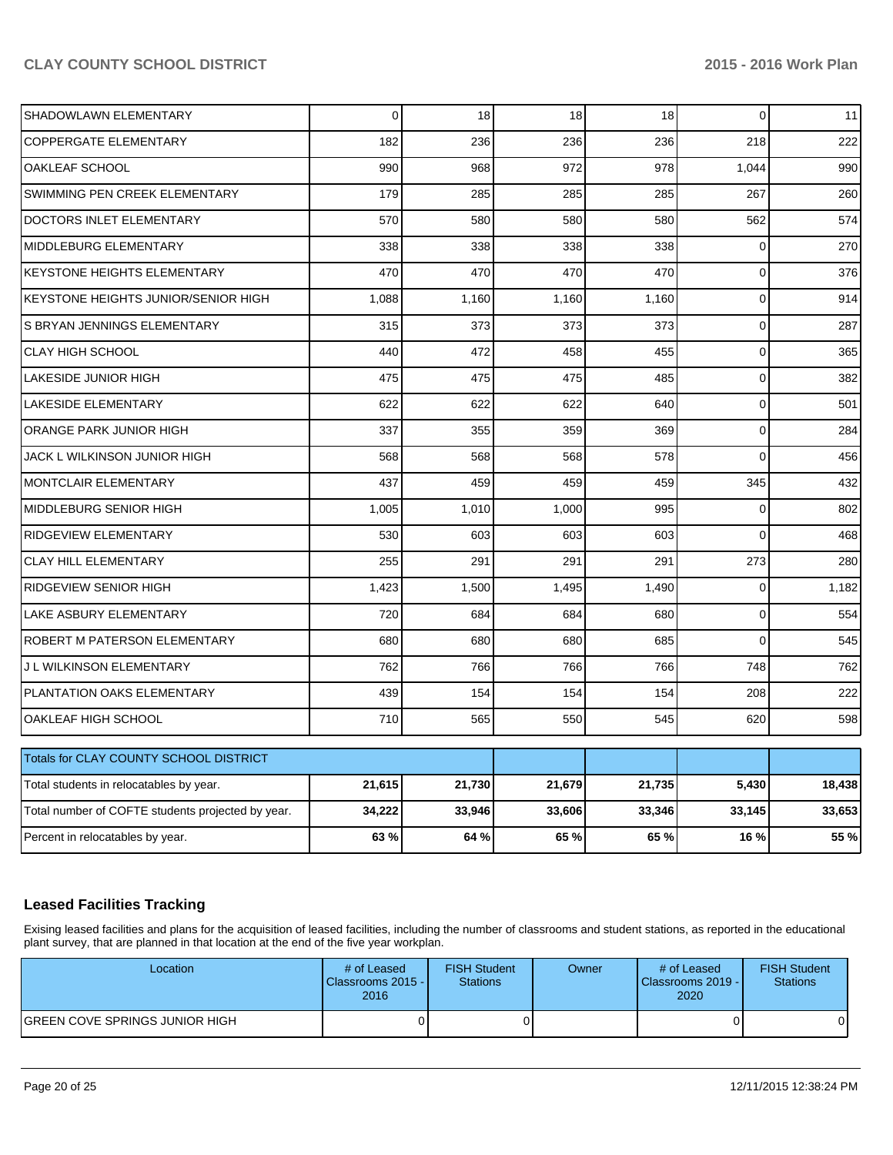| SHADOWLAWN ELEMENTARY                             | $\Omega$ | 18     | 18     | 18     | $\Omega$       | 11     |
|---------------------------------------------------|----------|--------|--------|--------|----------------|--------|
| <b>COPPERGATE ELEMENTARY</b>                      | 182      | 236    | 236    | 236    | 218            | 222    |
| OAKLEAF SCHOOL                                    | 990      | 968    | 972    | 978    | 1,044          | 990    |
| SWIMMING PEN CREEK ELEMENTARY                     | 179      | 285    | 285    | 285    | 267            | 260    |
| DOCTORS INLET ELEMENTARY                          | 570      | 580    | 580    | 580    | 562            | 574    |
| MIDDLEBURG ELEMENTARY                             | 338      | 338    | 338    | 338    | $\Omega$       | 270    |
| KEYSTONE HEIGHTS ELEMENTARY                       | 470      | 470    | 470    | 470    | $\mathbf 0$    | 376    |
| KEYSTONE HEIGHTS JUNIOR/SENIOR HIGH               | 1,088    | 1,160  | 1,160  | 1,160  | $\mathbf 0$    | 914    |
| S BRYAN JENNINGS ELEMENTARY                       | 315      | 373    | 373    | 373    | $\overline{0}$ | 287    |
| <b>CLAY HIGH SCHOOL</b>                           | 440      | 472    | 458    | 455    | $\mathbf 0$    | 365    |
| LAKESIDE JUNIOR HIGH                              | 475      | 475    | 475    | 485    | $\overline{0}$ | 382    |
| <b>LAKESIDE ELEMENTARY</b>                        | 622      | 622    | 622    | 640    | $\mathbf{0}$   | 501    |
| ORANGE PARK JUNIOR HIGH                           | 337      | 355    | 359    | 369    | $\Omega$       | 284    |
| JACK L WILKINSON JUNIOR HIGH                      | 568      | 568    | 568    | 578    | $\Omega$       | 456    |
| MONTCLAIR ELEMENTARY                              | 437      | 459    | 459    | 459    | 345            | 432    |
| MIDDLEBURG SENIOR HIGH                            | 1,005    | 1,010  | 1,000  | 995    | $\mathbf 0$    | 802    |
| RIDGEVIEW ELEMENTARY                              | 530      | 603    | 603    | 603    | $\Omega$       | 468    |
| <b>CLAY HILL ELEMENTARY</b>                       | 255      | 291    | 291    | 291    | 273            | 280    |
| RIDGEVIEW SENIOR HIGH                             | 1,423    | 1,500  | 1,495  | 1,490  | $\mathbf 0$    | 1,182  |
| LAKE ASBURY ELEMENTARY                            | 720      | 684    | 684    | 680    | $\Omega$       | 554    |
| ROBERT M PATERSON ELEMENTARY                      | 680      | 680    | 680    | 685    | $\Omega$       | 545    |
| J L WILKINSON ELEMENTARY                          | 762      | 766    | 766    | 766    | 748            | 762    |
| PLANTATION OAKS ELEMENTARY                        | 439      | 154    | 154    | 154    | 208            | 222    |
| OAKLEAF HIGH SCHOOL                               | 710      | 565    | 550    | 545    | 620            | 598    |
| Totals for CLAY COUNTY SCHOOL DISTRICT            |          |        |        |        |                |        |
|                                                   | 21,615   | 21,730 | 21,679 | 21,735 | 5,430          |        |
| Total students in relocatables by year.           |          |        |        |        |                | 18,438 |
| Total number of COFTE students projected by year. | 34,222   | 33,946 | 33,606 | 33,346 | 33,145         | 33,653 |
| Percent in relocatables by year.                  | 63%      | 64 %   | 65 %   | 65%    | 16 %           | 55 %   |

# **Leased Facilities Tracking**

Exising leased facilities and plans for the acquisition of leased facilities, including the number of classrooms and student stations, as reported in the educational plant survey, that are planned in that location at the end of the five year workplan.

| Location                              | # of Leased<br>Classrooms 2015 -<br>2016 | <b>FISH Student</b><br><b>Stations</b> | Owner | # of Leased<br><b>IClassrooms 2019 - I</b><br>2020 | <b>FISH Student</b><br>Stations |
|---------------------------------------|------------------------------------------|----------------------------------------|-------|----------------------------------------------------|---------------------------------|
| <b>GREEN COVE SPRINGS JUNIOR HIGH</b> |                                          |                                        |       |                                                    |                                 |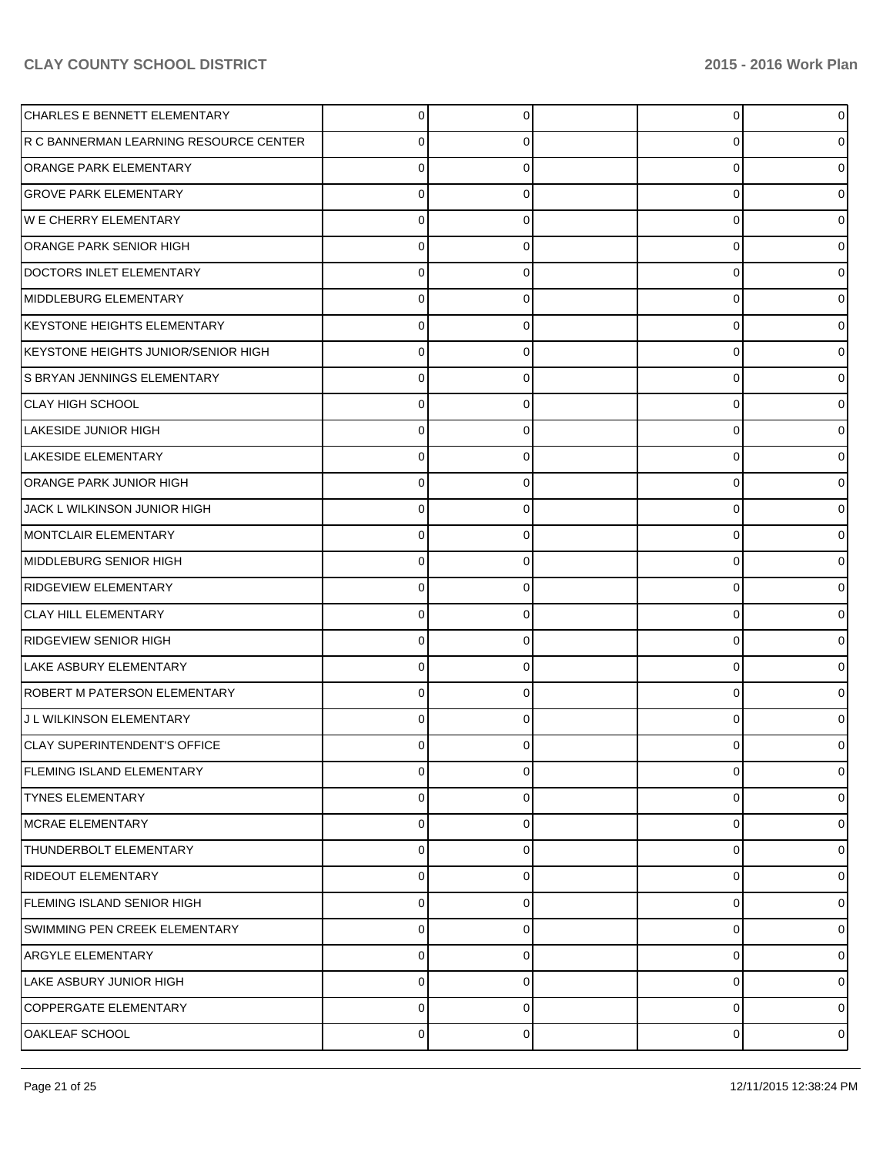| CHARLES E BENNETT ELEMENTARY           | 0 | 0 | $\overline{0}$ | 0              |
|----------------------------------------|---|---|----------------|----------------|
| R C BANNERMAN LEARNING RESOURCE CENTER | 0 | 0 | 0              |                |
| ORANGE PARK ELEMENTARY                 | 0 |   | 0              | o              |
| <b>GROVE PARK ELEMENTARY</b>           | 0 | 0 | 0              |                |
| <b>WE CHERRY ELEMENTARY</b>            | 0 |   | 0              |                |
| <b>ORANGE PARK SENIOR HIGH</b>         | 0 | 0 | 0              |                |
| DOCTORS INLET ELEMENTARY               | 0 |   | 0              |                |
| MIDDLEBURG ELEMENTARY                  | 0 | 0 | 0              |                |
| KEYSTONE HEIGHTS ELEMENTARY            | 0 |   | 0              | o              |
| KEYSTONE HEIGHTS JUNIOR/SENIOR HIGH    | 0 | 0 | 0              |                |
| S BRYAN JENNINGS ELEMENTARY            | 0 |   | 0              |                |
| <b>CLAY HIGH SCHOOL</b>                | 0 |   | 0              |                |
| LAKESIDE JUNIOR HIGH                   | 0 |   | 0              |                |
| LAKESIDE ELEMENTARY                    | 0 | 0 | 0              |                |
| ORANGE PARK JUNIOR HIGH                | 0 |   | 0              |                |
| JACK L WILKINSON JUNIOR HIGH           | 0 |   | 0              |                |
| MONTCLAIR ELEMENTARY                   | 0 |   | 0              |                |
| MIDDLEBURG SENIOR HIGH                 | 0 | 0 | 0              |                |
| RIDGEVIEW ELEMENTARY                   | 0 |   | 0              |                |
| <b>CLAY HILL ELEMENTARY</b>            | 0 | 0 | 0              |                |
| RIDGEVIEW SENIOR HIGH                  | 0 |   | 0              |                |
| LAKE ASBURY ELEMENTARY                 | 0 |   | 0              |                |
| ROBERT M PATERSON ELEMENTARY           | 0 |   | 0              |                |
| J L WILKINSON ELEMENTARY               | 0 | 0 | 0              |                |
| CLAY SUPERINTENDENT'S OFFICE           | 0 |   | 0              |                |
| FLEMING ISLAND ELEMENTARY              | 0 | 0 | 0              | 0              |
| <b>TYNES ELEMENTARY</b>                | 0 | 0 | 0              | o              |
| MCRAE ELEMENTARY                       | 0 | C | 0              | 0              |
| THUNDERBOLT ELEMENTARY                 | 0 | 0 | 0              | 0              |
| <b>RIDEOUT ELEMENTARY</b>              | 0 | 0 | 0              | 0              |
| <b>FLEMING ISLAND SENIOR HIGH</b>      | 0 | 0 | 0              | 0              |
| SWIMMING PEN CREEK ELEMENTARY          | 0 | O | 0              | 0              |
| <b>ARGYLE ELEMENTARY</b>               | 0 | 0 | 0              | 0              |
| LAKE ASBURY JUNIOR HIGH                | 0 | 0 | 0              | 0              |
| COPPERGATE ELEMENTARY                  | 0 | 0 | 0              | 0              |
| OAKLEAF SCHOOL                         | 0 | 0 | 0              | $\overline{0}$ |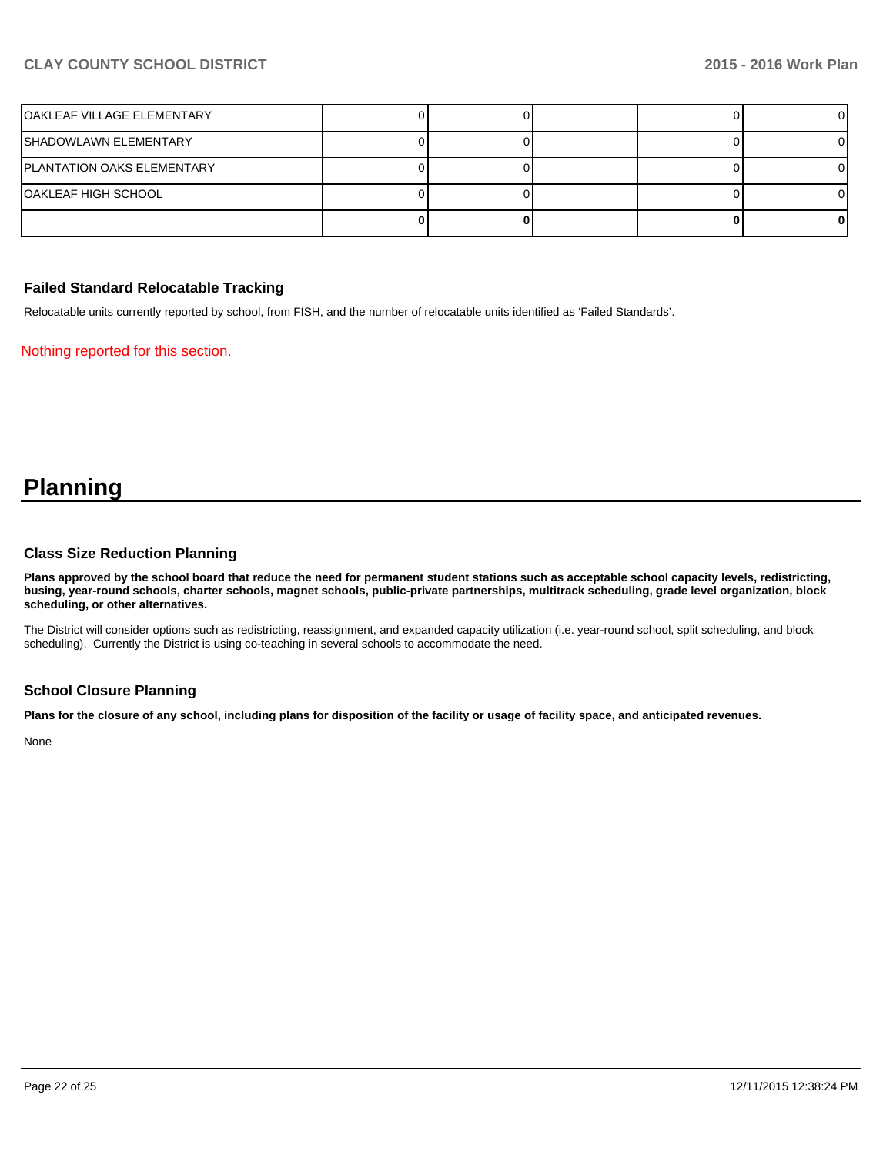| lOAKLEAF VILLAGE ELEMENTARY |  |  |  |
|-----------------------------|--|--|--|
| ISHADOWLAWN ELEMENTARY      |  |  |  |
| IPLANTATION OAKS ELEMENTARY |  |  |  |
| IOAKLEAF HIGH SCHOOL        |  |  |  |
|                             |  |  |  |

## **Failed Standard Relocatable Tracking**

Relocatable units currently reported by school, from FISH, and the number of relocatable units identified as 'Failed Standards'.

Nothing reported for this section.

# **Planning**

#### **Class Size Reduction Planning**

**Plans approved by the school board that reduce the need for permanent student stations such as acceptable school capacity levels, redistricting, busing, year-round schools, charter schools, magnet schools, public-private partnerships, multitrack scheduling, grade level organization, block scheduling, or other alternatives.**

The District will consider options such as redistricting, reassignment, and expanded capacity utilization (i.e. year-round school, split scheduling, and block scheduling). Currently the District is using co-teaching in several schools to accommodate the need.

#### **School Closure Planning**

**Plans for the closure of any school, including plans for disposition of the facility or usage of facility space, and anticipated revenues.**

None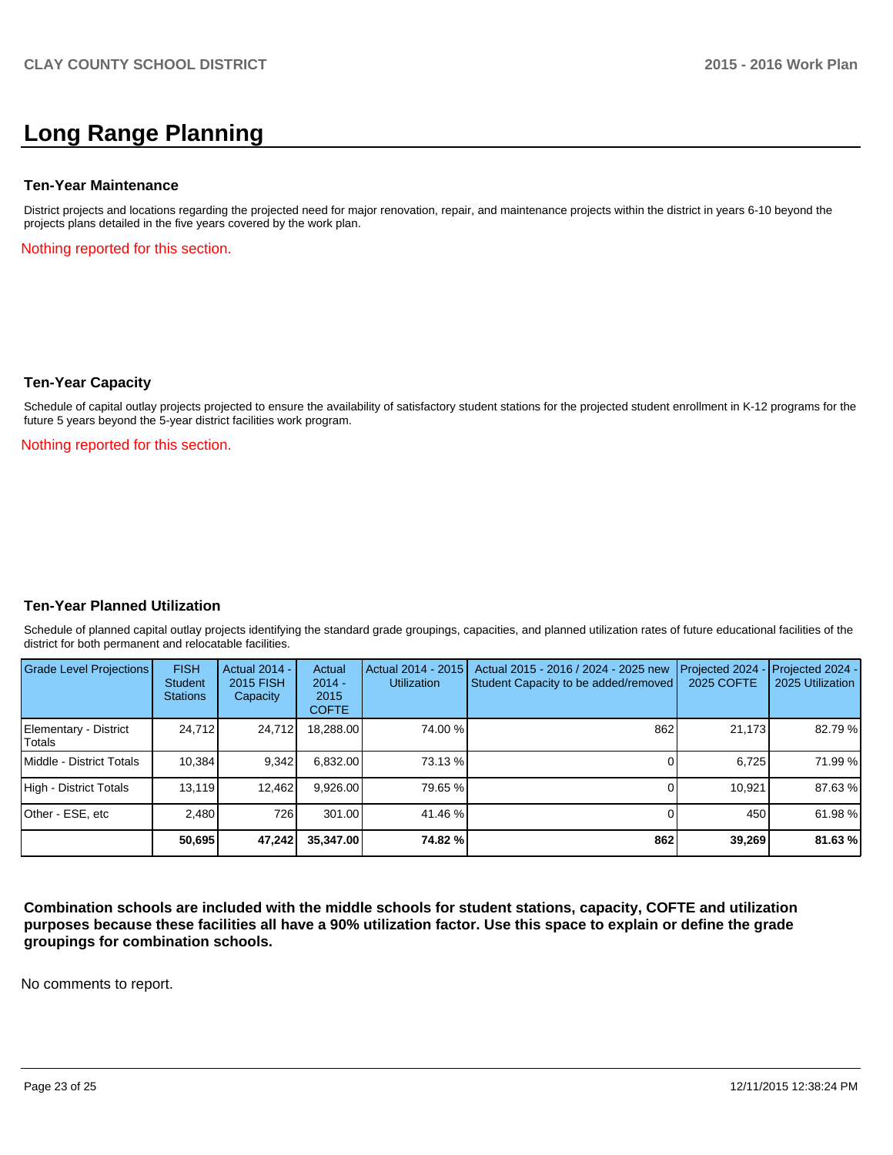# **Long Range Planning**

#### **Ten-Year Maintenance**

District projects and locations regarding the projected need for major renovation, repair, and maintenance projects within the district in years 6-10 beyond the projects plans detailed in the five years covered by the work plan.

Nothing reported for this section.

#### **Ten-Year Capacity**

Schedule of capital outlay projects projected to ensure the availability of satisfactory student stations for the projected student enrollment in K-12 programs for the future 5 years beyond the 5-year district facilities work program.

Nothing reported for this section.

#### **Ten-Year Planned Utilization**

Schedule of planned capital outlay projects identifying the standard grade groupings, capacities, and planned utilization rates of future educational facilities of the district for both permanent and relocatable facilities.

| Grade Level Projections         | <b>FISH</b><br><b>Student</b><br><b>Stations</b> | <b>Actual 2014 -</b><br>2015 FISH<br>Capacity | Actual<br>$2014 -$<br>2015<br><b>COFTE</b> | Actual 2014 - 2015<br><b>Utilization</b> | Actual 2015 - 2016 / 2024 - 2025 new<br>Student Capacity to be added/removed | Projected 2024<br>2025 COFTE | $-$ Projected 2024 -<br>2025 Utilization |
|---------------------------------|--------------------------------------------------|-----------------------------------------------|--------------------------------------------|------------------------------------------|------------------------------------------------------------------------------|------------------------------|------------------------------------------|
| Elementary - District<br>Totals | 24.712                                           | 24,712                                        | 18,288.00                                  | 74.00 %                                  | 862                                                                          | 21,173                       | 82.79 %                                  |
| Middle - District Totals        | 10.384                                           | 9,342                                         | 6.832.00                                   | 73.13 %                                  |                                                                              | 6.725                        | 71.99 %                                  |
| High - District Totals          | 13.119                                           | 12,462                                        | 9,926.00                                   | 79.65 %                                  |                                                                              | 10.921                       | 87.63%                                   |
| Other - ESE, etc                | 2.480                                            | 726                                           | 301.00                                     | 41.46 %                                  |                                                                              | 450                          | 61.98%                                   |
|                                 | 50.695                                           | 47,242                                        | 35.347.00                                  | 74.82 %l                                 | 862                                                                          | 39,269                       | 81.63%                                   |

**Combination schools are included with the middle schools for student stations, capacity, COFTE and utilization purposes because these facilities all have a 90% utilization factor. Use this space to explain or define the grade groupings for combination schools.**

No comments to report.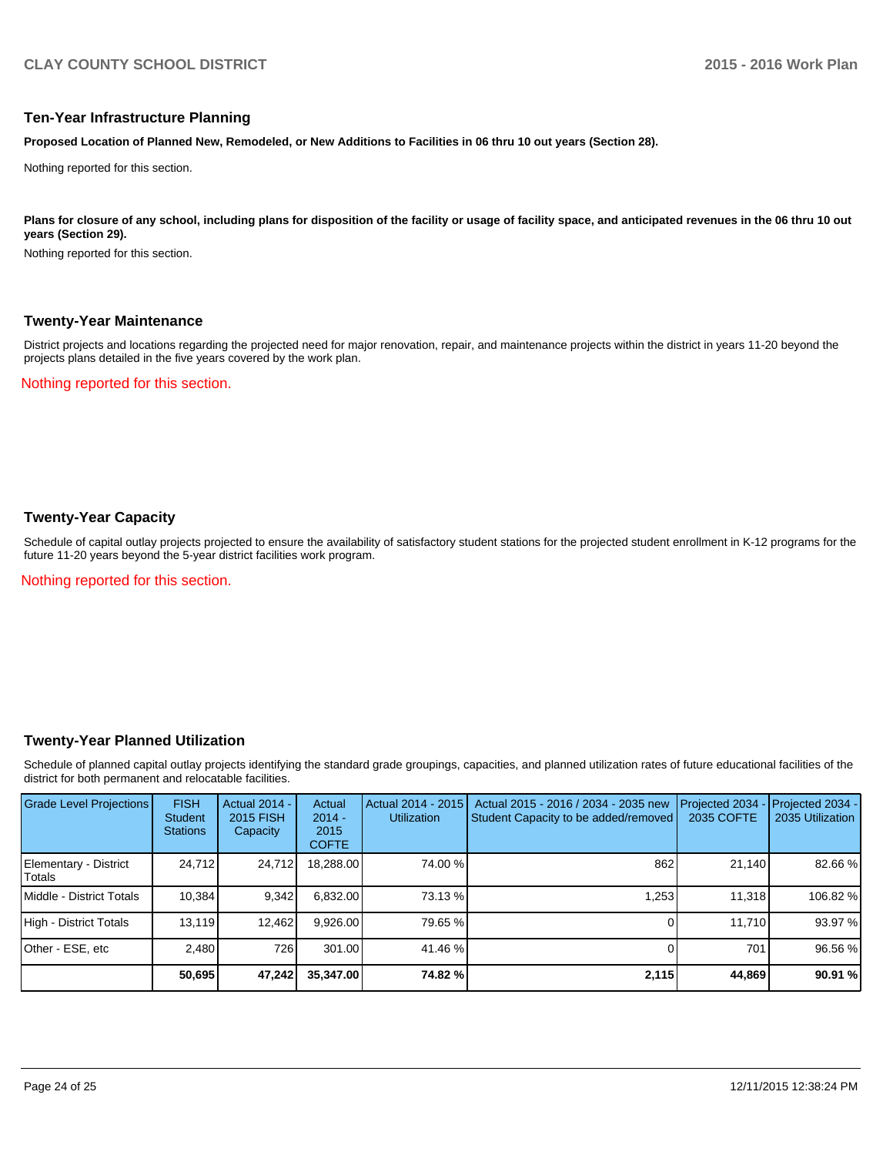#### **Ten-Year Infrastructure Planning**

**Proposed Location of Planned New, Remodeled, or New Additions to Facilities in 06 thru 10 out years (Section 28).**

Nothing reported for this section.

Plans for closure of any school, including plans for disposition of the facility or usage of facility space, and anticipated revenues in the 06 thru 10 out **years (Section 29).**

Nothing reported for this section.

#### **Twenty-Year Maintenance**

District projects and locations regarding the projected need for major renovation, repair, and maintenance projects within the district in years 11-20 beyond the projects plans detailed in the five years covered by the work plan.

Nothing reported for this section.

### **Twenty-Year Capacity**

Schedule of capital outlay projects projected to ensure the availability of satisfactory student stations for the projected student enrollment in K-12 programs for the future 11-20 years beyond the 5-year district facilities work program.

Nothing reported for this section.

#### **Twenty-Year Planned Utilization**

Schedule of planned capital outlay projects identifying the standard grade groupings, capacities, and planned utilization rates of future educational facilities of the district for both permanent and relocatable facilities.

| <b>Grade Level Projections</b>    | <b>FISH</b><br><b>Student</b><br><b>Stations</b> | <b>Actual 2014 -</b><br>2015 FISH<br>Capacity | Actual<br>$2014 -$<br>2015<br><b>COFTE</b> | Actual 2014 - 2015<br><b>Utilization</b> | Actual 2015 - 2016 / 2034 - 2035 new<br>Student Capacity to be added/removed | Projected 2034<br>2035 COFTE | Projected 2034 -<br>2035 Utilization |
|-----------------------------------|--------------------------------------------------|-----------------------------------------------|--------------------------------------------|------------------------------------------|------------------------------------------------------------------------------|------------------------------|--------------------------------------|
| Elementary - District<br>l Totals | 24,712                                           | 24,712                                        | 18,288.00                                  | 74.00 %                                  | 862                                                                          | 21,140                       | 82.66 %                              |
| <b>IMiddle - District Totals</b>  | 10.384                                           | 9,342                                         | 6.832.00                                   | 73.13 %                                  | 1.253                                                                        | 11.318                       | 106.82 %                             |
| High - District Totals            | 13.119                                           | 12.462                                        | 9.926.00                                   | 79.65 %                                  |                                                                              | 11.710                       | 93.97 %                              |
| Other - ESE, etc                  | 2.480                                            | 726                                           | 301.00                                     | 41.46 %                                  |                                                                              | 701                          | 96.56 %                              |
|                                   | 50,695                                           | 47,242                                        | 35,347.00                                  | 74.82 %                                  | 2,115                                                                        | 44,869                       | 90.91 %                              |